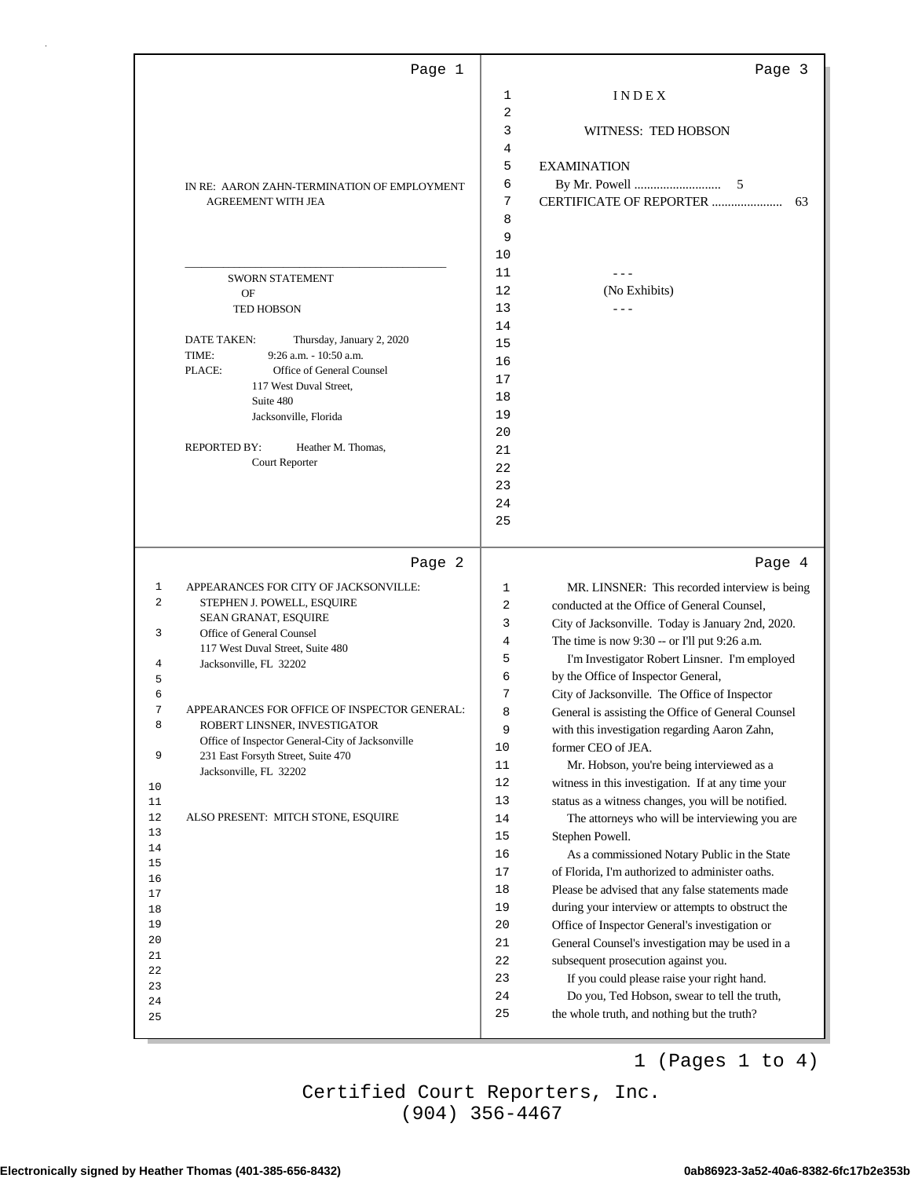|          | Page 1                                                                             |              | Page 3                                             |
|----------|------------------------------------------------------------------------------------|--------------|----------------------------------------------------|
|          |                                                                                    | 1            | INDEX                                              |
|          |                                                                                    | 2            |                                                    |
|          |                                                                                    | 3            | WITNESS: TED HOBSON                                |
|          |                                                                                    | 4            |                                                    |
|          |                                                                                    | 5            | <b>EXAMINATION</b>                                 |
|          | IN RE: AARON ZAHN-TERMINATION OF EMPLOYMENT                                        | 6            | 5                                                  |
|          | <b>AGREEMENT WITH JEA</b>                                                          | 7            | CERTIFICATE OF REPORTER<br>63                      |
|          |                                                                                    | 8            |                                                    |
|          |                                                                                    | 9            |                                                    |
|          |                                                                                    | 10           |                                                    |
|          | <b>SWORN STATEMENT</b>                                                             | 11           |                                                    |
|          | OF                                                                                 | 12           | (No Exhibits)                                      |
|          | <b>TED HOBSON</b>                                                                  | 13           |                                                    |
|          |                                                                                    | 14           |                                                    |
|          | <b>DATE TAKEN:</b><br>Thursday, January 2, 2020<br>TIME:<br>9:26 a.m. - 10:50 a.m. | 15           |                                                    |
|          | PLACE:<br>Office of General Counsel                                                | 16           |                                                    |
|          | 117 West Duval Street.                                                             | 17           |                                                    |
|          | Suite 480                                                                          | 18           |                                                    |
|          | Jacksonville, Florida                                                              | 19           |                                                    |
|          |                                                                                    | 20           |                                                    |
|          | <b>REPORTED BY:</b><br>Heather M. Thomas,<br>Court Reporter                        | 21           |                                                    |
|          |                                                                                    | 22           |                                                    |
|          |                                                                                    | 23           |                                                    |
|          |                                                                                    | 24           |                                                    |
|          |                                                                                    | 25           |                                                    |
|          | Page 2                                                                             |              | Page 4                                             |
| 1        | APPEARANCES FOR CITY OF JACKSONVILLE:                                              | $\mathbf{1}$ | MR. LINSNER: This recorded interview is being      |
| 2        | STEPHEN J. POWELL, ESQUIRE                                                         | 2            | conducted at the Office of General Counsel,        |
|          | <b>SEAN GRANAT, ESQUIRE</b>                                                        | 3            | City of Jacksonville. Today is January 2nd, 2020.  |
| 3        | Office of General Counsel                                                          | 4            | The time is now 9:30 -- or I'll put 9:26 a.m.      |
|          | 117 West Duval Street, Suite 480                                                   | 5            | I'm Investigator Robert Linsner. I'm employed      |
| 4<br>5   | Jacksonville, FL 32202                                                             | 6            | by the Office of Inspector General,                |
| 6        |                                                                                    | 7            | City of Jacksonville. The Office of Inspector      |
| 7        | APPEARANCES FOR OFFICE OF INSPECTOR GENERAL:                                       | 8            | General is assisting the Office of General Counsel |
| 8        | ROBERT LINSNER, INVESTIGATOR                                                       | 9            | with this investigation regarding Aaron Zahn,      |
|          | Office of Inspector General-City of Jacksonville                                   | 10           | former CEO of JEA.                                 |
| 9        | 231 East Forsyth Street, Suite 470<br>Jacksonville, FL 32202                       | 11           | Mr. Hobson, you're being interviewed as a          |
| 10       |                                                                                    | 12           | witness in this investigation. If at any time your |
| 11       |                                                                                    | 13           | status as a witness changes, you will be notified. |
| 12       | ALSO PRESENT: MITCH STONE, ESQUIRE                                                 | 14           | The attorneys who will be interviewing you are     |
| 13       |                                                                                    | 15           | Stephen Powell.                                    |
| 14<br>15 |                                                                                    | 16           | As a commissioned Notary Public in the State       |
| 16       |                                                                                    | 17           | of Florida, I'm authorized to administer oaths.    |
| 17       |                                                                                    | 18           | Please be advised that any false statements made   |
| 18       |                                                                                    | 19           | during your interview or attempts to obstruct the  |
| 19       |                                                                                    | $20$         | Office of Inspector General's investigation or     |
| 20       |                                                                                    | $21\,$       | General Counsel's investigation may be used in a   |
| 21<br>22 |                                                                                    | 22           | subsequent prosecution against you.                |
| 23       |                                                                                    | 23           | If you could please raise your right hand.         |
| 24       |                                                                                    | 24           | Do you, Ted Hobson, swear to tell the truth,       |
| 25       |                                                                                    | 25           | the whole truth, and nothing but the truth?        |
|          |                                                                                    |              |                                                    |

1 (Pages 1 to 4)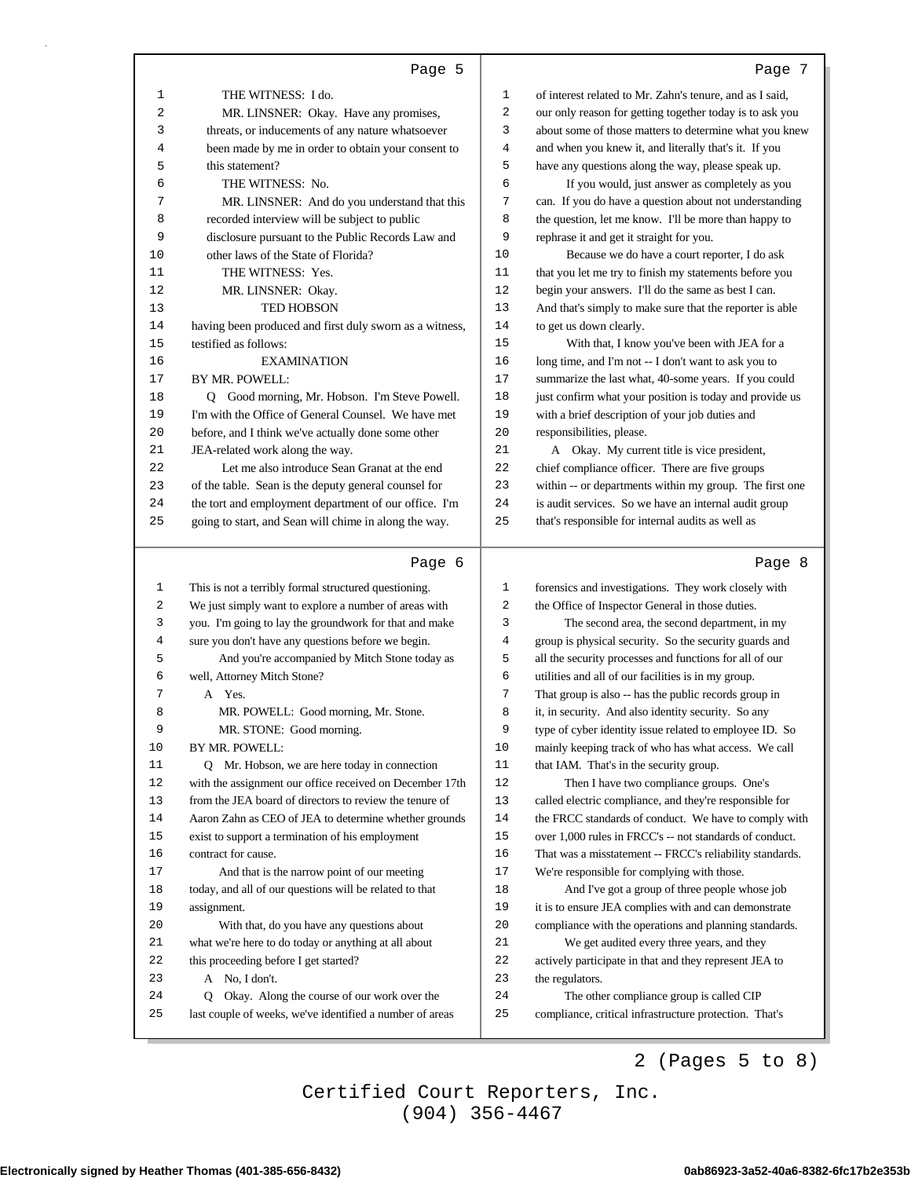|          | Page 5                                                                                                    |              | Page 7                                                                                             |
|----------|-----------------------------------------------------------------------------------------------------------|--------------|----------------------------------------------------------------------------------------------------|
| 1        | THE WITNESS: I do.                                                                                        | 1            | of interest related to Mr. Zahn's tenure, and as I said,                                           |
| 2        | MR. LINSNER: Okay. Have any promises,                                                                     | 2            | our only reason for getting together today is to ask you                                           |
| 3        | threats, or inducements of any nature whatsoever                                                          | 3            | about some of those matters to determine what you knew                                             |
| 4        | been made by me in order to obtain your consent to                                                        | 4            | and when you knew it, and literally that's it. If you                                              |
| 5        | this statement?                                                                                           | 5            | have any questions along the way, please speak up.                                                 |
| 6        | THE WITNESS: No.                                                                                          | 6            | If you would, just answer as completely as you                                                     |
| 7        | MR. LINSNER: And do you understand that this                                                              | 7            | can. If you do have a question about not understanding                                             |
| 8        | recorded interview will be subject to public                                                              | 8            | the question, let me know. I'll be more than happy to                                              |
| 9        | disclosure pursuant to the Public Records Law and                                                         | 9            | rephrase it and get it straight for you.                                                           |
| 10       | other laws of the State of Florida?                                                                       | 10           | Because we do have a court reporter, I do ask                                                      |
| 11       | THE WITNESS: Yes.                                                                                         | 11           | that you let me try to finish my statements before you                                             |
| 12       | MR. LINSNER: Okay.                                                                                        | 12           | begin your answers. I'll do the same as best I can.                                                |
| 13       | TED HOBSON                                                                                                | 13           | And that's simply to make sure that the reporter is able                                           |
| 14       |                                                                                                           | 14           |                                                                                                    |
|          | having been produced and first duly sworn as a witness,                                                   | 15           | to get us down clearly.                                                                            |
| 15       | testified as follows:                                                                                     |              | With that, I know you've been with JEA for a                                                       |
| 16       | <b>EXAMINATION</b>                                                                                        | 16           | long time, and I'm not -- I don't want to ask you to                                               |
| 17       | BY MR. POWELL:                                                                                            | 17           | summarize the last what, 40-some years. If you could                                               |
| 18       | Q Good morning, Mr. Hobson. I'm Steve Powell.                                                             | 18           | just confirm what your position is today and provide us                                            |
| 19       | I'm with the Office of General Counsel. We have met                                                       | 19           | with a brief description of your job duties and                                                    |
| 20       | before, and I think we've actually done some other                                                        | 20           | responsibilities, please.                                                                          |
| 21       | JEA-related work along the way.                                                                           | 21           | A Okay. My current title is vice president,                                                        |
| 22       | Let me also introduce Sean Granat at the end                                                              | 22           | chief compliance officer. There are five groups                                                    |
| 23       | of the table. Sean is the deputy general counsel for                                                      | 23           | within -- or departments within my group. The first one                                            |
| 24       | the tort and employment department of our office. I'm                                                     | 24           | is audit services. So we have an internal audit group                                              |
| 25       | going to start, and Sean will chime in along the way.                                                     | 25           | that's responsible for internal audits as well as                                                  |
|          |                                                                                                           |              |                                                                                                    |
|          |                                                                                                           |              |                                                                                                    |
|          | Page 6                                                                                                    |              | Page 8                                                                                             |
| 1        | This is not a terribly formal structured questioning.                                                     | $\mathbf{1}$ | forensics and investigations. They work closely with                                               |
| 2        | We just simply want to explore a number of areas with                                                     | 2            | the Office of Inspector General in those duties.                                                   |
| 3        | you. I'm going to lay the groundwork for that and make                                                    | 3            | The second area, the second department, in my                                                      |
| 4        | sure you don't have any questions before we begin.                                                        | 4            | group is physical security. So the security guards and                                             |
| 5        | And you're accompanied by Mitch Stone today as                                                            | 5            | all the security processes and functions for all of our                                            |
| 6        | well, Attorney Mitch Stone?                                                                               | 6            | utilities and all of our facilities is in my group.                                                |
| 7        | A Yes.                                                                                                    | 7            | That group is also -- has the public records group in                                              |
| 8        | MR. POWELL: Good morning, Mr. Stone.                                                                      | 8            | it, in security. And also identity security. So any                                                |
| 9        |                                                                                                           | 9            | type of cyber identity issue related to employee ID. So                                            |
| 10       | MR. STONE: Good morning.<br>BY MR. POWELL:                                                                | 10           | mainly keeping track of who has what access. We call                                               |
| 11       | Q Mr. Hobson, we are here today in connection                                                             | 11           | that IAM. That's in the security group.                                                            |
| 12       | with the assignment our office received on December 17th                                                  | 12           |                                                                                                    |
| 13       | from the JEA board of directors to review the tenure of                                                   | 13           | Then I have two compliance groups. One's                                                           |
| 14       |                                                                                                           | 14           | called electric compliance, and they're responsible for                                            |
|          | Aaron Zahn as CEO of JEA to determine whether grounds                                                     | 15           | the FRCC standards of conduct. We have to comply with                                              |
| 15       | exist to support a termination of his employment                                                          |              | over 1,000 rules in FRCC's -- not standards of conduct.                                            |
| 16       | contract for cause.                                                                                       | 16<br>17     | That was a misstatement -- FRCC's reliability standards.                                           |
| 17       | And that is the narrow point of our meeting                                                               | 18           | We're responsible for complying with those.                                                        |
| 18<br>19 | today, and all of our questions will be related to that                                                   | 19           | And I've got a group of three people whose job                                                     |
|          | assignment.                                                                                               | 20           | it is to ensure JEA complies with and can demonstrate                                              |
| 20       | With that, do you have any questions about                                                                |              | compliance with the operations and planning standards.                                             |
| 21       | what we're here to do today or anything at all about                                                      | 21           | We get audited every three years, and they                                                         |
| 22       | this proceeding before I get started?                                                                     | 22           | actively participate in that and they represent JEA to                                             |
| 23       | A No, I don't.                                                                                            | 23           | the regulators.                                                                                    |
| 24<br>25 | Q Okay. Along the course of our work over the<br>last couple of weeks, we've identified a number of areas | 24<br>25     | The other compliance group is called CIP<br>compliance, critical infrastructure protection. That's |

ı

# 2 (Pages 5 to 8)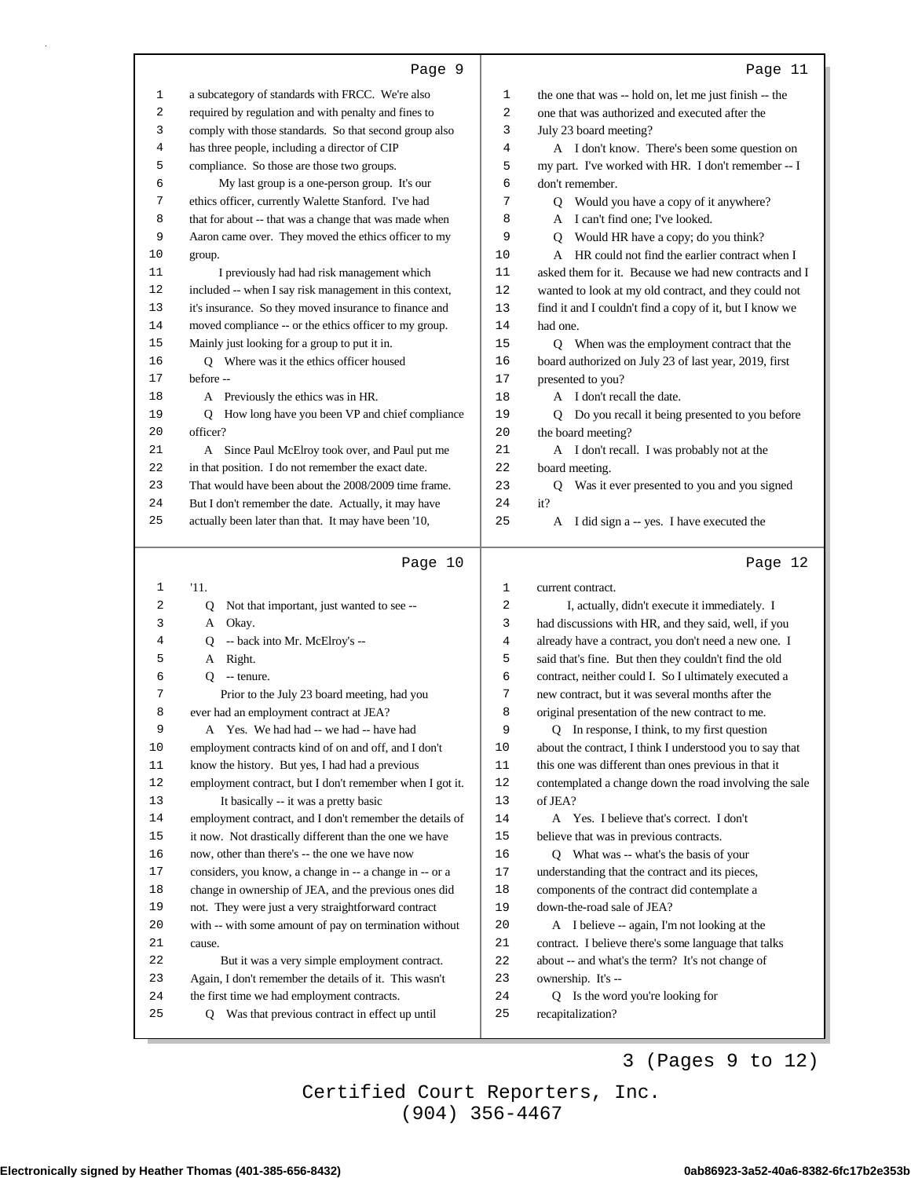|--|--|

ı

| 1      | a subcategory of standards with FRCC. We're also         | 1  | the one that was -- hold on, let me just finish -- the   |
|--------|----------------------------------------------------------|----|----------------------------------------------------------|
| 2      | required by regulation and with penalty and fines to     | 2  | one that was authorized and executed after the           |
| 3      | comply with those standards. So that second group also   | 3  | July 23 board meeting?                                   |
| 4      | has three people, including a director of CIP            | 4  | A I don't know. There's been some question on            |
| 5      | compliance. So those are those two groups.               | 5  | my part. I've worked with HR. I don't remember -- I      |
| 6      | My last group is a one-person group. It's our            | 6  | don't remember.                                          |
| 7      | ethics officer, currently Walette Stanford. I've had     | 7  | Q Would you have a copy of it anywhere?                  |
| 8      | that for about -- that was a change that was made when   | 8  | A I can't find one; I've looked.                         |
| 9      | Aaron came over. They moved the ethics officer to my     | 9  | Q Would HR have a copy; do you think?                    |
| 10     | group.                                                   | 10 | A HR could not find the earlier contract when I          |
| 11     | I previously had had risk management which               | 11 | asked them for it. Because we had new contracts and I    |
| 12     | included -- when I say risk management in this context,  | 12 | wanted to look at my old contract, and they could not    |
| 13     | it's insurance. So they moved insurance to finance and   | 13 | find it and I couldn't find a copy of it, but I know we  |
| 14     | moved compliance -- or the ethics officer to my group.   | 14 | had one.                                                 |
| 15     | Mainly just looking for a group to put it in.            | 15 | Q When was the employment contract that the              |
| 16     | Q Where was it the ethics officer housed                 | 16 | board authorized on July 23 of last year, 2019, first    |
| 17     | before --                                                | 17 | presented to you?                                        |
| 18     | A Previously the ethics was in HR.                       | 18 | A I don't recall the date.                               |
| 19     | Q How long have you been VP and chief compliance         | 19 | Q Do you recall it being presented to you before         |
| 20     | officer?                                                 | 20 | the board meeting?                                       |
| 21     | A Since Paul McElroy took over, and Paul put me          | 21 | A I don't recall. I was probably not at the              |
| 22     | in that position. I do not remember the exact date.      | 22 | board meeting.                                           |
| 23     | That would have been about the 2008/2009 time frame.     | 23 | Q Was it ever presented to you and you signed            |
| 24     | But I don't remember the date. Actually, it may have     | 24 | it?                                                      |
| 25     | actually been later than that. It may have been '10,     | 25 | I did sign a -- yes. I have executed the<br>A            |
|        |                                                          |    |                                                          |
|        |                                                          |    |                                                          |
|        |                                                          |    |                                                          |
|        | Page 10                                                  |    | Page 12                                                  |
| 1      | '11.                                                     | 1  | current contract.                                        |
| 2      | Q<br>Not that important, just wanted to see --           | 2  | I, actually, didn't execute it immediately. I            |
| 3      | Okay.<br>A                                               | 3  | had discussions with HR, and they said, well, if you     |
| 4      | -- back into Mr. McElroy's --<br>Q                       | 4  | already have a contract, you don't need a new one. I     |
| 5      | Right.<br>A                                              | 5  | said that's fine. But then they couldn't find the old    |
| 6      | Q<br>-- tenure.                                          | 6  | contract, neither could I. So I ultimately executed a    |
| 7      | Prior to the July 23 board meeting, had you              | 7  | new contract, but it was several months after the        |
| 8      | ever had an employment contract at JEA?                  | 8  | original presentation of the new contract to me.         |
| 9      | A Yes. We had had -- we had -- have had                  | 9  | Q In response, I think, to my first question             |
| 10     | employment contracts kind of on and off, and I don't     | 10 | about the contract, I think I understood you to say that |
| 11     | know the history. But yes, I had had a previous          | 11 | this one was different than ones previous in that it     |
| 12     | employment contract, but I don't remember when I got it. | 12 | contemplated a change down the road involving the sale   |
| 13     | It basically -- it was a pretty basic                    | 13 | of JEA?                                                  |
| 14     | employment contract, and I don't remember the details of | 14 | A Yes. I believe that's correct. I don't                 |
| 15     | it now. Not drastically different than the one we have   | 15 | believe that was in previous contracts.                  |
| 16     | now, other than there's -- the one we have now           | 16 | Q What was -- what's the basis of your                   |
| $17\,$ | considers, you know, a change in -- a change in -- or a  | 17 | understanding that the contract and its pieces,          |
| 18     | change in ownership of JEA, and the previous ones did    | 18 | components of the contract did contemplate a             |
| 19     | not. They were just a very straightforward contract      | 19 | down-the-road sale of JEA?                               |
| 20     | with -- with some amount of pay on termination without   | 20 | A I believe -- again, I'm not looking at the             |
| 21     | cause.                                                   | 21 | contract. I believe there's some language that talks     |
| 22     | But it was a very simple employment contract.            | 22 | about -- and what's the term? It's not change of         |
| 23     | Again, I don't remember the details of it. This wasn't   | 23 | ownership. It's --                                       |
| 24     | the first time we had employment contracts.              | 24 | Q Is the word you're looking for                         |
| 25     | Was that previous contract in effect up until<br>Q       | 25 | recapitalization?                                        |

3 (Pages 9 to 12)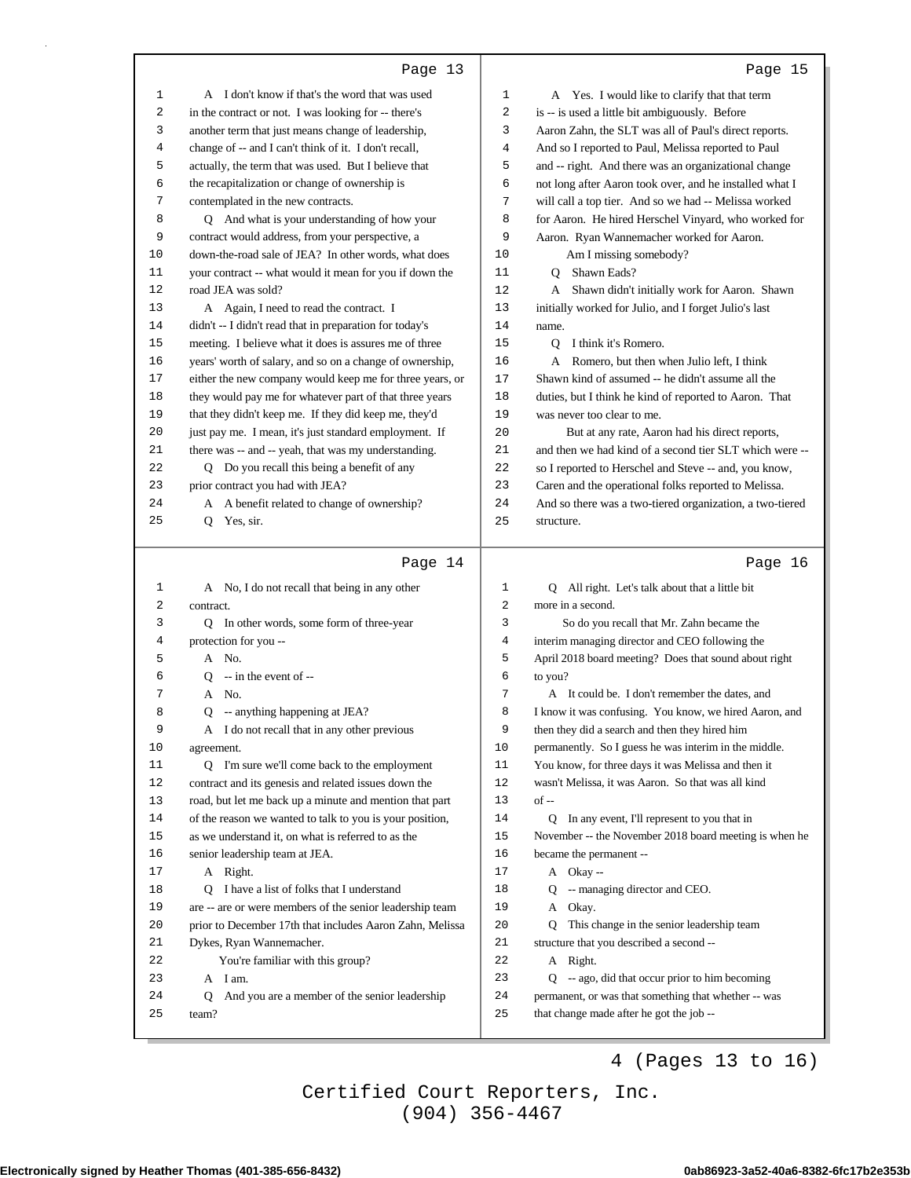| 1        | A I don't know if that's the word that was used             | 1        | A Yes. I would like to clarify that that term                                                    |
|----------|-------------------------------------------------------------|----------|--------------------------------------------------------------------------------------------------|
| 2        | in the contract or not. I was looking for -- there's        | 2        | is -- is used a little bit ambiguously. Before                                                   |
| 3        | another term that just means change of leadership,          | 3        | Aaron Zahn, the SLT was all of Paul's direct reports.                                            |
| 4        | change of -- and I can't think of it. I don't recall,       | 4        | And so I reported to Paul, Melissa reported to Paul                                              |
| 5        | actually, the term that was used. But I believe that        | 5        | and -- right. And there was an organizational change                                             |
| 6        | the recapitalization or change of ownership is              | 6        | not long after Aaron took over, and he installed what I                                          |
| 7        | contemplated in the new contracts.                          | 7        | will call a top tier. And so we had -- Melissa worked                                            |
| 8        | Q And what is your understanding of how your                | 8        | for Aaron. He hired Herschel Vinyard, who worked for                                             |
| 9        | contract would address, from your perspective, a            | 9        | Aaron. Ryan Wannemacher worked for Aaron.                                                        |
| 10       | down-the-road sale of JEA? In other words, what does        | 10       | Am I missing somebody?                                                                           |
| 11       | your contract -- what would it mean for you if down the     | 11       | Q Shawn Eads?                                                                                    |
| 12       | road JEA was sold?                                          | 12       | A Shawn didn't initially work for Aaron. Shawn                                                   |
| 13       | A Again, I need to read the contract. I                     | 13       | initially worked for Julio, and I forget Julio's last                                            |
| 14       | didn't -- I didn't read that in preparation for today's     | 14       | name.                                                                                            |
| 15       | meeting. I believe what it does is assures me of three      | 15       | Q I think it's Romero.                                                                           |
| 16       | years' worth of salary, and so on a change of ownership,    | 16       | A Romero, but then when Julio left, I think                                                      |
| 17       | either the new company would keep me for three years, or    | 17       | Shawn kind of assumed -- he didn't assume all the                                                |
| 18       | they would pay me for whatever part of that three years     | 18       | duties, but I think he kind of reported to Aaron. That                                           |
| 19       | that they didn't keep me. If they did keep me, they'd       | 19       | was never too clear to me.                                                                       |
| 20       | just pay me. I mean, it's just standard employment. If      | 20       | But at any rate, Aaron had his direct reports,                                                   |
| 21       | there was -- and -- yeah, that was my understanding.        | 21       | and then we had kind of a second tier SLT which were --                                          |
| 22       | Q Do you recall this being a benefit of any                 | 22       | so I reported to Herschel and Steve -- and, you know,                                            |
| 23       | prior contract you had with JEA?                            | 23       | Caren and the operational folks reported to Melissa.                                             |
| 24       | A A benefit related to change of ownership?                 | 24       | And so there was a two-tiered organization, a two-tiered                                         |
| 25       | Q Yes, sir.                                                 | 25       |                                                                                                  |
|          |                                                             |          | structure.                                                                                       |
|          |                                                             |          |                                                                                                  |
|          |                                                             |          |                                                                                                  |
|          | Page 14                                                     |          | Page 16                                                                                          |
| 1        | A No, I do not recall that being in any other               | 1        | Q All right. Let's talk about that a little bit                                                  |
| 2        | contract.                                                   | 2        | more in a second.                                                                                |
| 3        | Q In other words, some form of three-year                   | 3        | So do you recall that Mr. Zahn became the                                                        |
| 4        | protection for you --                                       | 4        | interim managing director and CEO following the                                                  |
| 5        | A No.                                                       | 5        | April 2018 board meeting? Does that sound about right                                            |
| 6        | -- in the event of --<br>Q                                  | 6        | to you?                                                                                          |
| 7        | A No.                                                       | 7        | A It could be. I don't remember the dates, and                                                   |
| 8        | -- anything happening at JEA?<br>Q                          | 8        | I know it was confusing. You know, we hired Aaron, and                                           |
| 9        | A I do not recall that in any other previous                | 9        | then they did a search and then they hired him                                                   |
| 10       | agreement.                                                  | 10       | permanently. So I guess he was interim in the middle.                                            |
| 11       | Q I'm sure we'll come back to the employment                | 11       | You know, for three days it was Melissa and then it                                              |
| 12       | contract and its genesis and related issues down the        | 12       | wasn't Melissa, it was Aaron. So that was all kind                                               |
| 13       | road, but let me back up a minute and mention that part     | 13       | of --                                                                                            |
| 14       | of the reason we wanted to talk to you is your position,    | 14       | Q In any event, I'll represent to you that in                                                    |
| 15       | as we understand it, on what is referred to as the          | 15       | November -- the November 2018 board meeting is when he                                           |
| 16       | senior leadership team at JEA.                              | 16       | became the permanent --                                                                          |
| 17       | A Right.                                                    | 17       | A Okay--                                                                                         |
| 18       | Q I have a list of folks that I understand                  | 18       | Q -- managing director and CEO.                                                                  |
| 19       | are -- are or were members of the senior leadership team    | 19       | A Okay.                                                                                          |
| 20       | prior to December 17th that includes Aaron Zahn, Melissa    | 20       | This change in the senior leadership team<br>Q                                                   |
| 21       |                                                             | 21       | structure that you described a second --                                                         |
| 22       | Dykes, Ryan Wannemacher.                                    | 22       |                                                                                                  |
| 23       | You're familiar with this group?<br>A I am.                 |          | A Right.                                                                                         |
|          |                                                             | 23       | $Q - ago$ , did that occur prior to him becoming                                                 |
| 24<br>25 | And you are a member of the senior leadership<br>Q<br>team? | 24<br>25 | permanent, or was that something that whether -- was<br>that change made after he got the job -- |

4 (Pages 13 to 16)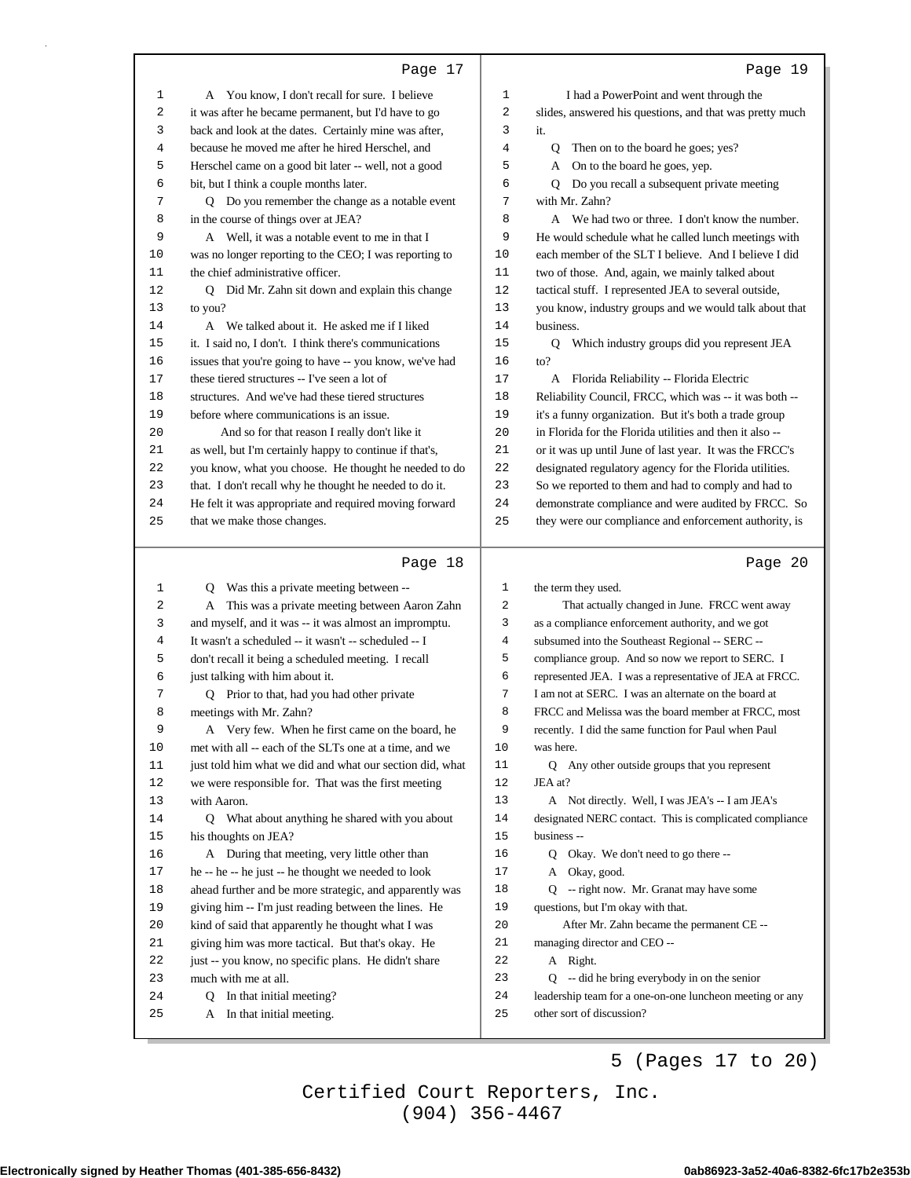|            | Page 17                                                                                                         |          | Page 19                                                                        |
|------------|-----------------------------------------------------------------------------------------------------------------|----------|--------------------------------------------------------------------------------|
| 1          | A You know, I don't recall for sure. I believe                                                                  | 1        | I had a PowerPoint and went through the                                        |
| 2          | it was after he became permanent, but I'd have to go                                                            | 2        | slides, answered his questions, and that was pretty much                       |
| 3          | back and look at the dates. Certainly mine was after,                                                           | 3        | it.                                                                            |
| 4          | because he moved me after he hired Herschel, and                                                                | 4        | Q<br>Then on to the board he goes; yes?                                        |
| 5          | Herschel came on a good bit later -- well, not a good                                                           | 5        | A On to the board he goes, yep.                                                |
| 6          | bit, but I think a couple months later.                                                                         | 6        | Q Do you recall a subsequent private meeting                                   |
| 7          | Q Do you remember the change as a notable event                                                                 | 7        | with Mr. Zahn?                                                                 |
| 8          | in the course of things over at JEA?                                                                            | 8        | A We had two or three. I don't know the number.                                |
| 9          | A Well, it was a notable event to me in that I                                                                  | 9        | He would schedule what he called lunch meetings with                           |
| 10         | was no longer reporting to the CEO; I was reporting to                                                          | 10       | each member of the SLT I believe. And I believe I did                          |
| 11         | the chief administrative officer.                                                                               | 11       | two of those. And, again, we mainly talked about                               |
| 12         | Q Did Mr. Zahn sit down and explain this change                                                                 | 12       | tactical stuff. I represented JEA to several outside,                          |
| 13         | to you?                                                                                                         | 13       | you know, industry groups and we would talk about that                         |
| 14         | A We talked about it. He asked me if I liked                                                                    | 14       | business.                                                                      |
| 15         | it. I said no, I don't. I think there's communications                                                          | 15       | Q Which industry groups did you represent JEA                                  |
| 16         | issues that you're going to have -- you know, we've had                                                         | 16       | to?                                                                            |
| 17         | these tiered structures -- I've seen a lot of                                                                   | 17       | A Florida Reliability -- Florida Electric                                      |
| 18         | structures. And we've had these tiered structures                                                               | 18       | Reliability Council, FRCC, which was -- it was both --                         |
| 19         | before where communications is an issue.                                                                        | 19       | it's a funny organization. But it's both a trade group                         |
| 20         | And so for that reason I really don't like it                                                                   | 20       | in Florida for the Florida utilities and then it also --                       |
| 21         | as well, but I'm certainly happy to continue if that's,                                                         | 21       | or it was up until June of last year. It was the FRCC's                        |
| 22         | you know, what you choose. He thought he needed to do                                                           | 22       | designated regulatory agency for the Florida utilities.                        |
| 23         | that. I don't recall why he thought he needed to do it.                                                         | 23       | So we reported to them and had to comply and had to                            |
| 24         | He felt it was appropriate and required moving forward                                                          | 24       | demonstrate compliance and were audited by FRCC. So                            |
| 25         | that we make those changes.                                                                                     | 25       | they were our compliance and enforcement authority, is                         |
|            |                                                                                                                 |          |                                                                                |
|            | Page 18                                                                                                         |          | Page 20                                                                        |
| 1          | Q Was this a private meeting between --                                                                         | 1        | the term they used.                                                            |
| 2          | A This was a private meeting between Aaron Zahn                                                                 | 2        | That actually changed in June. FRCC went away                                  |
| 3          | and myself, and it was -- it was almost an impromptu.                                                           | 3        | as a compliance enforcement authority, and we got                              |
| 4          | It wasn't a scheduled -- it wasn't -- scheduled -- I                                                            | 4        | subsumed into the Southeast Regional -- SERC --                                |
| 5          | don't recall it being a scheduled meeting. I recall                                                             | 5        | compliance group. And so now we report to SERC. I                              |
| 6          | just talking with him about it.                                                                                 | 6        | represented JEA. I was a representative of JEA at FRCC.                        |
| 7          | Q Prior to that, had you had other private                                                                      | 7        | I am not at SERC. I was an alternate on the board at                           |
| 8          | meetings with Mr. Zahn?                                                                                         | 8        | FRCC and Melissa was the board member at FRCC, most                            |
| 9          | A Very few. When he first came on the board, he                                                                 | 9        | recently. I did the same function for Paul when Paul                           |
| $10$       | met with all -- each of the SLTs one at a time, and we                                                          | 10       | was here.                                                                      |
| 11         | just told him what we did and what our section did, what                                                        | 11       | Q Any other outside groups that you represent                                  |
| 12         | we were responsible for. That was the first meeting                                                             | 12       | JEA at?                                                                        |
| 13         | with Aaron.                                                                                                     | 13       | A Not directly. Well, I was JEA's -- I am JEA's                                |
| 14         | Q What about anything he shared with you about                                                                  | 14       | designated NERC contact. This is complicated compliance                        |
| 15         | his thoughts on JEA?                                                                                            | 15       | business --                                                                    |
| 16         | A During that meeting, very little other than                                                                   | 16<br>17 | Q Okay. We don't need to go there --<br>A Okay, good.                          |
| $17$<br>18 | he -- he -- he just -- he thought we needed to look                                                             | 18       |                                                                                |
| 19         | ahead further and be more strategic, and apparently was<br>giving him -- I'm just reading between the lines. He | 19       | Q -- right now. Mr. Granat may have some<br>questions, but I'm okay with that. |
| 20         | kind of said that apparently he thought what I was                                                              | 20       | After Mr. Zahn became the permanent CE --                                      |
| 21         | giving him was more tactical. But that's okay. He                                                               | 21       | managing director and CEO --                                                   |
| 22         | just -- you know, no specific plans. He didn't share                                                            | 22       | A Right.                                                                       |
| 23         | much with me at all.                                                                                            | 23       | Q -- did he bring everybody in on the senior                                   |
| 24         | Q In that initial meeting?<br>A In that initial meeting.                                                        | 24       | leadership team for a one-on-one luncheon meeting or any                       |

5 (Pages 17 to 20)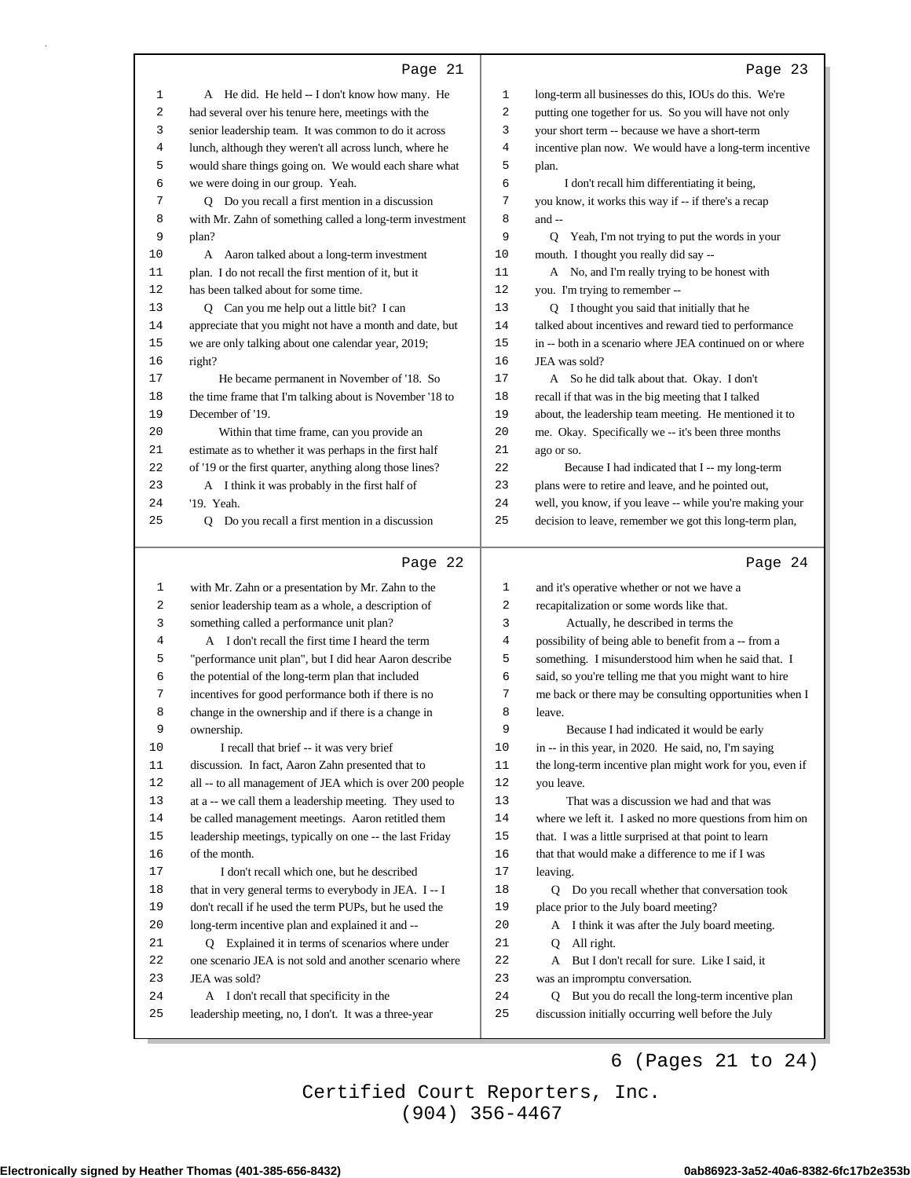|              | Page 21                                                                                          |             | Page 23                                                                                                 |
|--------------|--------------------------------------------------------------------------------------------------|-------------|---------------------------------------------------------------------------------------------------------|
| $\mathbf{1}$ | A He did. He held -- I don't know how many. He                                                   | 1           | long-term all businesses do this, IOUs do this. We're                                                   |
| 2            | had several over his tenure here, meetings with the                                              | 2           | putting one together for us. So you will have not only                                                  |
| 3            | senior leadership team. It was common to do it across                                            | 3           | your short term -- because we have a short-term                                                         |
| 4            | lunch, although they weren't all across lunch, where he                                          | 4           | incentive plan now. We would have a long-term incentive                                                 |
| 5            | would share things going on. We would each share what                                            | 5           | plan.                                                                                                   |
| 6            | we were doing in our group. Yeah.                                                                | 6           | I don't recall him differentiating it being,                                                            |
| 7            | Q Do you recall a first mention in a discussion                                                  | 7           | you know, it works this way if -- if there's a recap                                                    |
| 8            | with Mr. Zahn of something called a long-term investment                                         | 8           | and --                                                                                                  |
| 9            | plan?                                                                                            | 9           | Q Yeah, I'm not trying to put the words in your                                                         |
| 10           | A Aaron talked about a long-term investment                                                      | 10          | mouth. I thought you really did say --                                                                  |
| 11           | plan. I do not recall the first mention of it, but it                                            | 11          | A No, and I'm really trying to be honest with                                                           |
| 12           | has been talked about for some time.                                                             | 12          | you. I'm trying to remember --                                                                          |
| 13           | Q Can you me help out a little bit? I can                                                        | 13          | Q I thought you said that initially that he                                                             |
| 14           | appreciate that you might not have a month and date, but                                         | 14          | talked about incentives and reward tied to performance                                                  |
| 15           | we are only talking about one calendar year, 2019;                                               | 15          | in -- both in a scenario where JEA continued on or where                                                |
| 16           | right?                                                                                           | 16          | JEA was sold?                                                                                           |
| 17           | He became permanent in November of '18. So                                                       | 17          | A So he did talk about that. Okay. I don't                                                              |
| 18           | the time frame that I'm talking about is November '18 to                                         | 18          | recall if that was in the big meeting that I talked                                                     |
| 19           | December of '19.                                                                                 | 19          | about, the leadership team meeting. He mentioned it to                                                  |
| 20           | Within that time frame, can you provide an                                                       | 20          | me. Okay. Specifically we -- it's been three months                                                     |
| 21           | estimate as to whether it was perhaps in the first half                                          | 21          | ago or so.                                                                                              |
| 22           | of '19 or the first quarter, anything along those lines?                                         | 22          | Because I had indicated that I -- my long-term                                                          |
| 23           | A I think it was probably in the first half of                                                   | 23          | plans were to retire and leave, and he pointed out,                                                     |
| 24           | '19. Yeah.                                                                                       | 24          | well, you know, if you leave -- while you're making your                                                |
| 25           | Q Do you recall a first mention in a discussion                                                  | 25          | decision to leave, remember we got this long-term plan,                                                 |
|              |                                                                                                  |             |                                                                                                         |
|              | Page 22                                                                                          |             | Page 24                                                                                                 |
| $\mathbf 1$  | with Mr. Zahn or a presentation by Mr. Zahn to the                                               | 1           | and it's operative whether or not we have a                                                             |
| 2            | senior leadership team as a whole, a description of                                              | 2           | recapitalization or some words like that.                                                               |
| 3            | something called a performance unit plan?                                                        | 3           | Actually, he described in terms the                                                                     |
| 4            | A I don't recall the first time I heard the term                                                 | 4           | possibility of being able to benefit from a -- from a                                                   |
| 5            | "performance unit plan", but I did hear Aaron describe                                           | 5           | something. I misunderstood him when he said that. I                                                     |
| 6            | the potential of the long-term plan that included                                                | 6           | said, so you're telling me that you might want to hire                                                  |
| 7            | incentives for good performance both if there is no                                              | 7           | me back or there may be consulting opportunities when I                                                 |
| 8            | change in the ownership and if there is a change in                                              | 8           | leave.                                                                                                  |
| 9            | ownership.                                                                                       | 9           | Because I had indicated it would be early                                                               |
| 10           | I recall that brief -- it was very brief                                                         | 10          | in -- in this year, in 2020. He said, no, I'm saying                                                    |
| 11           | discussion. In fact, Aaron Zahn presented that to                                                | $11\,$      | the long-term incentive plan might work for you, even if                                                |
| 12           | all -- to all management of JEA which is over 200 people                                         | $12\,$      | you leave.                                                                                              |
| 13           | at a -- we call them a leadership meeting. They used to                                          | 13          | That was a discussion we had and that was                                                               |
| 14           | be called management meetings. Aaron retitled them                                               | 14          | where we left it. I asked no more questions from him on                                                 |
| 15           | leadership meetings, typically on one -- the last Friday                                         | 15          | that. I was a little surprised at that point to learn                                                   |
| 16           | of the month.                                                                                    | 16          | that that would make a difference to me if I was                                                        |
| 17           | I don't recall which one, but he described                                                       | $17\,$      | leaving.                                                                                                |
| 18           | that in very general terms to everybody in JEA. I -- I                                           | 18          | Q Do you recall whether that conversation took                                                          |
| 19           | don't recall if he used the term PUPs, but he used the                                           | 19          | place prior to the July board meeting?                                                                  |
| 20           | long-term incentive plan and explained it and --                                                 | 20          | A I think it was after the July board meeting.                                                          |
| 21           | Q Explained it in terms of scenarios where under                                                 | 21          | All right.<br>Q                                                                                         |
| 22           | one scenario JEA is not sold and another scenario where                                          | $2\sqrt{2}$ | But I don't recall for sure. Like I said, it<br>A                                                       |
| 23           | JEA was sold?                                                                                    | 23          | was an impromptu conversation.                                                                          |
| 24<br>25     | A I don't recall that specificity in the<br>leadership meeting, no, I don't. It was a three-year | 24<br>25    | Q But you do recall the long-term incentive plan<br>discussion initially occurring well before the July |

6 (Pages 21 to 24)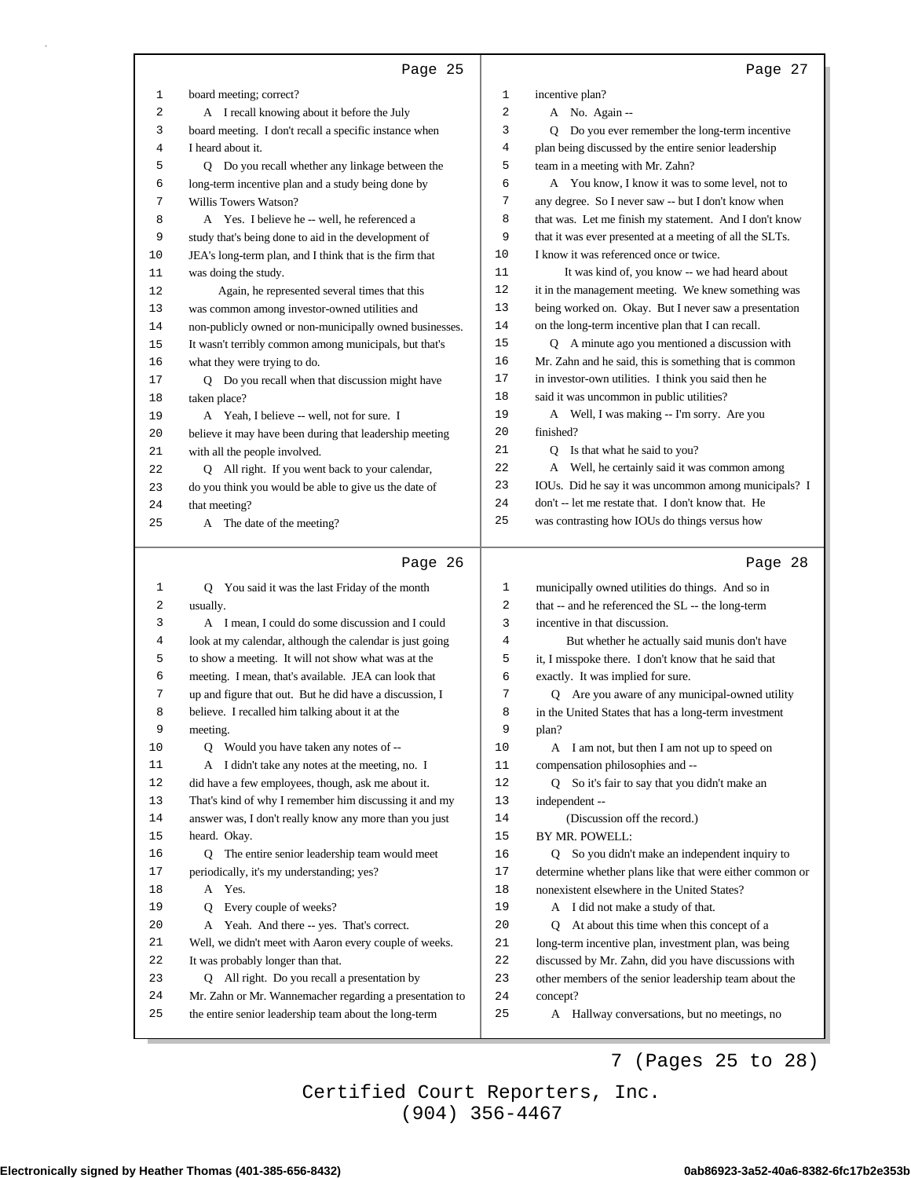|    | Page 25                                                                |    | Page 27                                                  |
|----|------------------------------------------------------------------------|----|----------------------------------------------------------|
| 1  | board meeting; correct?                                                | 1  | incentive plan?                                          |
| 2  | A I recall knowing about it before the July                            | 2  | A No. Again --                                           |
| 3  | board meeting. I don't recall a specific instance when                 | 3  | Q Do you ever remember the long-term incentive           |
| 4  | I heard about it.                                                      | 4  | plan being discussed by the entire senior leadership     |
| 5  | Q Do you recall whether any linkage between the                        | 5  | team in a meeting with Mr. Zahn?                         |
| 6  | long-term incentive plan and a study being done by                     | 6  | A You know, I know it was to some level, not to          |
| 7  | Willis Towers Watson?                                                  | 7  | any degree. So I never saw -- but I don't know when      |
| 8  | A Yes. I believe he -- well, he referenced a                           | 8  | that was. Let me finish my statement. And I don't know   |
| 9  | study that's being done to aid in the development of                   | 9  | that it was ever presented at a meeting of all the SLTs. |
| 10 | JEA's long-term plan, and I think that is the firm that                | 10 | I know it was referenced once or twice.                  |
| 11 | was doing the study.                                                   | 11 | It was kind of, you know -- we had heard about           |
| 12 | Again, he represented several times that this                          | 12 | it in the management meeting. We knew something was      |
| 13 | was common among investor-owned utilities and                          | 13 | being worked on. Okay. But I never saw a presentation    |
| 14 | non-publicly owned or non-municipally owned businesses.                | 14 | on the long-term incentive plan that I can recall.       |
| 15 | It wasn't terribly common among municipals, but that's                 | 15 | Q A minute ago you mentioned a discussion with           |
| 16 | what they were trying to do.                                           | 16 | Mr. Zahn and he said, this is something that is common   |
| 17 | Q Do you recall when that discussion might have                        | 17 | in investor-own utilities. I think you said then he      |
| 18 | taken place?                                                           | 18 | said it was uncommon in public utilities?                |
| 19 | A Yeah, I believe -- well, not for sure. I                             | 19 | A Well, I was making -- I'm sorry. Are you               |
| 20 | believe it may have been during that leadership meeting                | 20 | finished?                                                |
| 21 | with all the people involved.                                          | 21 | Q Is that what he said to you?                           |
| 22 | Q All right. If you went back to your calendar,                        | 22 | A Well, he certainly said it was common among            |
| 23 | do you think you would be able to give us the date of                  | 23 | IOUs. Did he say it was uncommon among municipals? I     |
| 24 | that meeting?                                                          | 24 | don't -- let me restate that. I don't know that. He      |
| 25 | A The date of the meeting?                                             | 25 | was contrasting how IOUs do things versus how            |
|    |                                                                        |    |                                                          |
|    | Page 26                                                                |    | Page 28                                                  |
| 1  | You said it was the last Friday of the month<br>Q                      | 1  | municipally owned utilities do things. And so in         |
| 2  | usually.                                                               | 2  | that -- and he referenced the SL -- the long-term        |
| 3  | A I mean, I could do some discussion and I could                       | 3  | incentive in that discussion.                            |
| 4  | look at my calendar, although the calendar is just going               | 4  | But whether he actually said munis don't have            |
| 5  | to show a meeting. It will not show what was at the                    | 5  | it, I misspoke there. I don't know that he said that     |
| 6  | meeting. I mean, that's available. JEA can look that                   | 6  | exactly. It was implied for sure.                        |
| 7  | up and figure that out. But he did have a discussion, I                | 7  | Q Are you aware of any municipal-owned utility           |
| 8  | believe. I recalled him talking about it at the                        | 8  | in the United States that has a long-term investment     |
| 9  | meeting.                                                               | 9  | plan?                                                    |
| 10 | Q Would you have taken any notes of --                                 | 10 | A I am not, but then I am not up to speed on             |
| 11 | A I didn't take any notes at the meeting, no. I                        | 11 | compensation philosophies and --                         |
| 12 | did have a few employees, though, ask me about it.                     | 12 | Q So it's fair to say that you didn't make an            |
| 13 | That's kind of why I remember him discussing it and my                 | 13 | independent --                                           |
|    |                                                                        |    |                                                          |
| 14 |                                                                        | 14 | (Discussion off the record.)                             |
| 15 | answer was, I don't really know any more than you just<br>heard. Okay. | 15 | BY MR. POWELL:                                           |
| 16 | Q The entire senior leadership team would meet                         | 16 | Q So you didn't make an independent inquiry to           |
| 17 | periodically, it's my understanding; yes?                              | 17 | determine whether plans like that were either common or  |
| 18 | A Yes.                                                                 | 18 | nonexistent elsewhere in the United States?              |
| 19 | Every couple of weeks?<br>Q                                            | 19 | A I did not make a study of that.                        |
| 20 | A Yeah. And there -- yes. That's correct.                              | 20 | At about this time when this concept of a<br>Q           |
| 21 | Well, we didn't meet with Aaron every couple of weeks.                 | 21 | long-term incentive plan, investment plan, was being     |
| 22 | It was probably longer than that.                                      | 22 | discussed by Mr. Zahn, did you have discussions with     |
| 23 | Q All right. Do you recall a presentation by                           | 23 | other members of the senior leadership team about the    |
| 24 | Mr. Zahn or Mr. Wannemacher regarding a presentation to                | 24 | concept?                                                 |
| 25 | the entire senior leadership team about the long-term                  | 25 | A Hallway conversations, but no meetings, no             |

ш

7 (Pages 25 to 28)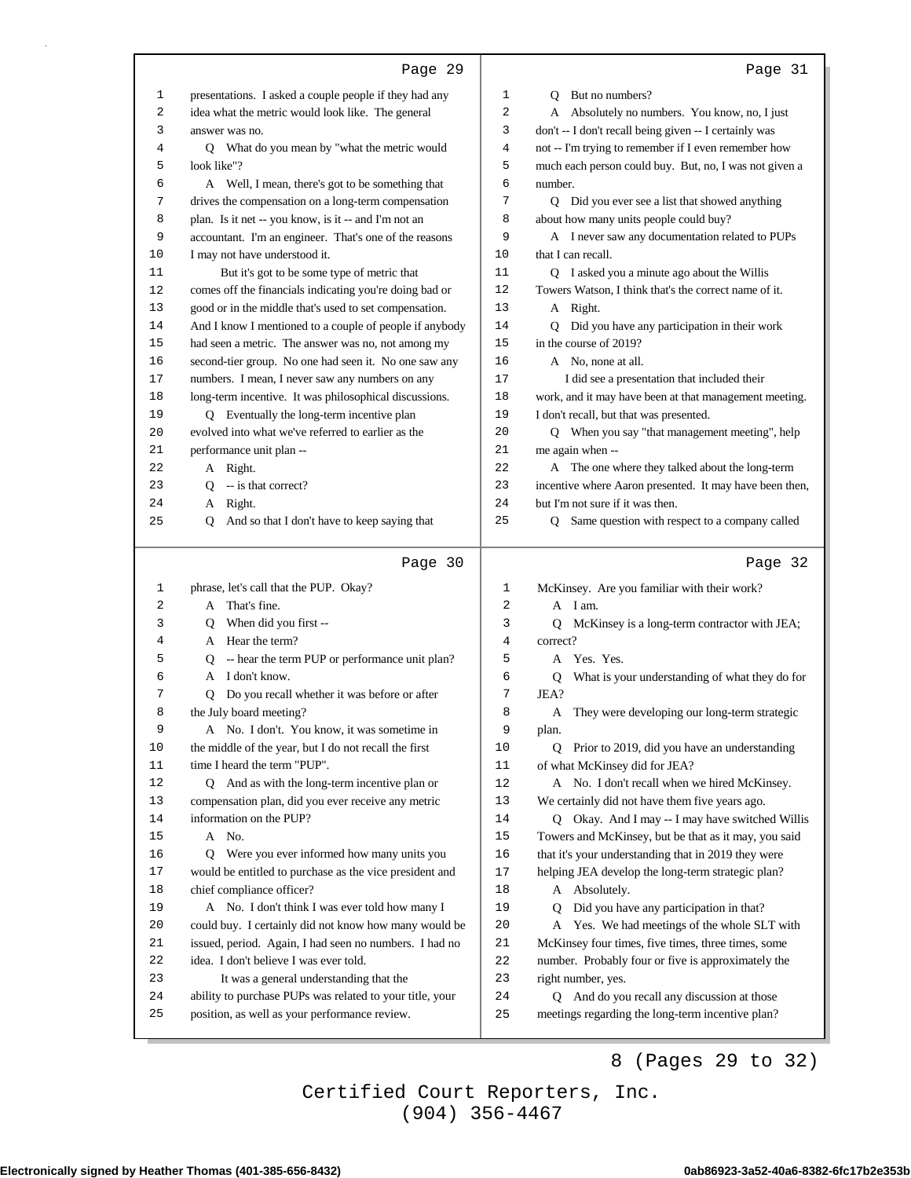|      | Page 29                                                                   |    | Page 31                                                 |
|------|---------------------------------------------------------------------------|----|---------------------------------------------------------|
| 1    | presentations. I asked a couple people if they had any                    | 1  | Q But no numbers?                                       |
| 2    | idea what the metric would look like. The general                         | 2  | A Absolutely no numbers. You know, no, I just           |
| 3    | answer was no.                                                            | 3  | don't -- I don't recall being given -- I certainly was  |
| 4    | Q What do you mean by "what the metric would                              | 4  | not -- I'm trying to remember if I even remember how    |
| 5    | look like"?                                                               | 5  | much each person could buy. But, no, I was not given a  |
| 6    | A Well, I mean, there's got to be something that                          | 6  | number.                                                 |
| 7    | drives the compensation on a long-term compensation                       | 7  | Q Did you ever see a list that showed anything          |
| 8    | plan. Is it net -- you know, is it -- and I'm not an                      | 8  | about how many units people could buy?                  |
| 9    | accountant. I'm an engineer. That's one of the reasons                    | 9  | A I never saw any documentation related to PUPs         |
| 10   | I may not have understood it.                                             | 10 | that I can recall.                                      |
| 11   | But it's got to be some type of metric that                               | 11 | Q I asked you a minute ago about the Willis             |
| 12   | comes off the financials indicating you're doing bad or                   | 12 | Towers Watson, I think that's the correct name of it.   |
| 13   | good or in the middle that's used to set compensation.                    | 13 | A Right.                                                |
| 14   | And I know I mentioned to a couple of people if anybody                   | 14 | Q Did you have any participation in their work          |
| 15   | had seen a metric. The answer was no, not among my                        | 15 | in the course of 2019?                                  |
| 16   | second-tier group. No one had seen it. No one saw any                     | 16 | A No, none at all.                                      |
| 17   | numbers. I mean, I never saw any numbers on any                           | 17 | I did see a presentation that included their            |
| 18   | long-term incentive. It was philosophical discussions.                    | 18 | work, and it may have been at that management meeting.  |
| 19   | Q Eventually the long-term incentive plan                                 | 19 | I don't recall, but that was presented.                 |
| 20   | evolved into what we've referred to earlier as the                        | 20 | Q When you say "that management meeting", help          |
| 21   | performance unit plan --                                                  | 21 | me again when --                                        |
| 22   | A Right.                                                                  | 22 | A The one where they talked about the long-term         |
| 23   | $Q - is that correct?$                                                    | 23 | incentive where Aaron presented. It may have been then, |
| 24   | A Right.                                                                  | 24 | but I'm not sure if it was then.                        |
| 25   | And so that I don't have to keep saying that<br>Q                         | 25 | Q Same question with respect to a company called        |
|      |                                                                           |    |                                                         |
|      | Page 30                                                                   |    | Page 32                                                 |
| 1    | phrase, let's call that the PUP. Okay?                                    | 1  | McKinsey. Are you familiar with their work?             |
| 2    | A That's fine.                                                            | 2  | A I am.                                                 |
| 3    | When did you first --<br>Q                                                | 3  | McKinsey is a long-term contractor with JEA;<br>Q       |
| 4    | A Hear the term?                                                          | 4  | correct?                                                |
| 5    | Q -- hear the term PUP or performance unit plan?                          | 5  | Yes. Yes.<br>A                                          |
| 6    | A I don't know.                                                           |    |                                                         |
| 7    |                                                                           | 6  | Q                                                       |
|      |                                                                           | 7  | What is your understanding of what they do for<br>JEA?  |
| 8    | Q Do you recall whether it was before or after<br>the July board meeting? | 8  |                                                         |
| 9    | A No. I don't. You know, it was sometime in                               | 9  | A They were developing our long-term strategic          |
| $10$ | the middle of the year, but I do not recall the first                     | 10 | plan.<br>Q Prior to 2019, did you have an understanding |
| 11   | time I heard the term "PUP".                                              | 11 | of what McKinsey did for JEA?                           |
| 12   | Q And as with the long-term incentive plan or                             | 12 | A No. I don't recall when we hired McKinsey.            |
| 13   | compensation plan, did you ever receive any metric                        | 13 | We certainly did not have them five years ago.          |
| 14   | information on the PUP?                                                   | 14 | Q Okay. And I may -- I may have switched Willis         |
| 15   | A No.                                                                     | 15 | Towers and McKinsey, but be that as it may, you said    |
| 16   | Q Were you ever informed how many units you                               | 16 | that it's your understanding that in 2019 they were     |
| 17   | would be entitled to purchase as the vice president and                   | 17 | helping JEA develop the long-term strategic plan?       |
| 18   | chief compliance officer?                                                 | 18 | A Absolutely.                                           |
| 19   | A No. I don't think I was ever told how many I                            | 19 | Did you have any participation in that?<br>Q            |
| 20   | could buy. I certainly did not know how many would be                     | 20 | A Yes. We had meetings of the whole SLT with            |
| 21   | issued, period. Again, I had seen no numbers. I had no                    | 21 | McKinsey four times, five times, three times, some      |
| 22   | idea. I don't believe I was ever told.                                    | 22 | number. Probably four or five is approximately the      |
| 23   | It was a general understanding that the                                   | 23 | right number, yes.                                      |
| 24   | ability to purchase PUPs was related to your title, your                  | 24 | Q And do you recall any discussion at those             |
| 25   | position, as well as your performance review.                             | 25 | meetings regarding the long-term incentive plan?        |

8 (Pages 29 to 32)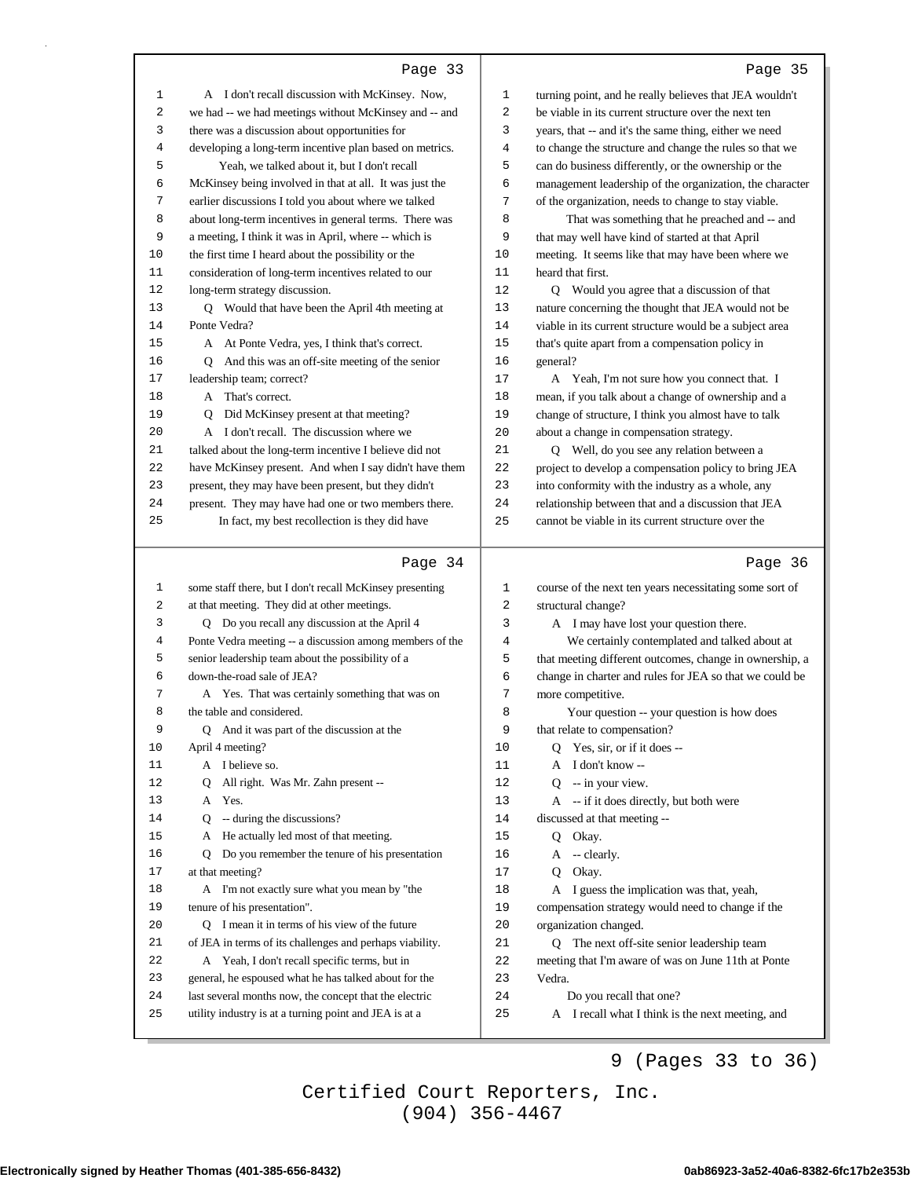| c<br>н.<br>- |  |
|--------------|--|
|--------------|--|

|              | Page 33                                                                                                          |          | Page 35                                                                       |
|--------------|------------------------------------------------------------------------------------------------------------------|----------|-------------------------------------------------------------------------------|
| 1            | A I don't recall discussion with McKinsey. Now,                                                                  | 1        | turning point, and he really believes that JEA wouldn't                       |
| 2            | we had -- we had meetings without McKinsey and -- and                                                            | 2        | be viable in its current structure over the next ten                          |
| 3            | there was a discussion about opportunities for                                                                   | 3        | years, that -- and it's the same thing, either we need                        |
| 4            | developing a long-term incentive plan based on metrics.                                                          | 4        | to change the structure and change the rules so that we                       |
| 5            | Yeah, we talked about it, but I don't recall                                                                     | 5        | can do business differently, or the ownership or the                          |
| 6            | McKinsey being involved in that at all. It was just the                                                          | 6        | management leadership of the organization, the character                      |
| 7            | earlier discussions I told you about where we talked                                                             | 7        | of the organization, needs to change to stay viable.                          |
| 8            | about long-term incentives in general terms. There was                                                           | 8        | That was something that he preached and -- and                                |
| 9            | a meeting, I think it was in April, where -- which is                                                            | 9        | that may well have kind of started at that April                              |
| 10           | the first time I heard about the possibility or the                                                              | 10       | meeting. It seems like that may have been where we                            |
| 11           | consideration of long-term incentives related to our                                                             | 11       | heard that first.                                                             |
| 12           | long-term strategy discussion.                                                                                   | 12       | Q Would you agree that a discussion of that                                   |
| 13           | Q Would that have been the April 4th meeting at                                                                  | 13       | nature concerning the thought that JEA would not be                           |
| 14           | Ponte Vedra?                                                                                                     | 14       | viable in its current structure would be a subject area                       |
| 15           | A At Ponte Vedra, yes, I think that's correct.                                                                   | 15       | that's quite apart from a compensation policy in                              |
| 16           | Q And this was an off-site meeting of the senior                                                                 | 16       | general?                                                                      |
| 17           | leadership team; correct?                                                                                        | 17       | A Yeah, I'm not sure how you connect that. I                                  |
| 18           | A That's correct.                                                                                                | 18       | mean, if you talk about a change of ownership and a                           |
| 19           | Q Did McKinsey present at that meeting?                                                                          | 19       | change of structure, I think you almost have to talk                          |
| 20           | A I don't recall. The discussion where we                                                                        | 20       | about a change in compensation strategy.                                      |
| 21           | talked about the long-term incentive I believe did not                                                           | 21       | Q Well, do you see any relation between a                                     |
| 22           | have McKinsey present. And when I say didn't have them                                                           | 22       | project to develop a compensation policy to bring JEA                         |
| 23           | present, they may have been present, but they didn't                                                             | 23       | into conformity with the industry as a whole, any                             |
| 24           | present. They may have had one or two members there.                                                             | 24       | relationship between that and a discussion that JEA                           |
| 25           | In fact, my best recollection is they did have                                                                   | 25       | cannot be viable in its current structure over the                            |
|              |                                                                                                                  |          |                                                                               |
|              | Page 34                                                                                                          |          | Page 36                                                                       |
| $\mathbf{1}$ | some staff there, but I don't recall McKinsey presenting                                                         | 1        |                                                                               |
| 2            | at that meeting. They did at other meetings.                                                                     | 2        | course of the next ten years necessitating some sort of<br>structural change? |
| 3            | Q Do you recall any discussion at the April 4                                                                    | 3        | A I may have lost your question there.                                        |
| 4            | Ponte Vedra meeting -- a discussion among members of the                                                         | 4        | We certainly contemplated and talked about at                                 |
| 5            | senior leadership team about the possibility of a                                                                | 5        | that meeting different outcomes, change in ownership, a                       |
| 6            | down-the-road sale of JEA?                                                                                       | 6        | change in charter and rules for JEA so that we could be                       |
| 7            | A Yes. That was certainly something that was on                                                                  | 7        | more competitive.                                                             |
| 8            | the table and considered.                                                                                        | 8        | Your question -- your question is how does                                    |
| 9            | And it was part of the discussion at the<br>Q                                                                    | 9        | that relate to compensation?                                                  |
| 10           | April 4 meeting?                                                                                                 | 10       | Yes, sir, or if it does --<br>Q                                               |
| 11           | A I believe so.                                                                                                  | 11       | I don't know --<br>A                                                          |
| 12           | All right. Was Mr. Zahn present --<br>Q                                                                          | 12       | -- in your view.<br>O                                                         |
| 13           | A Yes.                                                                                                           | 13       | A -- if it does directly, but both were                                       |
| 14           | -- during the discussions?<br>Q                                                                                  | 14       | discussed at that meeting --                                                  |
| 15           | A He actually led most of that meeting.                                                                          | 15       | Okay.<br>Q.                                                                   |
| 16           | Do you remember the tenure of his presentation<br>Q                                                              | 16       | $A - clearly.$                                                                |
| 17           | at that meeting?                                                                                                 | 17       | Okay.<br>Q                                                                    |
| 18           | A I'm not exactly sure what you mean by "the                                                                     | 18       | A I guess the implication was that, yeah,                                     |
| 19           | tenure of his presentation".                                                                                     | 19       | compensation strategy would need to change if the                             |
| 20           | Q I mean it in terms of his view of the future                                                                   | 20       | organization changed.                                                         |
| 21           | of JEA in terms of its challenges and perhaps viability.                                                         | 21       | Q The next off-site senior leadership team                                    |
| 22           | A Yeah, I don't recall specific terms, but in                                                                    | 22       | meeting that I'm aware of was on June 11th at Ponte                           |
| 23           | general, he espoused what he has talked about for the                                                            | 23       | Vedra.                                                                        |
| 24<br>25     | last several months now, the concept that the electric<br>utility industry is at a turning point and JEA is at a | 24<br>25 | Do you recall that one?<br>A I recall what I think is the next meeting, and   |

## 9 (Pages 33 to 36)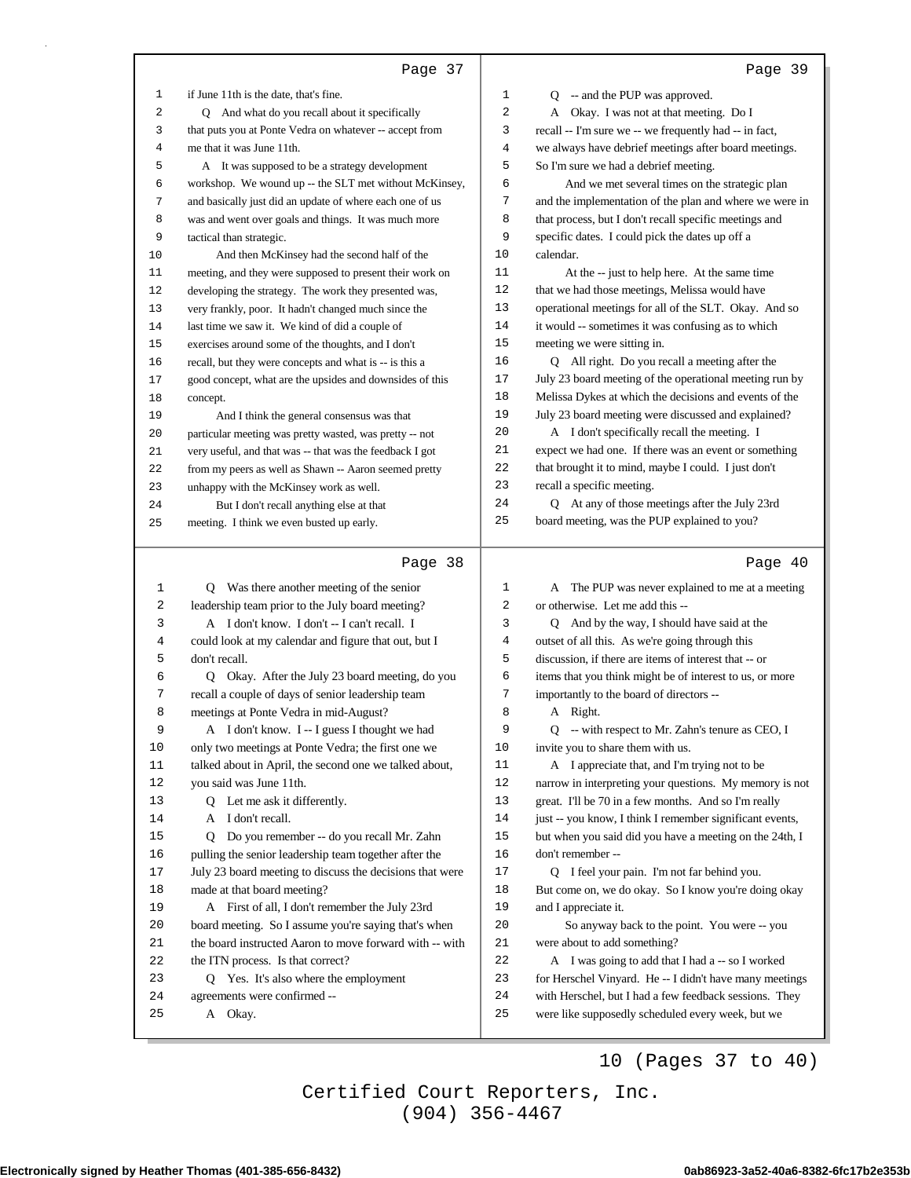|                | Page 37                                                  |        | Page 39                                                  |
|----------------|----------------------------------------------------------|--------|----------------------------------------------------------|
| $\mathbf{1}$   | if June 11th is the date, that's fine.                   | 1      | Q -- and the PUP was approved.                           |
| 2              | Q And what do you recall about it specifically           | 2      | A Okay. I was not at that meeting. Do I                  |
| 3              | that puts you at Ponte Vedra on whatever -- accept from  | 3      | recall -- I'm sure we -- we frequently had -- in fact,   |
| 4              | me that it was June 11th.                                | 4      | we always have debrief meetings after board meetings.    |
| 5              | A It was supposed to be a strategy development           | 5      | So I'm sure we had a debrief meeting.                    |
| 6              | workshop. We wound up -- the SLT met without McKinsey,   | 6      | And we met several times on the strategic plan           |
| 7              | and basically just did an update of where each one of us | 7      | and the implementation of the plan and where we were in  |
| 8              | was and went over goals and things. It was much more     | 8      | that process, but I don't recall specific meetings and   |
| 9              | tactical than strategic.                                 | 9      | specific dates. I could pick the dates up off a          |
| 10             | And then McKinsey had the second half of the             | 10     | calendar.                                                |
| 11             | meeting, and they were supposed to present their work on | 11     | At the -- just to help here. At the same time            |
| 12             | developing the strategy. The work they presented was,    | 12     | that we had those meetings, Melissa would have           |
| 13             | very frankly, poor. It hadn't changed much since the     | 13     | operational meetings for all of the SLT. Okay. And so    |
| 14             | last time we saw it. We kind of did a couple of          | 14     | it would -- sometimes it was confusing as to which       |
| 15             | exercises around some of the thoughts, and I don't       | 15     | meeting we were sitting in.                              |
| 16             | recall, but they were concepts and what is -- is this a  | 16     | Q All right. Do you recall a meeting after the           |
| 17             | good concept, what are the upsides and downsides of this | 17     | July 23 board meeting of the operational meeting run by  |
| 18             | concept.                                                 | 18     | Melissa Dykes at which the decisions and events of the   |
| 19             | And I think the general consensus was that               | 19     | July 23 board meeting were discussed and explained?      |
| 20             | particular meeting was pretty wasted, was pretty -- not  | 20     | A I don't specifically recall the meeting. I             |
| 21             | very useful, and that was -- that was the feedback I got | 21     | expect we had one. If there was an event or something    |
| 22             | from my peers as well as Shawn -- Aaron seemed pretty    | 22     | that brought it to mind, maybe I could. I just don't     |
| 23             | unhappy with the McKinsey work as well.                  | 23     | recall a specific meeting.                               |
| 24             | But I don't recall anything else at that                 | 24     | Q At any of those meetings after the July 23rd           |
| 25             | meeting. I think we even busted up early.                | 25     | board meeting, was the PUP explained to you?             |
|                | Page 38                                                  |        | Page 40                                                  |
| 1              | Q Was there another meeting of the senior                | 1      | A The PUP was never explained to me at a meeting         |
| 2              | leadership team prior to the July board meeting?         | 2      | or otherwise. Let me add this --                         |
| 3              | A I don't know. I don't -- I can't recall. I             | 3      | Q And by the way, I should have said at the              |
| $\overline{4}$ | could look at my calendar and figure that out, but I     | 4      | outset of all this. As we're going through this          |
| 5              | don't recall.                                            | 5      | discussion, if there are items of interest that -- or    |
| 6              | Okay. After the July 23 board meeting, do you<br>O.      | 6      | items that you think might be of interest to us, or more |
| 7              | recall a couple of days of senior leadership team        | 7      | importantly to the board of directors --                 |
| 8              | meetings at Ponte Vedra in mid-August?                   | 8      | A Right.                                                 |
| 9              | A I don't know. I -- I guess I thought we had            | 9      | Q -- with respect to Mr. Zahn's tenure as CEO, I         |
| 10             | only two meetings at Ponte Vedra; the first one we       | 10     | invite you to share them with us.                        |
| $11\,$         | talked about in April, the second one we talked about,   | $11\,$ | A I appreciate that, and I'm trying not to be            |
| 12             | you said was June 11th.                                  | $12\,$ | narrow in interpreting your questions. My memory is not  |
| 13             | Q Let me ask it differently.                             | 13     | great. I'll be 70 in a few months. And so I'm really     |
| 14             | A I don't recall.                                        | $1\,4$ | just -- you know, I think I remember significant events, |
| 15             | Do you remember -- do you recall Mr. Zahn<br>Q           | 15     | but when you said did you have a meeting on the 24th, I  |
| 16             | pulling the senior leadership team together after the    | 16     | don't remember --                                        |
| $17$           | July 23 board meeting to discuss the decisions that were | $17\,$ | Q I feel your pain. I'm not far behind you.              |
| 18             | made at that board meeting?                              | 18     | But come on, we do okay. So I know you're doing okay     |
| 19             | A First of all, I don't remember the July 23rd           | 19     | and I appreciate it.                                     |
| 20             | board meeting. So I assume you're saying that's when     | 20     | So anyway back to the point. You were -- you             |
| 21             | the board instructed Aaron to move forward with -- with  | 21     | were about to add something?                             |
| 22             | the ITN process. Is that correct?                        | 22     | A I was going to add that I had a -- so I worked         |
| 23             | Q Yes. It's also where the employment                    | 23     | for Herschel Vinyard. He -- I didn't have many meetings  |
| 24             | agreements were confirmed --                             | 24     | with Herschel, but I had a few feedback sessions. They   |
| 25             | A Okay.                                                  | 25     | were like supposedly scheduled every week, but we        |

10 (Pages 37 to 40)

(904) 356-4467 Certified Court Reporters, Inc.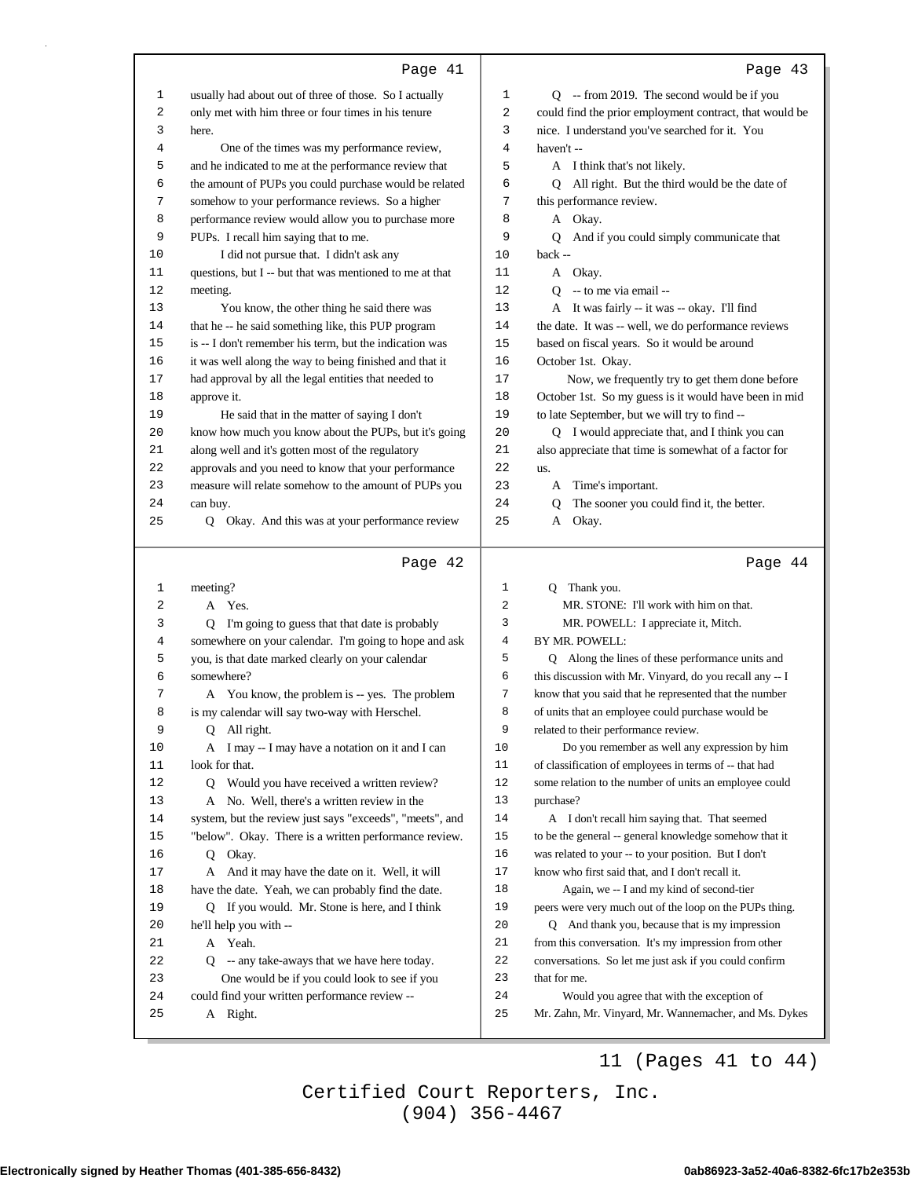|          | Page 41                                                                                               |                | Page 43                                                                                                  |
|----------|-------------------------------------------------------------------------------------------------------|----------------|----------------------------------------------------------------------------------------------------------|
| 1        | usually had about out of three of those. So I actually                                                | 1              | Q -- from 2019. The second would be if you                                                               |
| 2        | only met with him three or four times in his tenure                                                   | $\overline{2}$ | could find the prior employment contract, that would be                                                  |
| 3        | here.                                                                                                 | 3              | nice. I understand you've searched for it. You                                                           |
| 4        | One of the times was my performance review,                                                           | 4              | haven't-                                                                                                 |
| 5        | and he indicated to me at the performance review that                                                 | 5              | A I think that's not likely.                                                                             |
| 6        | the amount of PUPs you could purchase would be related                                                | 6              | Q All right. But the third would be the date of                                                          |
| 7        | somehow to your performance reviews. So a higher                                                      | 7              | this performance review.                                                                                 |
| 8        | performance review would allow you to purchase more                                                   | 8              | A Okay.                                                                                                  |
| 9        | PUPs. I recall him saying that to me.                                                                 | 9              | And if you could simply communicate that<br>O                                                            |
| 10       | I did not pursue that. I didn't ask any                                                               | 10             | back --                                                                                                  |
| 11       | questions, but I -- but that was mentioned to me at that                                              | 11             | A Okay.                                                                                                  |
| 12       | meeting.                                                                                              | 12             | $Q -$ to me via email --                                                                                 |
| 13       | You know, the other thing he said there was                                                           | 13             | A It was fairly -- it was -- okay. I'll find                                                             |
| 14       | that he -- he said something like, this PUP program                                                   | 14             | the date. It was -- well, we do performance reviews                                                      |
| 15       | is -- I don't remember his term, but the indication was                                               | 15             | based on fiscal years. So it would be around                                                             |
| 16       | it was well along the way to being finished and that it                                               | 16             | October 1st. Okay.                                                                                       |
| 17       | had approval by all the legal entities that needed to                                                 | 17             | Now, we frequently try to get them done before                                                           |
| 18       | approve it.                                                                                           | 18             | October 1st. So my guess is it would have been in mid                                                    |
| 19       | He said that in the matter of saying I don't                                                          | 19             | to late September, but we will try to find --                                                            |
| 20       | know how much you know about the PUPs, but it's going                                                 | 20             | Q I would appreciate that, and I think you can                                                           |
| 21       | along well and it's gotten most of the regulatory                                                     | 21             | also appreciate that time is somewhat of a factor for                                                    |
| 22       | approvals and you need to know that your performance                                                  | 22             | us.                                                                                                      |
| 23       | measure will relate somehow to the amount of PUPs you                                                 | 23             | A Time's important.                                                                                      |
| 24       | can buy.                                                                                              | 24             | The sooner you could find it, the better.<br>0                                                           |
| 25       | Q Okay. And this was at your performance review                                                       | 25             | $\mathbf{A}$<br>Okay.                                                                                    |
|          |                                                                                                       |                |                                                                                                          |
|          |                                                                                                       |                |                                                                                                          |
|          | Page 42                                                                                               |                | Page 44                                                                                                  |
| 1        | meeting?                                                                                              | 1              | Q Thank you.                                                                                             |
| 2        | A Yes.                                                                                                | 2              | MR. STONE: I'll work with him on that.                                                                   |
| 3        | Q I'm going to guess that that date is probably                                                       | 3              | MR. POWELL: I appreciate it, Mitch.                                                                      |
| 4        | somewhere on your calendar. I'm going to hope and ask                                                 | 4              | BY MR. POWELL:                                                                                           |
| 5        | you, is that date marked clearly on your calendar                                                     | 5              | Q Along the lines of these performance units and                                                         |
| 6        | somewhere?                                                                                            | 6              | this discussion with Mr. Vinyard, do you recall any -- I                                                 |
| 7        | A You know, the problem is -- yes. The problem                                                        | 7              | know that you said that he represented that the number                                                   |
| 8        | is my calendar will say two-way with Herschel.                                                        | 8              | of units that an employee could purchase would be                                                        |
| 9        | Q<br>All right.                                                                                       | 9              | related to their performance review.                                                                     |
| 10       | A I may -- I may have a notation on it and I can                                                      | 10             | Do you remember as well any expression by him                                                            |
| 11       | look for that.                                                                                        | 11<br>12       | of classification of employees in terms of -- that had                                                   |
| 12<br>13 | Would you have received a written review?<br>Q<br>A No. Well, there's a written review in the         | 13             | some relation to the number of units an employee could<br>purchase?                                      |
|          |                                                                                                       | 14             | A I don't recall him saying that. That seemed                                                            |
| 14<br>15 | system, but the review just says "exceeds", "meets", and                                              | 15             |                                                                                                          |
| 16       | "below". Okay. There is a written performance review.<br>Q Okay.                                      | 16             | to be the general -- general knowledge somehow that it                                                   |
| 17       |                                                                                                       | 17             | was related to your -- to your position. But I don't<br>know who first said that, and I don't recall it. |
| 18       | A And it may have the date on it. Well, it will                                                       | 18             |                                                                                                          |
| 19       | have the date. Yeah, we can probably find the date.<br>Q If you would. Mr. Stone is here, and I think | 19             | Again, we -- I and my kind of second-tier<br>peers were very much out of the loop on the PUPs thing.     |
| 20       |                                                                                                       | 20             | Q And thank you, because that is my impression                                                           |
| 21       | he'll help you with --<br>A Yeah.                                                                     | 21             | from this conversation. It's my impression from other                                                    |
| 22       | Q -- any take-aways that we have here today.                                                          | 22             | conversations. So let me just ask if you could confirm                                                   |
| 23       | One would be if you could look to see if you                                                          | 23             | that for me.                                                                                             |
| 24       | could find your written performance review --                                                         | 24             | Would you agree that with the exception of                                                               |
| 25       | A Right.                                                                                              | 25             | Mr. Zahn, Mr. Vinyard, Mr. Wannemacher, and Ms. Dykes                                                    |

### 11 (Pages 41 to 44)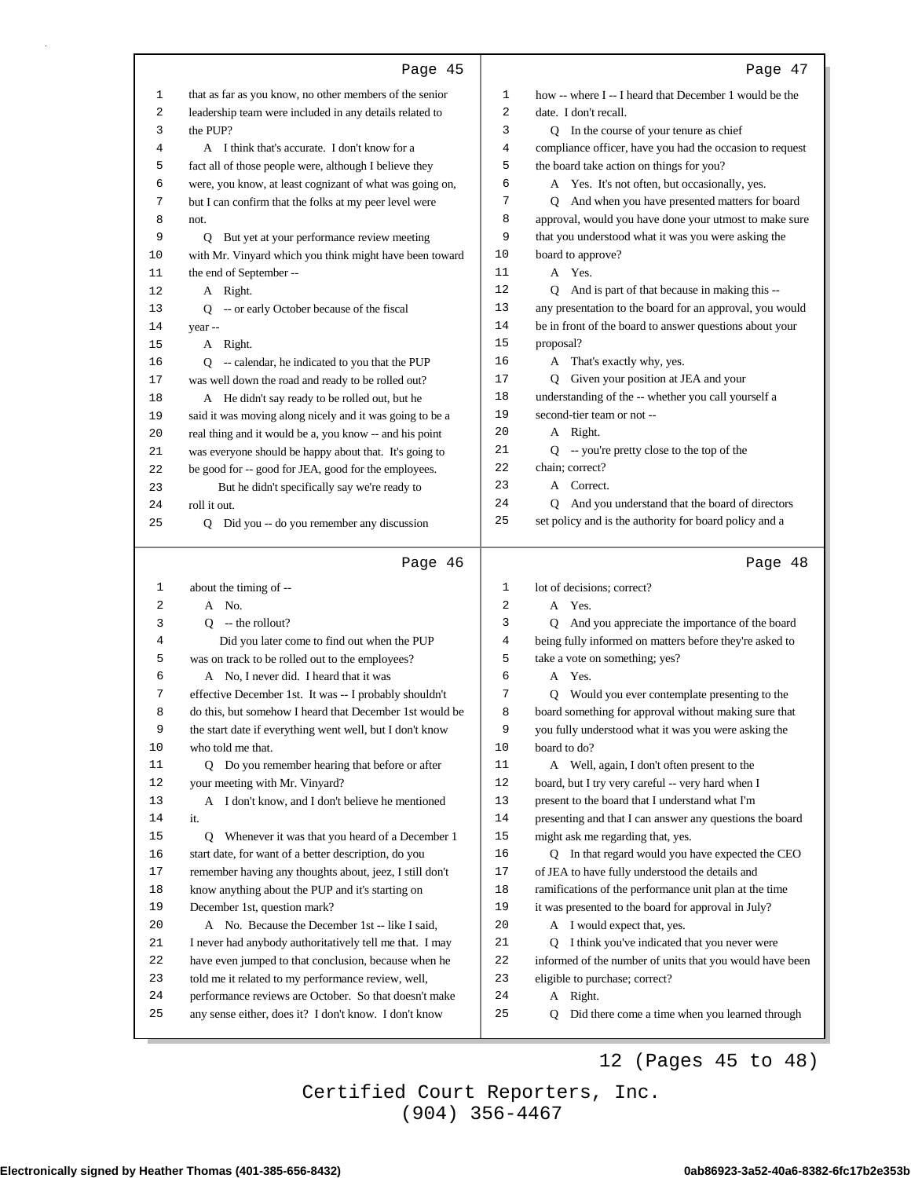|          | Page 45                                                                                                        |          | Page 47                                                             |
|----------|----------------------------------------------------------------------------------------------------------------|----------|---------------------------------------------------------------------|
| 1        | that as far as you know, no other members of the senior                                                        | 1        | how -- where I -- I heard that December 1 would be the              |
| 2        | leadership team were included in any details related to                                                        | 2        | date. I don't recall.                                               |
| 3        | the PUP?                                                                                                       | 3        | Q In the course of your tenure as chief                             |
| 4        | A I think that's accurate. I don't know for a                                                                  | 4        | compliance officer, have you had the occasion to request            |
| 5        | fact all of those people were, although I believe they                                                         | 5        | the board take action on things for you?                            |
| 6        | were, you know, at least cognizant of what was going on,                                                       | 6        | A Yes. It's not often, but occasionally, yes.                       |
| 7        | but I can confirm that the folks at my peer level were                                                         | 7        | Q And when you have presented matters for board                     |
| 8        | not.                                                                                                           | 8        | approval, would you have done your utmost to make sure              |
| 9        | Q But yet at your performance review meeting                                                                   | 9        | that you understood what it was you were asking the                 |
| 10       | with Mr. Vinyard which you think might have been toward                                                        | 10       | board to approve?                                                   |
| 11       | the end of September --                                                                                        | 11       | A Yes.                                                              |
| 12       | A Right.                                                                                                       | 12       | Q And is part of that because in making this --                     |
| 13       | Q -- or early October because of the fiscal                                                                    | 13       | any presentation to the board for an approval, you would            |
| 14       | year --                                                                                                        | 14       | be in front of the board to answer questions about your             |
| 15       | A Right.                                                                                                       | 15<br>16 | proposal?                                                           |
| 16       | Q -- calendar, he indicated to you that the PUP                                                                | 17       | A That's exactly why, yes.<br>Q Given your position at JEA and your |
| 17<br>18 | was well down the road and ready to be rolled out?                                                             | 18       | understanding of the -- whether you call yourself a                 |
| 19       | A He didn't say ready to be rolled out, but he<br>said it was moving along nicely and it was going to be a     | 19       | second-tier team or not --                                          |
| 20       | real thing and it would be a, you know -- and his point                                                        | 20       | A Right.                                                            |
| 21       | was everyone should be happy about that. It's going to                                                         | 21       | Q -- you're pretty close to the top of the                          |
| 22       | be good for -- good for JEA, good for the employees.                                                           | 22       | chain; correct?                                                     |
| 23       | But he didn't specifically say we're ready to                                                                  | 23       | A Correct.                                                          |
| 24       | roll it out.                                                                                                   | 24       | Q And you understand that the board of directors                    |
| 25       | Did you -- do you remember any discussion<br>Q                                                                 | 25       | set policy and is the authority for board policy and a              |
|          |                                                                                                                |          |                                                                     |
|          |                                                                                                                |          |                                                                     |
|          | Page 46                                                                                                        |          | Page 48                                                             |
| 1        | about the timing of --                                                                                         | 1        | lot of decisions; correct?                                          |
| 2        | A No.                                                                                                          | 2        | A Yes.                                                              |
| 3        | $Q$ -- the rollout?                                                                                            | 3        | Q And you appreciate the importance of the board                    |
| 4        | Did you later come to find out when the PUP                                                                    | 4        | being fully informed on matters before they're asked to             |
| 5        | was on track to be rolled out to the employees?                                                                | 5        | take a vote on something; yes?                                      |
| 6        | A No, I never did. I heard that it was                                                                         | 6        | A Yes.                                                              |
| 7        | effective December 1st. It was -- I probably shouldn't                                                         | 7        | Q Would you ever contemplate presenting to the                      |
| 8        | do this, but somehow I heard that December 1st would be                                                        | 8        | board something for approval without making sure that               |
| 9        | the start date if everything went well, but I don't know                                                       | 9<br>10  | you fully understood what it was you were asking the                |
| 10<br>11 | who told me that.<br>Q Do you remember hearing that before or after                                            | 11       | board to do?<br>A Well, again, I don't often present to the         |
| $12$     | your meeting with Mr. Vinyard?                                                                                 | 12       | board, but I try very careful -- very hard when I                   |
| 13       | A I don't know, and I don't believe he mentioned                                                               | 13       | present to the board that I understand what I'm                     |
| 14       | it.                                                                                                            | 14       | presenting and that I can answer any questions the board            |
| 15       | Q Whenever it was that you heard of a December 1                                                               | 15       | might ask me regarding that, yes.                                   |
| 16       | start date, for want of a better description, do you                                                           | 16       | Q In that regard would you have expected the CEO                    |
| 17       | remember having any thoughts about, jeez, I still don't                                                        | 17       | of JEA to have fully understood the details and                     |
| 18       | know anything about the PUP and it's starting on                                                               | 18       | ramifications of the performance unit plan at the time              |
| 19       | December 1st, question mark?                                                                                   | 19       | it was presented to the board for approval in July?                 |
| 20       | A No. Because the December 1st -- like I said,                                                                 | 20       | A I would expect that, yes.                                         |
| 21       | I never had anybody authoritatively tell me that. I may                                                        | 21       | Q I think you've indicated that you never were                      |
| 22       | have even jumped to that conclusion, because when he                                                           | 22       | informed of the number of units that you would have been            |
| 23       | told me it related to my performance review, well,                                                             | 23       | eligible to purchase; correct?                                      |
| 24<br>25 | performance reviews are October. So that doesn't make<br>any sense either, does it? I don't know. I don't know | 24<br>25 | A Right.<br>Did there come a time when you learned through<br>Q     |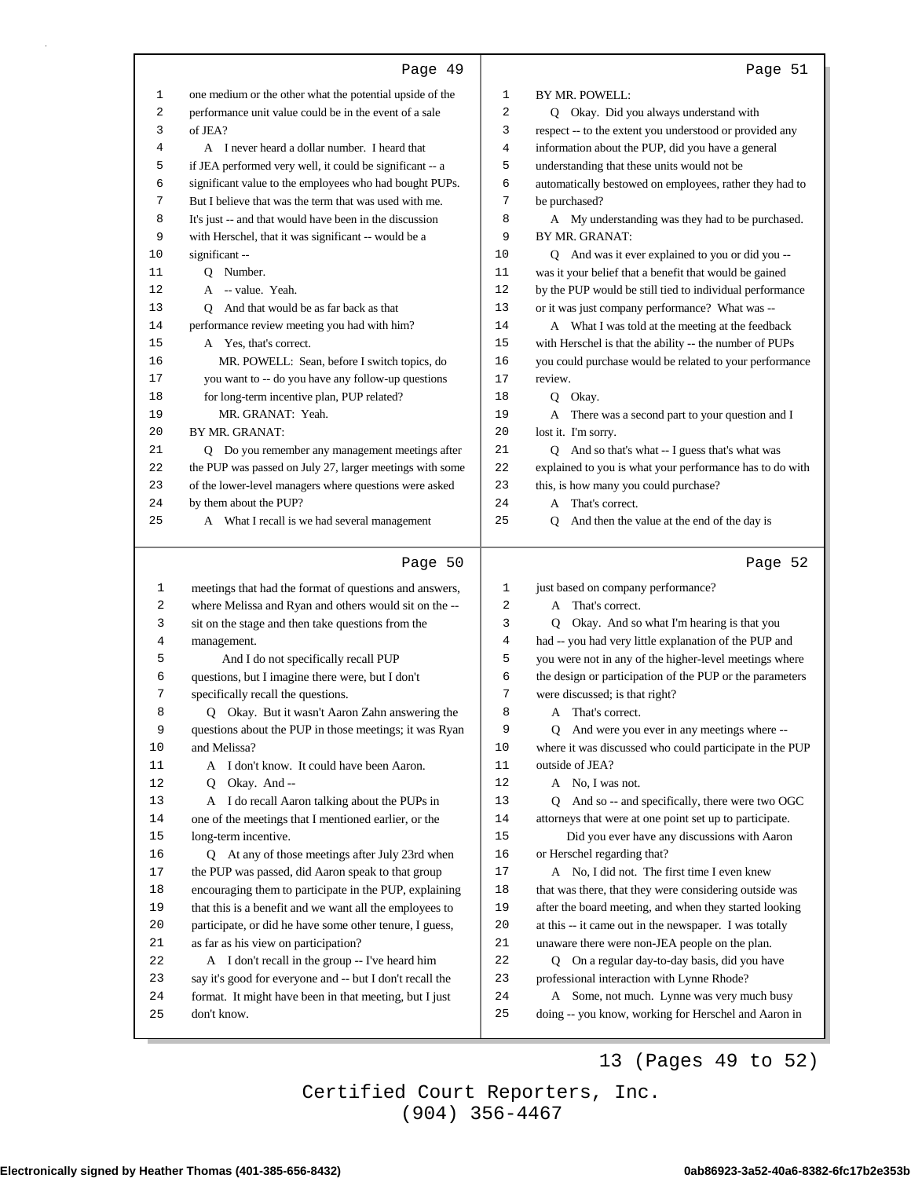| 1<br>one medium or the other what the potential upside of the<br>1<br>BY MR. POWELL:<br>2<br>performance unit value could be in the event of a sale<br>2<br>Q Okay. Did you always understand with<br>of JEA?<br>respect -- to the extent you understood or provided any<br>3<br>3<br>A I never heard a dollar number. I heard that<br>4<br>information about the PUP, did you have a general<br>4<br>if JEA performed very well, it could be significant -- a<br>5<br>understanding that these units would not be<br>5<br>6<br>significant value to the employees who had bought PUPs.<br>6<br>automatically bestowed on employees, rather they had to<br>7<br>But I believe that was the term that was used with me.<br>7<br>be purchased?<br>It's just -- and that would have been in the discussion<br>A My understanding was they had to be purchased.<br>8<br>8<br>9<br>9<br>with Herschel, that it was significant -- would be a<br>BY MR. GRANAT:<br>10<br>significant --<br>10<br>Q And was it ever explained to you or did you --<br>was it your belief that a benefit that would be gained<br>11<br>O Number.<br>11<br>12<br>A -- value. Yeah.<br>12<br>by the PUP would be still tied to individual performance<br>Q And that would be as far back as that<br>13<br>13<br>or it was just company performance? What was --<br>performance review meeting you had with him?<br>14<br>A What I was told at the meeting at the feedback<br>14<br>15<br>with Herschel is that the ability -- the number of PUPs<br>15<br>A Yes, that's correct.<br>MR. POWELL: Sean, before I switch topics, do<br>16<br>you could purchase would be related to your performance<br>16<br>you want to -- do you have any follow-up questions<br>17<br>17<br>review.<br>for long-term incentive plan, PUP related?<br>18<br>18<br>Q Okay.<br>MR. GRANAT: Yeah.<br>19<br>19<br>A There was a second part to your question and I<br>20<br>20<br>BY MR. GRANAT:<br>lost it. I'm sorry.<br>Q Do you remember any management meetings after<br>21<br>Q And so that's what -- I guess that's what was<br>21<br>the PUP was passed on July 27, larger meetings with some<br>22<br>explained to you is what your performance has to do with<br>22<br>23<br>23<br>of the lower-level managers where questions were asked<br>this, is how many you could purchase?<br>24<br>by them about the PUP?<br>24<br>A That's correct.<br>25<br>25<br>A What I recall is we had several management<br>And then the value at the end of the day is<br>Q |  |
|---------------------------------------------------------------------------------------------------------------------------------------------------------------------------------------------------------------------------------------------------------------------------------------------------------------------------------------------------------------------------------------------------------------------------------------------------------------------------------------------------------------------------------------------------------------------------------------------------------------------------------------------------------------------------------------------------------------------------------------------------------------------------------------------------------------------------------------------------------------------------------------------------------------------------------------------------------------------------------------------------------------------------------------------------------------------------------------------------------------------------------------------------------------------------------------------------------------------------------------------------------------------------------------------------------------------------------------------------------------------------------------------------------------------------------------------------------------------------------------------------------------------------------------------------------------------------------------------------------------------------------------------------------------------------------------------------------------------------------------------------------------------------------------------------------------------------------------------------------------------------------------------------------------------------------------------------------------------------------------------------------------------------------------------------------------------------------------------------------------------------------------------------------------------------------------------------------------------------------------------------------------------------------------------------------------------------------------------------------------------------------------------------------------------------------------------------------------------------------------------------------------------------|--|
|                                                                                                                                                                                                                                                                                                                                                                                                                                                                                                                                                                                                                                                                                                                                                                                                                                                                                                                                                                                                                                                                                                                                                                                                                                                                                                                                                                                                                                                                                                                                                                                                                                                                                                                                                                                                                                                                                                                                                                                                                                                                                                                                                                                                                                                                                                                                                                                                                                                                                                                           |  |
|                                                                                                                                                                                                                                                                                                                                                                                                                                                                                                                                                                                                                                                                                                                                                                                                                                                                                                                                                                                                                                                                                                                                                                                                                                                                                                                                                                                                                                                                                                                                                                                                                                                                                                                                                                                                                                                                                                                                                                                                                                                                                                                                                                                                                                                                                                                                                                                                                                                                                                                           |  |
|                                                                                                                                                                                                                                                                                                                                                                                                                                                                                                                                                                                                                                                                                                                                                                                                                                                                                                                                                                                                                                                                                                                                                                                                                                                                                                                                                                                                                                                                                                                                                                                                                                                                                                                                                                                                                                                                                                                                                                                                                                                                                                                                                                                                                                                                                                                                                                                                                                                                                                                           |  |
|                                                                                                                                                                                                                                                                                                                                                                                                                                                                                                                                                                                                                                                                                                                                                                                                                                                                                                                                                                                                                                                                                                                                                                                                                                                                                                                                                                                                                                                                                                                                                                                                                                                                                                                                                                                                                                                                                                                                                                                                                                                                                                                                                                                                                                                                                                                                                                                                                                                                                                                           |  |
|                                                                                                                                                                                                                                                                                                                                                                                                                                                                                                                                                                                                                                                                                                                                                                                                                                                                                                                                                                                                                                                                                                                                                                                                                                                                                                                                                                                                                                                                                                                                                                                                                                                                                                                                                                                                                                                                                                                                                                                                                                                                                                                                                                                                                                                                                                                                                                                                                                                                                                                           |  |
|                                                                                                                                                                                                                                                                                                                                                                                                                                                                                                                                                                                                                                                                                                                                                                                                                                                                                                                                                                                                                                                                                                                                                                                                                                                                                                                                                                                                                                                                                                                                                                                                                                                                                                                                                                                                                                                                                                                                                                                                                                                                                                                                                                                                                                                                                                                                                                                                                                                                                                                           |  |
|                                                                                                                                                                                                                                                                                                                                                                                                                                                                                                                                                                                                                                                                                                                                                                                                                                                                                                                                                                                                                                                                                                                                                                                                                                                                                                                                                                                                                                                                                                                                                                                                                                                                                                                                                                                                                                                                                                                                                                                                                                                                                                                                                                                                                                                                                                                                                                                                                                                                                                                           |  |
|                                                                                                                                                                                                                                                                                                                                                                                                                                                                                                                                                                                                                                                                                                                                                                                                                                                                                                                                                                                                                                                                                                                                                                                                                                                                                                                                                                                                                                                                                                                                                                                                                                                                                                                                                                                                                                                                                                                                                                                                                                                                                                                                                                                                                                                                                                                                                                                                                                                                                                                           |  |
|                                                                                                                                                                                                                                                                                                                                                                                                                                                                                                                                                                                                                                                                                                                                                                                                                                                                                                                                                                                                                                                                                                                                                                                                                                                                                                                                                                                                                                                                                                                                                                                                                                                                                                                                                                                                                                                                                                                                                                                                                                                                                                                                                                                                                                                                                                                                                                                                                                                                                                                           |  |
|                                                                                                                                                                                                                                                                                                                                                                                                                                                                                                                                                                                                                                                                                                                                                                                                                                                                                                                                                                                                                                                                                                                                                                                                                                                                                                                                                                                                                                                                                                                                                                                                                                                                                                                                                                                                                                                                                                                                                                                                                                                                                                                                                                                                                                                                                                                                                                                                                                                                                                                           |  |
|                                                                                                                                                                                                                                                                                                                                                                                                                                                                                                                                                                                                                                                                                                                                                                                                                                                                                                                                                                                                                                                                                                                                                                                                                                                                                                                                                                                                                                                                                                                                                                                                                                                                                                                                                                                                                                                                                                                                                                                                                                                                                                                                                                                                                                                                                                                                                                                                                                                                                                                           |  |
|                                                                                                                                                                                                                                                                                                                                                                                                                                                                                                                                                                                                                                                                                                                                                                                                                                                                                                                                                                                                                                                                                                                                                                                                                                                                                                                                                                                                                                                                                                                                                                                                                                                                                                                                                                                                                                                                                                                                                                                                                                                                                                                                                                                                                                                                                                                                                                                                                                                                                                                           |  |
|                                                                                                                                                                                                                                                                                                                                                                                                                                                                                                                                                                                                                                                                                                                                                                                                                                                                                                                                                                                                                                                                                                                                                                                                                                                                                                                                                                                                                                                                                                                                                                                                                                                                                                                                                                                                                                                                                                                                                                                                                                                                                                                                                                                                                                                                                                                                                                                                                                                                                                                           |  |
|                                                                                                                                                                                                                                                                                                                                                                                                                                                                                                                                                                                                                                                                                                                                                                                                                                                                                                                                                                                                                                                                                                                                                                                                                                                                                                                                                                                                                                                                                                                                                                                                                                                                                                                                                                                                                                                                                                                                                                                                                                                                                                                                                                                                                                                                                                                                                                                                                                                                                                                           |  |
|                                                                                                                                                                                                                                                                                                                                                                                                                                                                                                                                                                                                                                                                                                                                                                                                                                                                                                                                                                                                                                                                                                                                                                                                                                                                                                                                                                                                                                                                                                                                                                                                                                                                                                                                                                                                                                                                                                                                                                                                                                                                                                                                                                                                                                                                                                                                                                                                                                                                                                                           |  |
|                                                                                                                                                                                                                                                                                                                                                                                                                                                                                                                                                                                                                                                                                                                                                                                                                                                                                                                                                                                                                                                                                                                                                                                                                                                                                                                                                                                                                                                                                                                                                                                                                                                                                                                                                                                                                                                                                                                                                                                                                                                                                                                                                                                                                                                                                                                                                                                                                                                                                                                           |  |
|                                                                                                                                                                                                                                                                                                                                                                                                                                                                                                                                                                                                                                                                                                                                                                                                                                                                                                                                                                                                                                                                                                                                                                                                                                                                                                                                                                                                                                                                                                                                                                                                                                                                                                                                                                                                                                                                                                                                                                                                                                                                                                                                                                                                                                                                                                                                                                                                                                                                                                                           |  |
|                                                                                                                                                                                                                                                                                                                                                                                                                                                                                                                                                                                                                                                                                                                                                                                                                                                                                                                                                                                                                                                                                                                                                                                                                                                                                                                                                                                                                                                                                                                                                                                                                                                                                                                                                                                                                                                                                                                                                                                                                                                                                                                                                                                                                                                                                                                                                                                                                                                                                                                           |  |
|                                                                                                                                                                                                                                                                                                                                                                                                                                                                                                                                                                                                                                                                                                                                                                                                                                                                                                                                                                                                                                                                                                                                                                                                                                                                                                                                                                                                                                                                                                                                                                                                                                                                                                                                                                                                                                                                                                                                                                                                                                                                                                                                                                                                                                                                                                                                                                                                                                                                                                                           |  |
|                                                                                                                                                                                                                                                                                                                                                                                                                                                                                                                                                                                                                                                                                                                                                                                                                                                                                                                                                                                                                                                                                                                                                                                                                                                                                                                                                                                                                                                                                                                                                                                                                                                                                                                                                                                                                                                                                                                                                                                                                                                                                                                                                                                                                                                                                                                                                                                                                                                                                                                           |  |
|                                                                                                                                                                                                                                                                                                                                                                                                                                                                                                                                                                                                                                                                                                                                                                                                                                                                                                                                                                                                                                                                                                                                                                                                                                                                                                                                                                                                                                                                                                                                                                                                                                                                                                                                                                                                                                                                                                                                                                                                                                                                                                                                                                                                                                                                                                                                                                                                                                                                                                                           |  |
|                                                                                                                                                                                                                                                                                                                                                                                                                                                                                                                                                                                                                                                                                                                                                                                                                                                                                                                                                                                                                                                                                                                                                                                                                                                                                                                                                                                                                                                                                                                                                                                                                                                                                                                                                                                                                                                                                                                                                                                                                                                                                                                                                                                                                                                                                                                                                                                                                                                                                                                           |  |
|                                                                                                                                                                                                                                                                                                                                                                                                                                                                                                                                                                                                                                                                                                                                                                                                                                                                                                                                                                                                                                                                                                                                                                                                                                                                                                                                                                                                                                                                                                                                                                                                                                                                                                                                                                                                                                                                                                                                                                                                                                                                                                                                                                                                                                                                                                                                                                                                                                                                                                                           |  |
|                                                                                                                                                                                                                                                                                                                                                                                                                                                                                                                                                                                                                                                                                                                                                                                                                                                                                                                                                                                                                                                                                                                                                                                                                                                                                                                                                                                                                                                                                                                                                                                                                                                                                                                                                                                                                                                                                                                                                                                                                                                                                                                                                                                                                                                                                                                                                                                                                                                                                                                           |  |
|                                                                                                                                                                                                                                                                                                                                                                                                                                                                                                                                                                                                                                                                                                                                                                                                                                                                                                                                                                                                                                                                                                                                                                                                                                                                                                                                                                                                                                                                                                                                                                                                                                                                                                                                                                                                                                                                                                                                                                                                                                                                                                                                                                                                                                                                                                                                                                                                                                                                                                                           |  |
| Page 50<br>Page 52                                                                                                                                                                                                                                                                                                                                                                                                                                                                                                                                                                                                                                                                                                                                                                                                                                                                                                                                                                                                                                                                                                                                                                                                                                                                                                                                                                                                                                                                                                                                                                                                                                                                                                                                                                                                                                                                                                                                                                                                                                                                                                                                                                                                                                                                                                                                                                                                                                                                                                        |  |
| just based on company performance?<br>meetings that had the format of questions and answers,<br>1<br>1                                                                                                                                                                                                                                                                                                                                                                                                                                                                                                                                                                                                                                                                                                                                                                                                                                                                                                                                                                                                                                                                                                                                                                                                                                                                                                                                                                                                                                                                                                                                                                                                                                                                                                                                                                                                                                                                                                                                                                                                                                                                                                                                                                                                                                                                                                                                                                                                                    |  |
| where Melissa and Ryan and others would sit on the --<br>A That's correct.<br>2<br>2                                                                                                                                                                                                                                                                                                                                                                                                                                                                                                                                                                                                                                                                                                                                                                                                                                                                                                                                                                                                                                                                                                                                                                                                                                                                                                                                                                                                                                                                                                                                                                                                                                                                                                                                                                                                                                                                                                                                                                                                                                                                                                                                                                                                                                                                                                                                                                                                                                      |  |
| sit on the stage and then take questions from the<br>3<br>3<br>Q Okay. And so what I'm hearing is that you                                                                                                                                                                                                                                                                                                                                                                                                                                                                                                                                                                                                                                                                                                                                                                                                                                                                                                                                                                                                                                                                                                                                                                                                                                                                                                                                                                                                                                                                                                                                                                                                                                                                                                                                                                                                                                                                                                                                                                                                                                                                                                                                                                                                                                                                                                                                                                                                                |  |
| had -- you had very little explanation of the PUP and<br>4<br>management.<br>4                                                                                                                                                                                                                                                                                                                                                                                                                                                                                                                                                                                                                                                                                                                                                                                                                                                                                                                                                                                                                                                                                                                                                                                                                                                                                                                                                                                                                                                                                                                                                                                                                                                                                                                                                                                                                                                                                                                                                                                                                                                                                                                                                                                                                                                                                                                                                                                                                                            |  |
| And I do not specifically recall PUP<br>you were not in any of the higher-level meetings where<br>5<br>5                                                                                                                                                                                                                                                                                                                                                                                                                                                                                                                                                                                                                                                                                                                                                                                                                                                                                                                                                                                                                                                                                                                                                                                                                                                                                                                                                                                                                                                                                                                                                                                                                                                                                                                                                                                                                                                                                                                                                                                                                                                                                                                                                                                                                                                                                                                                                                                                                  |  |
| 6<br>questions, but I imagine there were, but I don't<br>6<br>the design or participation of the PUP or the parameters                                                                                                                                                                                                                                                                                                                                                                                                                                                                                                                                                                                                                                                                                                                                                                                                                                                                                                                                                                                                                                                                                                                                                                                                                                                                                                                                                                                                                                                                                                                                                                                                                                                                                                                                                                                                                                                                                                                                                                                                                                                                                                                                                                                                                                                                                                                                                                                                    |  |
| 7<br>were discussed; is that right?<br>7<br>specifically recall the questions.                                                                                                                                                                                                                                                                                                                                                                                                                                                                                                                                                                                                                                                                                                                                                                                                                                                                                                                                                                                                                                                                                                                                                                                                                                                                                                                                                                                                                                                                                                                                                                                                                                                                                                                                                                                                                                                                                                                                                                                                                                                                                                                                                                                                                                                                                                                                                                                                                                            |  |
| 8<br>A That's correct.<br>8<br>Q Okay. But it wasn't Aaron Zahn answering the                                                                                                                                                                                                                                                                                                                                                                                                                                                                                                                                                                                                                                                                                                                                                                                                                                                                                                                                                                                                                                                                                                                                                                                                                                                                                                                                                                                                                                                                                                                                                                                                                                                                                                                                                                                                                                                                                                                                                                                                                                                                                                                                                                                                                                                                                                                                                                                                                                             |  |
| 9<br>questions about the PUP in those meetings; it was Ryan<br>9<br>And were you ever in any meetings where --                                                                                                                                                                                                                                                                                                                                                                                                                                                                                                                                                                                                                                                                                                                                                                                                                                                                                                                                                                                                                                                                                                                                                                                                                                                                                                                                                                                                                                                                                                                                                                                                                                                                                                                                                                                                                                                                                                                                                                                                                                                                                                                                                                                                                                                                                                                                                                                                            |  |
| 10<br>where it was discussed who could participate in the PUP<br>and Melissa?<br>10                                                                                                                                                                                                                                                                                                                                                                                                                                                                                                                                                                                                                                                                                                                                                                                                                                                                                                                                                                                                                                                                                                                                                                                                                                                                                                                                                                                                                                                                                                                                                                                                                                                                                                                                                                                                                                                                                                                                                                                                                                                                                                                                                                                                                                                                                                                                                                                                                                       |  |
| 11<br>A I don't know. It could have been Aaron.<br>11<br>outside of JEA?                                                                                                                                                                                                                                                                                                                                                                                                                                                                                                                                                                                                                                                                                                                                                                                                                                                                                                                                                                                                                                                                                                                                                                                                                                                                                                                                                                                                                                                                                                                                                                                                                                                                                                                                                                                                                                                                                                                                                                                                                                                                                                                                                                                                                                                                                                                                                                                                                                                  |  |
| 12<br>Q Okay. And --<br>12<br>A No, I was not.                                                                                                                                                                                                                                                                                                                                                                                                                                                                                                                                                                                                                                                                                                                                                                                                                                                                                                                                                                                                                                                                                                                                                                                                                                                                                                                                                                                                                                                                                                                                                                                                                                                                                                                                                                                                                                                                                                                                                                                                                                                                                                                                                                                                                                                                                                                                                                                                                                                                            |  |
| 13<br>A I do recall Aaron talking about the PUPs in<br>13<br>Q And so -- and specifically, there were two OGC                                                                                                                                                                                                                                                                                                                                                                                                                                                                                                                                                                                                                                                                                                                                                                                                                                                                                                                                                                                                                                                                                                                                                                                                                                                                                                                                                                                                                                                                                                                                                                                                                                                                                                                                                                                                                                                                                                                                                                                                                                                                                                                                                                                                                                                                                                                                                                                                             |  |
| 14<br>14<br>one of the meetings that I mentioned earlier, or the<br>attorneys that were at one point set up to participate.                                                                                                                                                                                                                                                                                                                                                                                                                                                                                                                                                                                                                                                                                                                                                                                                                                                                                                                                                                                                                                                                                                                                                                                                                                                                                                                                                                                                                                                                                                                                                                                                                                                                                                                                                                                                                                                                                                                                                                                                                                                                                                                                                                                                                                                                                                                                                                                               |  |
| 15<br>15<br>Did you ever have any discussions with Aaron<br>long-term incentive.                                                                                                                                                                                                                                                                                                                                                                                                                                                                                                                                                                                                                                                                                                                                                                                                                                                                                                                                                                                                                                                                                                                                                                                                                                                                                                                                                                                                                                                                                                                                                                                                                                                                                                                                                                                                                                                                                                                                                                                                                                                                                                                                                                                                                                                                                                                                                                                                                                          |  |
| 16<br>Q At any of those meetings after July 23rd when<br>16<br>or Herschel regarding that?                                                                                                                                                                                                                                                                                                                                                                                                                                                                                                                                                                                                                                                                                                                                                                                                                                                                                                                                                                                                                                                                                                                                                                                                                                                                                                                                                                                                                                                                                                                                                                                                                                                                                                                                                                                                                                                                                                                                                                                                                                                                                                                                                                                                                                                                                                                                                                                                                                |  |
| 17<br>the PUP was passed, did Aaron speak to that group<br>17<br>A No, I did not. The first time I even knew                                                                                                                                                                                                                                                                                                                                                                                                                                                                                                                                                                                                                                                                                                                                                                                                                                                                                                                                                                                                                                                                                                                                                                                                                                                                                                                                                                                                                                                                                                                                                                                                                                                                                                                                                                                                                                                                                                                                                                                                                                                                                                                                                                                                                                                                                                                                                                                                              |  |
| 18<br>encouraging them to participate in the PUP, explaining<br>that was there, that they were considering outside was<br>18                                                                                                                                                                                                                                                                                                                                                                                                                                                                                                                                                                                                                                                                                                                                                                                                                                                                                                                                                                                                                                                                                                                                                                                                                                                                                                                                                                                                                                                                                                                                                                                                                                                                                                                                                                                                                                                                                                                                                                                                                                                                                                                                                                                                                                                                                                                                                                                              |  |
| 19<br>19<br>that this is a benefit and we want all the employees to<br>after the board meeting, and when they started looking                                                                                                                                                                                                                                                                                                                                                                                                                                                                                                                                                                                                                                                                                                                                                                                                                                                                                                                                                                                                                                                                                                                                                                                                                                                                                                                                                                                                                                                                                                                                                                                                                                                                                                                                                                                                                                                                                                                                                                                                                                                                                                                                                                                                                                                                                                                                                                                             |  |
| 20<br>20<br>participate, or did he have some other tenure, I guess,<br>at this -- it came out in the newspaper. I was totally                                                                                                                                                                                                                                                                                                                                                                                                                                                                                                                                                                                                                                                                                                                                                                                                                                                                                                                                                                                                                                                                                                                                                                                                                                                                                                                                                                                                                                                                                                                                                                                                                                                                                                                                                                                                                                                                                                                                                                                                                                                                                                                                                                                                                                                                                                                                                                                             |  |
|                                                                                                                                                                                                                                                                                                                                                                                                                                                                                                                                                                                                                                                                                                                                                                                                                                                                                                                                                                                                                                                                                                                                                                                                                                                                                                                                                                                                                                                                                                                                                                                                                                                                                                                                                                                                                                                                                                                                                                                                                                                                                                                                                                                                                                                                                                                                                                                                                                                                                                                           |  |
| 21<br>21<br>unaware there were non-JEA people on the plan.<br>as far as his view on participation?                                                                                                                                                                                                                                                                                                                                                                                                                                                                                                                                                                                                                                                                                                                                                                                                                                                                                                                                                                                                                                                                                                                                                                                                                                                                                                                                                                                                                                                                                                                                                                                                                                                                                                                                                                                                                                                                                                                                                                                                                                                                                                                                                                                                                                                                                                                                                                                                                        |  |
| 22<br>A I don't recall in the group -- I've heard him<br>22<br>Q On a regular day-to-day basis, did you have                                                                                                                                                                                                                                                                                                                                                                                                                                                                                                                                                                                                                                                                                                                                                                                                                                                                                                                                                                                                                                                                                                                                                                                                                                                                                                                                                                                                                                                                                                                                                                                                                                                                                                                                                                                                                                                                                                                                                                                                                                                                                                                                                                                                                                                                                                                                                                                                              |  |
| 23<br>say it's good for everyone and -- but I don't recall the<br>23<br>professional interaction with Lynne Rhode?                                                                                                                                                                                                                                                                                                                                                                                                                                                                                                                                                                                                                                                                                                                                                                                                                                                                                                                                                                                                                                                                                                                                                                                                                                                                                                                                                                                                                                                                                                                                                                                                                                                                                                                                                                                                                                                                                                                                                                                                                                                                                                                                                                                                                                                                                                                                                                                                        |  |
| 24<br>format. It might have been in that meeting, but I just<br>24<br>A Some, not much. Lynne was very much busy<br>25<br>don't know.<br>25<br>doing -- you know, working for Herschel and Aaron in                                                                                                                                                                                                                                                                                                                                                                                                                                                                                                                                                                                                                                                                                                                                                                                                                                                                                                                                                                                                                                                                                                                                                                                                                                                                                                                                                                                                                                                                                                                                                                                                                                                                                                                                                                                                                                                                                                                                                                                                                                                                                                                                                                                                                                                                                                                       |  |

13 (Pages 49 to 52)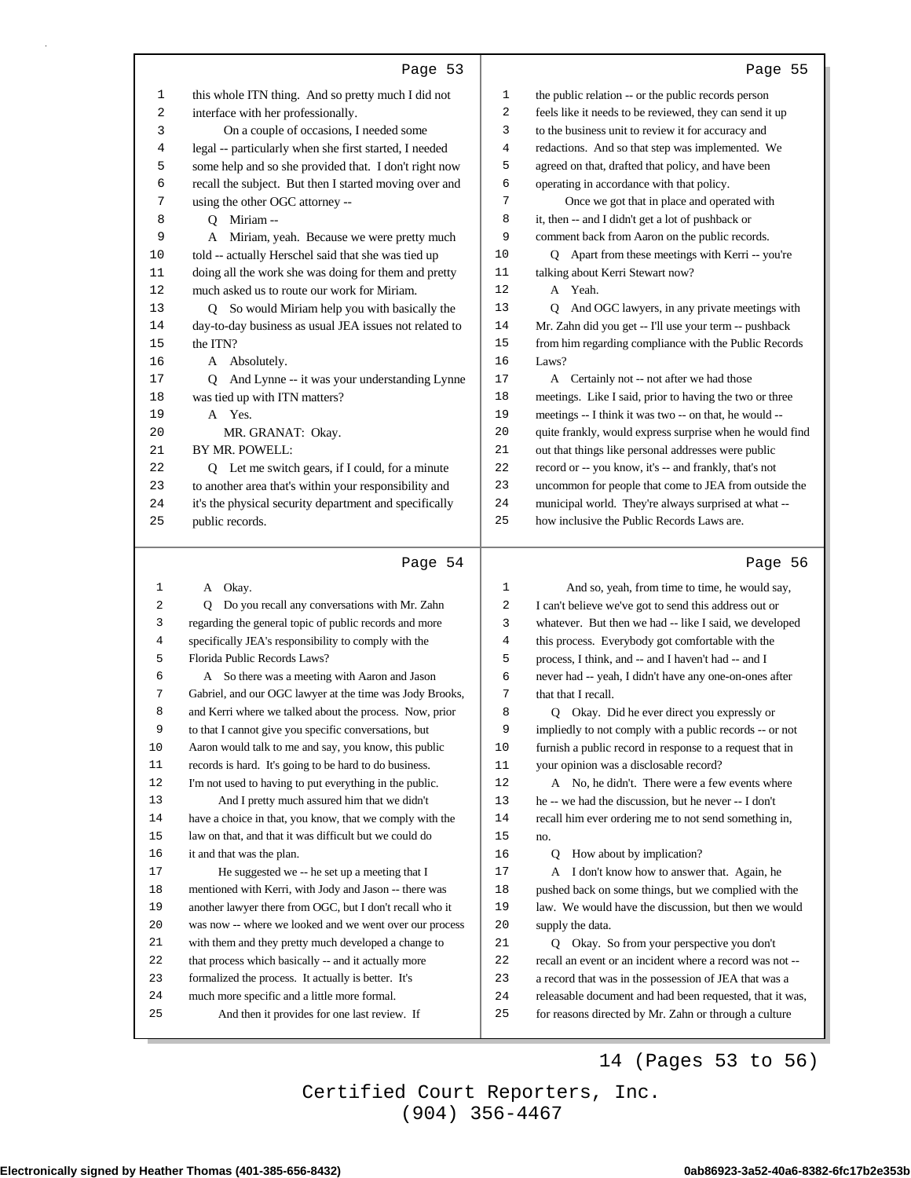|                  | Page 53                                                                                                  |                | Page 55                                                                                                            |
|------------------|----------------------------------------------------------------------------------------------------------|----------------|--------------------------------------------------------------------------------------------------------------------|
| $\mathbf{1}$     | this whole ITN thing. And so pretty much I did not                                                       | $\mathbf 1$    | the public relation -- or the public records person                                                                |
| 2                | interface with her professionally.                                                                       | 2              | feels like it needs to be reviewed, they can send it up                                                            |
| 3                | On a couple of occasions, I needed some                                                                  | 3              | to the business unit to review it for accuracy and                                                                 |
| 4                | legal -- particularly when she first started, I needed                                                   | 4              | redactions. And so that step was implemented. We                                                                   |
| 5                | some help and so she provided that. I don't right now                                                    | 5              | agreed on that, drafted that policy, and have been                                                                 |
| 6                | recall the subject. But then I started moving over and                                                   | 6              | operating in accordance with that policy.                                                                          |
| 7                | using the other OGC attorney --                                                                          | 7              | Once we got that in place and operated with                                                                        |
| 8                | Q Miriam --                                                                                              | 8              | it, then -- and I didn't get a lot of pushback or                                                                  |
| 9                | A Miriam, yeah. Because we were pretty much                                                              | 9              | comment back from Aaron on the public records.                                                                     |
| 10               | told -- actually Herschel said that she was tied up                                                      | 10             | Q Apart from these meetings with Kerri -- you're                                                                   |
| 11               | doing all the work she was doing for them and pretty                                                     | 11             | talking about Kerri Stewart now?                                                                                   |
| 12               | much asked us to route our work for Miriam.                                                              | 12             | A Yeah.                                                                                                            |
| 13               | Q So would Miriam help you with basically the                                                            | 13             | Q And OGC lawyers, in any private meetings with                                                                    |
| 14               | day-to-day business as usual JEA issues not related to                                                   | 14             | Mr. Zahn did you get -- I'll use your term -- pushback                                                             |
| 15               | the ITN?                                                                                                 | 15             | from him regarding compliance with the Public Records                                                              |
| 16               | A Absolutely.                                                                                            | 16             | Laws?                                                                                                              |
| 17               | Q And Lynne -- it was your understanding Lynne                                                           | 17             | A Certainly not -- not after we had those                                                                          |
| 18               | was tied up with ITN matters?                                                                            | 18<br>19       | meetings. Like I said, prior to having the two or three                                                            |
| 19<br>20         | A Yes.<br>MR. GRANAT: Okay.                                                                              | 20             | meetings -- I think it was two -- on that, he would --<br>quite frankly, would express surprise when he would find |
| 21               | BY MR. POWELL:                                                                                           | 21             | out that things like personal addresses were public                                                                |
| 22               | Q Let me switch gears, if I could, for a minute                                                          | 22             | record or -- you know, it's -- and frankly, that's not                                                             |
| 23               | to another area that's within your responsibility and                                                    | 23             | uncommon for people that come to JEA from outside the                                                              |
| 24               | it's the physical security department and specifically                                                   | 24             | municipal world. They're always surprised at what --                                                               |
| 25               | public records.                                                                                          | 25             | how inclusive the Public Records Laws are.                                                                         |
|                  |                                                                                                          |                |                                                                                                                    |
|                  |                                                                                                          |                |                                                                                                                    |
|                  | Page 54                                                                                                  |                | Page 56                                                                                                            |
| 1                | A Okay.                                                                                                  | $\mathbf{1}$   | And so, yeah, from time to time, he would say,                                                                     |
| $\sqrt{2}$       | Q Do you recall any conversations with Mr. Zahn                                                          | 2              | I can't believe we've got to send this address out or                                                              |
| 3                | regarding the general topic of public records and more                                                   | 3              | whatever. But then we had -- like I said, we developed                                                             |
| 4                | specifically JEA's responsibility to comply with the                                                     | $\overline{4}$ | this process. Everybody got comfortable with the                                                                   |
| 5                | Florida Public Records Laws?                                                                             | 5              | process, I think, and -- and I haven't had -- and I                                                                |
| 6                | A So there was a meeting with Aaron and Jason                                                            | 6              | never had -- yeah, I didn't have any one-on-ones after                                                             |
| 7                | Gabriel, and our OGC lawyer at the time was Jody Brooks,                                                 | 7              | that that I recall.                                                                                                |
| 8                | and Kerri where we talked about the process. Now, prior                                                  | 8              | Q Okay. Did he ever direct you expressly or                                                                        |
| 9                | to that I cannot give you specific conversations, but                                                    | 9              | impliedly to not comply with a public records -- or not                                                            |
| $10$             | Aaron would talk to me and say, you know, this public                                                    | $10$           | furnish a public record in response to a request that in                                                           |
| $11\,$<br>$1\,2$ | records is hard. It's going to be hard to do business.                                                   | 11<br>$12\,$   | your opinion was a disclosable record?                                                                             |
| 13               | I'm not used to having to put everything in the public.                                                  | 13             | A No, he didn't. There were a few events where                                                                     |
| 14               | And I pretty much assured him that we didn't<br>have a choice in that, you know, that we comply with the | 14             | he -- we had the discussion, but he never -- I don't<br>recall him ever ordering me to not send something in,      |
| 15               | law on that, and that it was difficult but we could do                                                   | 15             | no.                                                                                                                |
| 16               | it and that was the plan.                                                                                | 16             | How about by implication?<br>Q                                                                                     |
| $17\,$           | He suggested we -- he set up a meeting that I                                                            | $17\,$         | A I don't know how to answer that. Again, he                                                                       |
| 18               | mentioned with Kerri, with Jody and Jason -- there was                                                   | 18             | pushed back on some things, but we complied with the                                                               |
| 19               | another lawyer there from OGC, but I don't recall who it                                                 | 19             | law. We would have the discussion, but then we would                                                               |
| $20$             | was now -- where we looked and we went over our process                                                  | 20             | supply the data.                                                                                                   |
| 21               | with them and they pretty much developed a change to                                                     | 21             | Q Okay. So from your perspective you don't                                                                         |
| 22               | that process which basically -- and it actually more                                                     | 22             | recall an event or an incident where a record was not --                                                           |
| 23               | formalized the process. It actually is better. It's                                                      | 23             | a record that was in the possession of JEA that was a                                                              |
| 24               | much more specific and a little more formal.                                                             | 24             | releasable document and had been requested, that it was,                                                           |
| 25               | And then it provides for one last review. If                                                             | 25             | for reasons directed by Mr. Zahn or through a culture                                                              |

### 14 (Pages 53 to 56)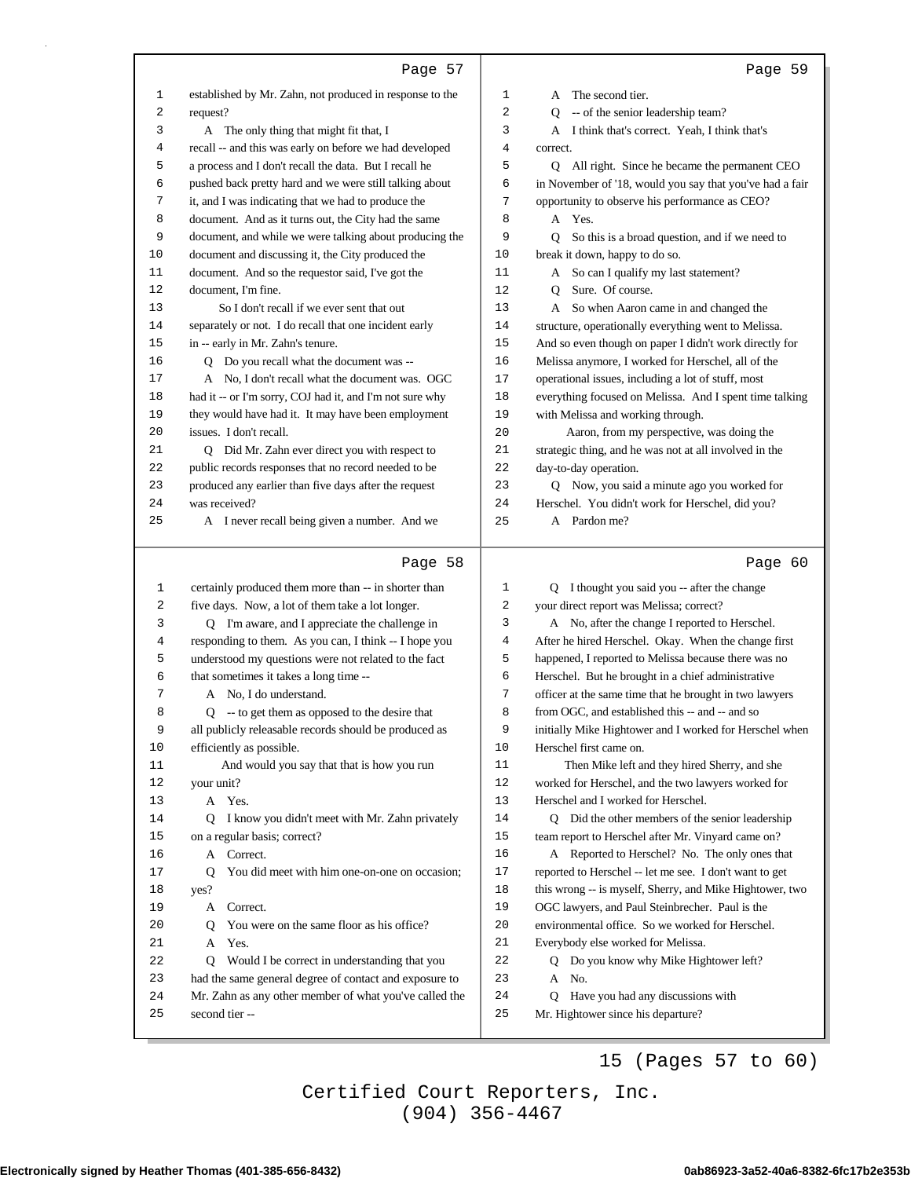|          | Page 57                                                                |          | Page 59                                                                            |
|----------|------------------------------------------------------------------------|----------|------------------------------------------------------------------------------------|
| 1        | established by Mr. Zahn, not produced in response to the               | 1        | A The second tier.                                                                 |
| 2        | request?                                                               | 2        | -- of the senior leadership team?<br>O                                             |
| 3        | A The only thing that might fit that, I                                | 3        | A I think that's correct. Yeah, I think that's                                     |
| 4        | recall -- and this was early on before we had developed                | 4        | correct.                                                                           |
| 5        | a process and I don't recall the data. But I recall he                 | 5        | Q All right. Since he became the permanent CEO                                     |
| 6        | pushed back pretty hard and we were still talking about                | 6        | in November of '18, would you say that you've had a fair                           |
| 7        | it, and I was indicating that we had to produce the                    | 7        | opportunity to observe his performance as CEO?                                     |
| 8        | document. And as it turns out, the City had the same                   | 8        | A Yes.                                                                             |
| 9        | document, and while we were talking about producing the                | 9        | So this is a broad question, and if we need to<br>0                                |
| 10       | document and discussing it, the City produced the                      | 10       | break it down, happy to do so.                                                     |
| 11       | document. And so the requestor said, I've got the                      | 11       | So can I qualify my last statement?<br>A                                           |
| 12       | document, I'm fine.                                                    | 12       | Sure. Of course.<br>Q                                                              |
| 13       | So I don't recall if we ever sent that out                             | 13       | So when Aaron came in and changed the<br>A                                         |
| 14       | separately or not. I do recall that one incident early                 | 14       | structure, operationally everything went to Melissa.                               |
| 15       | in -- early in Mr. Zahn's tenure.                                      | 15       | And so even though on paper I didn't work directly for                             |
| 16       | Q Do you recall what the document was --                               | 16       | Melissa anymore, I worked for Herschel, all of the                                 |
| 17       | A No, I don't recall what the document was. OGC                        | 17       | operational issues, including a lot of stuff, most                                 |
| 18       | had it -- or I'm sorry, COJ had it, and I'm not sure why               | 18       | everything focused on Melissa. And I spent time talking                            |
| 19       | they would have had it. It may have been employment                    | 19       | with Melissa and working through.                                                  |
| 20       | issues. I don't recall.                                                | 20       | Aaron, from my perspective, was doing the                                          |
| 21       | Q Did Mr. Zahn ever direct you with respect to                         | 21       | strategic thing, and he was not at all involved in the                             |
| 22       | public records responses that no record needed to be                   | 22       | day-to-day operation.                                                              |
| 23<br>24 | produced any earlier than five days after the request<br>was received? | 23<br>24 | Q Now, you said a minute ago you worked for                                        |
| 25       | A I never recall being given a number. And we                          | 25       | Herschel. You didn't work for Herschel, did you?<br>A Pardon me?                   |
|          |                                                                        |          |                                                                                    |
|          | Page 58                                                                |          | Page 60                                                                            |
| 1        | certainly produced them more than -- in shorter than                   | 1        | Q I thought you said you -- after the change                                       |
| 2        | five days. Now, a lot of them take a lot longer.                       | 2        | your direct report was Melissa; correct?                                           |
| 3        | Q I'm aware, and I appreciate the challenge in                         | 3        | A No, after the change I reported to Herschel.                                     |
| 4        | responding to them. As you can, I think -- I hope you                  | 4        | After he hired Herschel. Okay. When the change first                               |
| 5        | understood my questions were not related to the fact                   | 5        | happened, I reported to Melissa because there was no                               |
| 6        | that sometimes it takes a long time --                                 | 6        | Herschel. But he brought in a chief administrative                                 |
| 7        | A No, I do understand.                                                 | 7        | officer at the same time that he brought in two lawyers                            |
| 8        | Q -- to get them as opposed to the desire that                         | 8        | from OGC, and established this -- and -- and so                                    |
| 9        | all publicly releasable records should be produced as                  | 9<br>10  | initially Mike Hightower and I worked for Herschel when<br>Herschel first came on. |
| 10<br>11 | efficiently as possible.<br>And would you say that that is how you run | 11       | Then Mike left and they hired Sherry, and she                                      |
| 12       | your unit?                                                             | 12       | worked for Herschel, and the two lawyers worked for                                |
| 13       | A Yes.                                                                 | 13       | Herschel and I worked for Herschel.                                                |
| 14       | Q I know you didn't meet with Mr. Zahn privately                       | 14       | Q Did the other members of the senior leadership                                   |
| 15       | on a regular basis; correct?                                           | 15       | team report to Herschel after Mr. Vinyard came on?                                 |
| 16       | A Correct.                                                             | 16       | A Reported to Herschel? No. The only ones that                                     |
| 17       | You did meet with him one-on-one on occasion;<br>Q                     | 17       | reported to Herschel -- let me see. I don't want to get                            |
| 18       | yes?                                                                   | 18       | this wrong -- is myself, Sherry, and Mike Hightower, two                           |
| 19       | A Correct.                                                             | 19       | OGC lawyers, and Paul Steinbrecher. Paul is the                                    |
| 20       | You were on the same floor as his office?<br>Q                         | 20       | environmental office. So we worked for Herschel.                                   |
| 21       | Yes.<br>A                                                              | 21       | Everybody else worked for Melissa.                                                 |
| 22       | Would I be correct in understanding that you<br>Q                      | 22       | Q Do you know why Mike Hightower left?                                             |
| 23       | had the same general degree of contact and exposure to                 | 23       | A No.                                                                              |
| 24       | Mr. Zahn as any other member of what you've called the                 | 24       | Q Have you had any discussions with                                                |
| 25       | second tier-                                                           | 25       | Mr. Hightower since his departure?                                                 |

15 (Pages 57 to 60)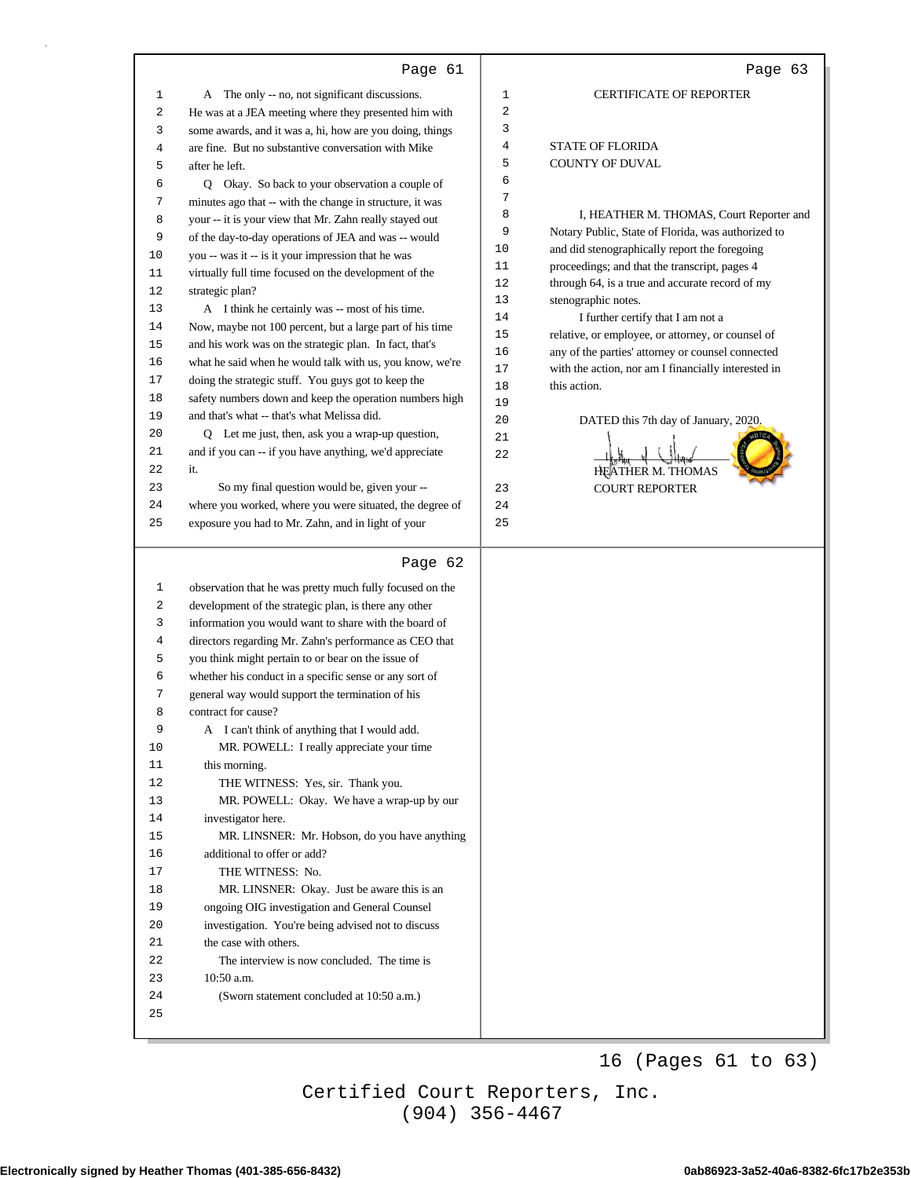|              | Page 61                                                  |    | Page 63                                             |
|--------------|----------------------------------------------------------|----|-----------------------------------------------------|
| $\mathbf{1}$ | A The only -- no, not significant discussions.           | 1  | <b>CERTIFICATE OF REPORTER</b>                      |
| 2            | He was at a JEA meeting where they presented him with    | 2  |                                                     |
| 3            | some awards, and it was a, hi, how are you doing, things | 3  |                                                     |
| 4            | are fine. But no substantive conversation with Mike      | 4  | <b>STATE OF FLORIDA</b>                             |
| 5            | after he left.                                           | 5  | <b>COUNTY OF DUVAL</b>                              |
| 6            | Q Okay. So back to your observation a couple of          | 6  |                                                     |
| 7            |                                                          | 7  |                                                     |
|              | minutes ago that -- with the change in structure, it was | 8  | I, HEATHER M. THOMAS, Court Reporter and            |
| 8            | your -- it is your view that Mr. Zahn really stayed out  | 9  | Notary Public, State of Florida, was authorized to  |
| 9            | of the day-to-day operations of JEA and was -- would     | 10 | and did stenographically report the foregoing       |
| 10           | you -- was it -- is it your impression that he was       | 11 | proceedings; and that the transcript, pages 4       |
| 11           | virtually full time focused on the development of the    | 12 | through 64, is a true and accurate record of my     |
| 12           | strategic plan?                                          | 13 | stenographic notes.                                 |
| 13           | A I think he certainly was -- most of his time.          | 14 | I further certify that I am not a                   |
| 14           | Now, maybe not 100 percent, but a large part of his time | 15 | relative, or employee, or attorney, or counsel of   |
| 15           | and his work was on the strategic plan. In fact, that's  | 16 | any of the parties' attorney or counsel connected   |
| 16           | what he said when he would talk with us, you know, we're | 17 | with the action, nor am I financially interested in |
| 17           | doing the strategic stuff. You guys got to keep the      | 18 | this action.                                        |
| 18           | safety numbers down and keep the operation numbers high  | 19 |                                                     |
| 19           | and that's what -- that's what Melissa did.              | 20 | DATED this 7th day of January, 2020.                |
| 20           | Q Let me just, then, ask you a wrap-up question,         | 21 |                                                     |
| 21           | and if you can -- if you have anything, we'd appreciate  | 22 |                                                     |
| 22           | it.                                                      |    | HEATHER M. THOMAS                                   |
| 23           | So my final question would be, given your --             | 23 | <b>COURT REPORTER</b>                               |
| 24           | where you worked, where you were situated, the degree of | 24 |                                                     |
| 25           | exposure you had to Mr. Zahn, and in light of your       | 25 |                                                     |
|              | Page 62                                                  |    |                                                     |
| $\mathbf{1}$ | observation that he was pretty much fully focused on the |    |                                                     |
| 2            | development of the strategic plan, is there any other    |    |                                                     |
| 3            | information you would want to share with the board of    |    |                                                     |
| 4            | directors regarding Mr. Zahn's performance as CEO that   |    |                                                     |
| 5            | you think might pertain to or bear on the issue of       |    |                                                     |
| 6            | whether his conduct in a specific sense or any sort of   |    |                                                     |
| 7            | general way would support the termination of his         |    |                                                     |
| 8            | contract for cause?                                      |    |                                                     |
| 9            | A I can't think of anything that I would add.            |    |                                                     |
| 10           | MR. POWELL: I really appreciate your time                |    |                                                     |
| 11           | this morning.                                            |    |                                                     |
| 12           | THE WITNESS: Yes, sir. Thank you.                        |    |                                                     |
| 13           | MR. POWELL: Okay. We have a wrap-up by our               |    |                                                     |
| 14           | investigator here.                                       |    |                                                     |
| 15           | MR. LINSNER: Mr. Hobson, do you have anything            |    |                                                     |
| 16           | additional to offer or add?                              |    |                                                     |
| 17           | THE WITNESS: No.                                         |    |                                                     |
| 18           | MR. LINSNER: Okay. Just be aware this is an              |    |                                                     |
| 19           | ongoing OIG investigation and General Counsel            |    |                                                     |
| 20           | investigation. You're being advised not to discuss       |    |                                                     |
| 21           | the case with others.                                    |    |                                                     |
| 22           | The interview is now concluded. The time is              |    |                                                     |
| 23           | 10:50 a.m.                                               |    |                                                     |
| 24           | (Sworn statement concluded at 10:50 a.m.)                |    |                                                     |
| 25           |                                                          |    |                                                     |
|              |                                                          |    |                                                     |

16 (Pages 61 to 63)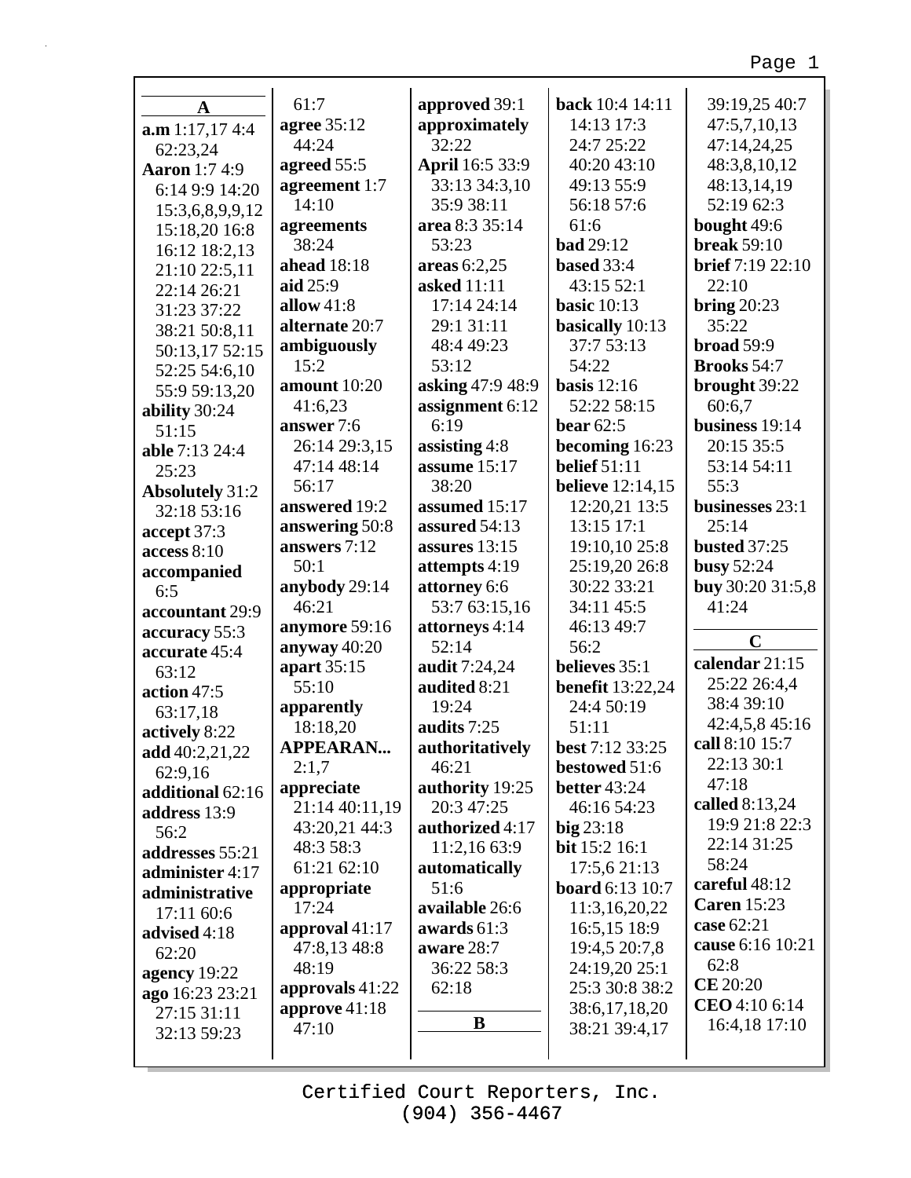| $\mathbf A$            | 61:7               | approved 39:1    | <b>back</b> 10:4 14:11  | 39:19,25 40:7       |
|------------------------|--------------------|------------------|-------------------------|---------------------|
| $a.m$ 1:17,17 4:4      | <b>agree</b> 35:12 | approximately    | 14:13 17:3              | 47:5,7,10,13        |
| 62:23,24               | 44:24              | 32:22            | 24:7 25:22              | 47:14,24,25         |
| <b>Aaron</b> 1:7 4:9   | agreed 55:5        | April 16:5 33:9  | 40:20 43:10             | 48:3,8,10,12        |
| 6:14 9:9 14:20         | agreement 1:7      | 33:13 34:3,10    | 49:13 55:9              | 48:13,14,19         |
| 15:3,6,8,9,9,12        | 14:10              | 35:9 38:11       | 56:18 57:6              | 52:19 62:3          |
| 15:18,20 16:8          | agreements         | area 8:3 35:14   | 61:6                    | bought 49:6         |
| 16:12 18:2,13          | 38:24              | 53:23            | <b>bad</b> 29:12        | <b>break 59:10</b>  |
| 21:10 22:5,11          | ahead 18:18        | areas $6:2,25$   | based 33:4              | brief 7:19 22:10    |
| 22:14 26:21            | aid 25:9           | asked 11:11      | 43:15 52:1              | 22:10               |
| 31:23 37:22            | allow $41:8$       | 17:14 24:14      | basic $10:13$           | bring $20:23$       |
| 38:21 50:8,11          | alternate 20:7     | 29:1 31:11       | basically 10:13         | 35:22               |
| 50:13,17 52:15         | ambiguously        | 48:4 49:23       | 37:7 53:13              | broad 59:9          |
| 52:25 54:6,10          | 15:2               | 53:12            | 54:22                   | <b>Brooks</b> 54:7  |
| 55:9 59:13,20          | amount 10:20       | asking 47:9 48:9 | basis $12:16$           | brought 39:22       |
| ability 30:24          | 41:6,23            | assignment 6:12  | 52:22 58:15             | 60:6,7              |
| 51:15                  | answer 7:6         | 6:19             | bear $62:5$             | business 19:14      |
| able 7:13 24:4         | 26:14 29:3,15      | assisting $4:8$  | becoming 16:23          | 20:15 35:5          |
| 25:23                  | 47:14 48:14        | assume 15:17     | <b>belief</b> 51:11     | 53:14 54:11         |
| <b>Absolutely 31:2</b> | 56:17              | 38:20            | <b>believe</b> 12:14,15 | 55:3                |
| 32:18 53:16            | answered 19:2      | assumed 15:17    | 12:20,21 13:5           | businesses 23:1     |
| accept 37:3            | answering 50:8     | assured 54:13    | 13:15 17:1              | 25:14               |
| access 8:10            | answers 7:12       | assures $13:15$  | 19:10,10 25:8           | <b>busted 37:25</b> |
| accompanied            | 50:1               | attempts 4:19    | 25:19,20 26:8           | <b>busy 52:24</b>   |
| 6:5                    | anybody 29:14      | attorney 6:6     | 30:22 33:21             | buy 30:20 31:5,8    |
| accountant 29:9        | 46:21              | 53:7 63:15,16    | 34:11 45:5              | 41:24               |
| accuracy 55:3          | anymore 59:16      | attorneys 4:14   | 46:13 49:7              |                     |
| accurate 45:4          | anyway 40:20       | 52:14            | 56:2                    | $\mathbf C$         |
| 63:12                  | apart 35:15        | audit 7:24,24    | believes 35:1           | calendar 21:15      |
| action 47:5            | 55:10              | audited 8:21     | <b>benefit</b> 13:22,24 | 25:22 26:4,4        |
| 63:17,18               | apparently         | 19:24            | 24:4 50:19              | 38:4 39:10          |
| actively 8:22          | 18:18,20           | audits 7:25      | 51:11                   | 42:4,5,8 45:16      |
| add 40:2,21,22         | <b>APPEARAN</b>    | authoritatively  | best 7:12 33:25         | call 8:10 15:7      |
| 62:9,16                | 2:1,7              | 46:21            | bestowed 51:6           | 22:13 30:1          |
| additional 62:16       | appreciate         | authority 19:25  | <b>better</b> 43:24     | 47:18               |
| address 13:9           | 21:14 40:11,19     | 20:3 47:25       | 46:16 54:23             | called 8:13,24      |
| 56:2                   | 43:20,21 44:3      | authorized 4:17  | $big$ 23:18             | 19:9 21:8 22:3      |
| addresses 55:21        | 48:3 58:3          | 11:2,16 63:9     | <b>bit</b> 15:2 16:1    | 22:14 31:25         |
| administer 4:17        | 61:21 62:10        | automatically    | 17:5,6 21:13            | 58:24               |
| administrative         | appropriate        | 51:6             | <b>board</b> 6:13 10:7  | careful 48:12       |
| 17:11 60:6             | 17:24              | available 26:6   | 11:3,16,20,22           | <b>Caren 15:23</b>  |
| advised 4:18           | approval 41:17     | awards 61:3      | 16:5,15 18:9            | case 62:21          |
| 62:20                  | 47:8,13 48:8       | aware 28:7       | 19:4,5 20:7,8           | cause 6:16 10:21    |
| agency 19:22           | 48:19              | 36:22 58:3       | 24:19,20 25:1           | 62:8                |
| ago 16:23 23:21        | approvals 41:22    | 62:18            | 25:3 30:8 38:2          | <b>CE</b> 20:20     |
| 27:15 31:11            | approve $41:18$    |                  | 38:6,17,18,20           | CEO 4:10 6:14       |
| 32:13 59:23            | 47:10              | B                | 38:21 39:4,17           | 16:4,18 17:10       |
|                        |                    |                  |                         |                     |

г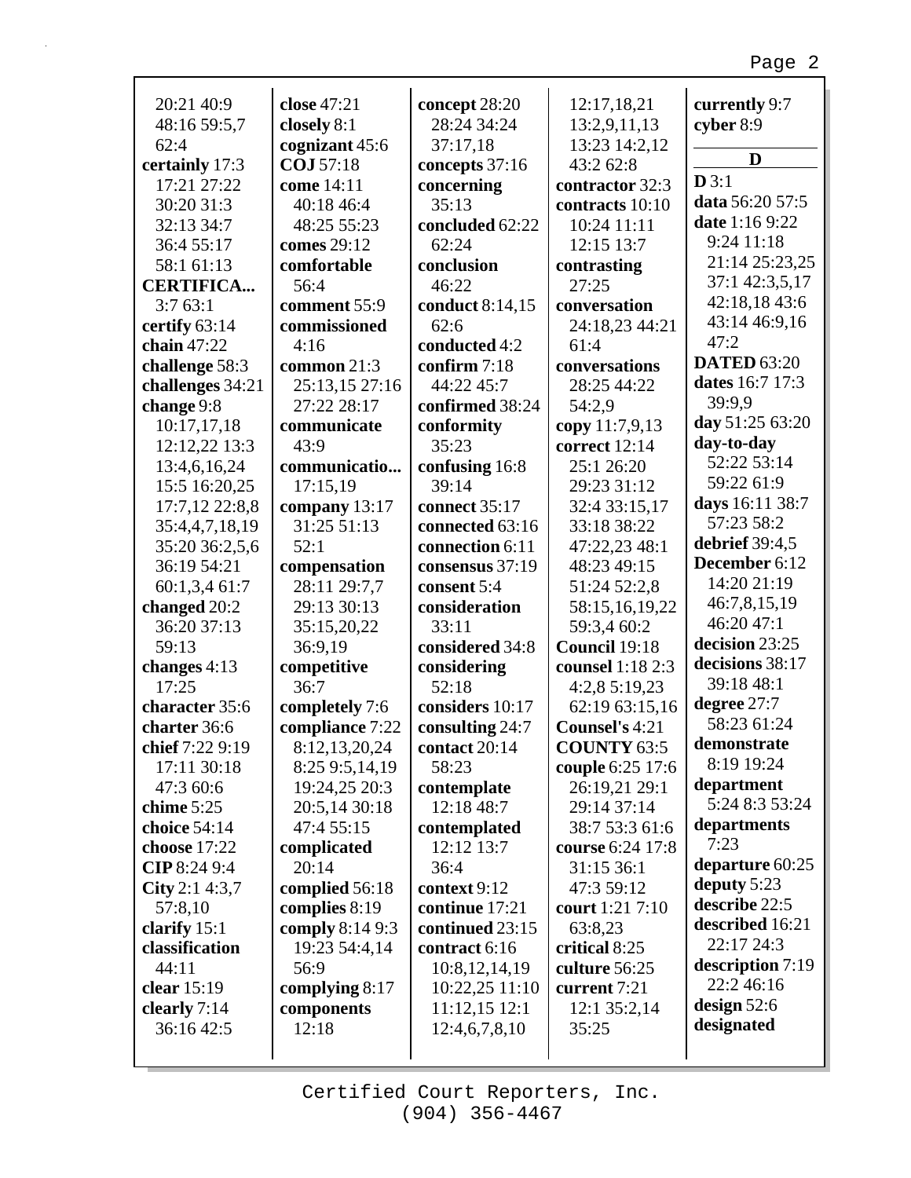J.

| 20:21 40:9       | close 47:21      | concept 28:20   | 12:17,18,21        | currently 9:7      |
|------------------|------------------|-----------------|--------------------|--------------------|
| 48:16 59:5,7     | closely 8:1      | 28:24 34:24     | 13:2,9,11,13       | cyber 8:9          |
| 62:4             | cognizant 45:6   | 37:17,18        | 13:23 14:2,12      | D                  |
| certainly 17:3   | COJ 57:18        | concepts 37:16  | 43:2 62:8          |                    |
| 17:21 27:22      | come 14:11       | concerning      | contractor 32:3    | D3:1               |
| 30:20 31:3       | 40:18 46:4       | 35:13           | contracts 10:10    | data 56:20 57:5    |
| 32:13 34:7       | 48:25 55:23      | concluded 62:22 | 10:24 11:11        | date 1:16 9:22     |
| 36:4 55:17       | comes 29:12      | 62:24           | 12:15 13:7         | 9:24 11:18         |
| 58:1 61:13       | comfortable      | conclusion      | contrasting        | 21:14 25:23,25     |
| <b>CERTIFICA</b> | 56:4             | 46:22           | 27:25              | 37:1 42:3,5,17     |
| 3:763:1          | comment 55:9     | conduct 8:14,15 | conversation       | 42:18,18 43:6      |
| certify 63:14    | commissioned     | 62:6            | 24:18,23 44:21     | 43:14 46:9,16      |
| chain 47:22      | 4:16             | conducted 4:2   | 61:4               | 47:2               |
| challenge 58:3   | common 21:3      | confirm 7:18    | conversations      | <b>DATED 63:20</b> |
| challenges 34:21 | 25:13,15 27:16   | 44:22 45:7      | 28:25 44:22        | dates 16:7 17:3    |
| change 9:8       | 27:22 28:17      | confirmed 38:24 | 54:2,9             | 39:9.9             |
| 10:17,17,18      | communicate      | conformity      | copy 11:7,9,13     | day 51:25 63:20    |
| 12:12,22 13:3    | 43:9             | 35:23           | correct 12:14      | day-to-day         |
| 13:4,6,16,24     | communicatio     | confusing 16:8  | 25:1 26:20         | 52:22 53:14        |
| 15:5 16:20,25    | 17:15,19         | 39:14           | 29:23 31:12        | 59:22 61:9         |
| 17:7,12 22:8,8   | company 13:17    | connect 35:17   | 32:4 33:15,17      | days 16:11 38:7    |
| 35:4,4,7,18,19   | 31:25 51:13      | connected 63:16 | 33:18 38:22        | 57:23 58:2         |
| 35:20 36:2,5,6   | 52:1             | connection 6:11 | 47:22,23 48:1      | debrief 39:4,5     |
| 36:19 54:21      | compensation     | consensus 37:19 | 48:23 49:15        | December 6:12      |
| 60:1,3,4 61:7    | 28:11 29:7,7     | consent 5:4     | 51:24 52:2,8       | 14:20 21:19        |
|                  | 29:13 30:13      |                 |                    | 46:7,8,15,19       |
| changed 20:2     |                  | consideration   | 58:15,16,19,22     | 46:20 47:1         |
| 36:20 37:13      | 35:15,20,22      | 33:11           | 59:3,4 60:2        | decision 23:25     |
| 59:13            | 36:9,19          | considered 34:8 | Council 19:18      | decisions 38:17    |
| changes 4:13     | competitive      | considering     | counsel 1:18 2:3   | 39:18 48:1         |
| 17:25            | 36:7             | 52:18           | 4:2,8 5:19,23      |                    |
| character 35:6   | completely 7:6   | considers 10:17 | 62:19 63:15,16     | degree 27:7        |
| charter 36:6     | compliance 7:22  | consulting 24:7 | Counsel's 4:21     | 58:23 61:24        |
| chief 7:22 9:19  | 8:12,13,20,24    | contact 20:14   | <b>COUNTY 63:5</b> | demonstrate        |
| 17:11 30:18      | 8:25 9:5,14,19   | 58:23           | couple 6:25 17:6   | 8:19 19:24         |
| 47:3 60:6        | 19:24,25 20:3    | contemplate     | 26:19,21 29:1      | department         |
| chime $5:25$     | 20:5,14 30:18    | 12:18 48:7      | 29:14 37:14        | 5:24 8:3 53:24     |
| choice 54:14     | 47:4 55:15       | contemplated    | 38:7 53:3 61:6     | departments        |
| choose 17:22     | complicated      | 12:12 13:7      | course 6:24 17:8   | 7:23               |
| CIP 8:24 9:4     | 20:14            | 36:4            | 31:15 36:1         | departure 60:25    |
| City 2:1 4:3,7   | complied 56:18   | context 9:12    | 47:3 59:12         | deputy $5:23$      |
| 57:8,10          | complies 8:19    | continue 17:21  | court 1:21 7:10    | describe 22:5      |
| clarify 15:1     | comply 8:14 9:3  | continued 23:15 | 63:8,23            | described 16:21    |
| classification   | 19:23 54:4,14    | contract 6:16   | critical 8:25      | 22:17 24:3         |
| 44:11            | 56:9             | 10:8,12,14,19   | culture 56:25      | description 7:19   |
| clear $15:19$    | complying $8:17$ | 10:22,25 11:10  | current 7:21       | 22:2 46:16         |
| clearly 7:14     | components       | 11:12,15 12:1   | 12:1 35:2,14       | design $52:6$      |
| 36:16 42:5       | 12:18            | 12:4,6,7,8,10   | 35:25              | designated         |
|                  |                  |                 |                    |                    |

Г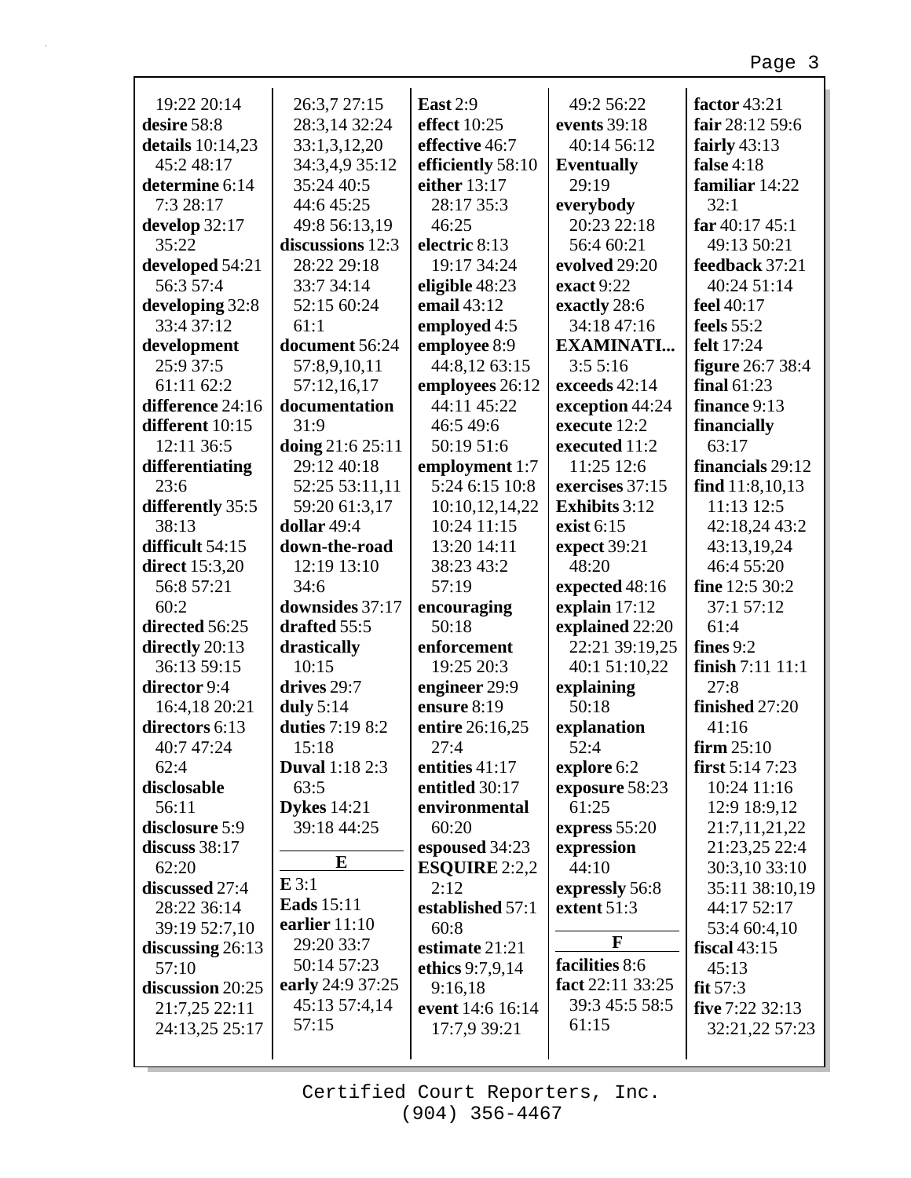| 19:22 20:14           | 26:3,7 27:15          | <b>East 2:9</b>   | 49:2 56:22           | factor 43:21      |
|-----------------------|-----------------------|-------------------|----------------------|-------------------|
| desire 58:8           | 28:3,14 32:24         | effect 10:25      | events 39:18         | fair 28:12 59:6   |
| details 10:14,23      | 33:1,3,12,20          | effective 46:7    | 40:14 56:12          | fairly $43:13$    |
| 45:2 48:17            | 34:3,4,9 35:12        | efficiently 58:10 | <b>Eventually</b>    | false $4:18$      |
| determine 6:14        | 35:24 40:5            | either 13:17      | 29:19                | familiar 14:22    |
| 7:3 28:17             | 44:6 45:25            | 28:17 35:3        | everybody            | 32:1              |
| develop 32:17         | 49:8 56:13,19         | 46:25             | 20:23 22:18          | far $40:1745:1$   |
| 35:22                 | discussions 12:3      | electric 8:13     | 56:4 60:21           | 49:13 50:21       |
| developed 54:21       | 28:22 29:18           | 19:17 34:24       | evolved 29:20        | feedback 37:21    |
| 56:3 57:4             | 33:7 34:14            | eligible 48:23    | exact 9:22           | 40:24 51:14       |
| developing 32:8       | 52:15 60:24           | email 43:12       | exactly 28:6         | feel 40:17        |
| 33:4 37:12            | 61:1                  | employed 4:5      | 34:18 47:16          | feels $55:2$      |
| development           | document 56:24        | employee 8:9      | <b>EXAMINATI</b>     | felt 17:24        |
| 25:9 37:5             | 57:8,9,10,11          | 44:8,12 63:15     | 3:55:16              | figure 26:7 38:4  |
| 61:11 62:2            | 57:12,16,17           | employees 26:12   | exceeds 42:14        | final $61:23$     |
| difference 24:16      | documentation         | 44:11 45:22       | exception 44:24      | finance 9:13      |
| different 10:15       | 31:9                  | 46:549:6          | execute 12:2         | financially       |
| 12:11 36:5            | doing 21:6 25:11      | 50:19 51:6        | executed 11:2        | 63:17             |
| differentiating       | 29:12 40:18           | employment 1:7    | 11:25 12:6           | financials 29:12  |
| 23:6                  | 52:25 53:11,11        | 5:24 6:15 10:8    | exercises 37:15      | find $11:8,10,13$ |
| differently 35:5      | 59:20 61:3,17         | 10:10,12,14,22    | <b>Exhibits</b> 3:12 | 11:13 12:5        |
| 38:13                 | dollar 49:4           | 10:24 11:15       | exist $6:15$         | 42:18,24 43:2     |
| difficult 54:15       | down-the-road         | 13:20 14:11       | expect 39:21         | 43:13,19,24       |
| <b>direct</b> 15:3,20 | 12:19 13:10           | 38:23 43:2        | 48:20                | 46:4 55:20        |
| 56:8 57:21            | 34:6                  | 57:19             | expected 48:16       | fine 12:5 30:2    |
| 60:2                  | downsides 37:17       | encouraging       | explain 17:12        | 37:1 57:12        |
| directed 56:25        | drafted 55:5          | 50:18             | explained 22:20      | 61:4              |
| directly 20:13        | drastically           | enforcement       | 22:21 39:19,25       | fines $9:2$       |
| 36:13 59:15           | 10:15                 | 19:25 20:3        | 40:1 51:10,22        | finish 7:11 11:1  |
| director 9:4          | drives 29:7           | engineer 29:9     | explaining           | 27:8              |
| 16:4,18 20:21         | duly $5:14$           | ensure 8:19       | 50:18                | finished 27:20    |
| directors 6:13        | duties 7:19 8:2       | entire 26:16,25   | explanation          | 41:16             |
| 40:7 47:24            | 15:18                 | 27:4              | 52:4                 | $firm 25:10$      |
| 62:4                  | <b>Duval</b> 1:18 2:3 | entities $41:17$  | explore 6:2          | first $5:147:23$  |
| disclosable           | 63:5                  | entitled 30:17    | exposure 58:23       | 10:24 11:16       |
| 56:11                 | <b>Dykes</b> 14:21    | environmental     | 61:25                | 12:9 18:9,12      |
| disclosure 5:9        | 39:18 44:25           | 60:20             | express $55:20$      | 21:7,11,21,22     |
| discuss 38:17         |                       | espoused 34:23    | expression           | 21:23,25 22:4     |
| 62:20                 | E                     | ESQUIRE $2:2,2$   | 44:10                | 30:3,10 33:10     |
| discussed 27:4        | E3:1                  | 2:12              | expressly 56:8       | 35:11 38:10,19    |
| 28:22 36:14           | <b>Eads</b> 15:11     | established 57:1  | extent 51:3          | 44:17 52:17       |
| 39:19 52:7,10         | earlier 11:10         | 60:8              |                      | 53:4 60:4,10      |
| discussing $26:13$    | 29:20 33:7            | estimate 21:21    | F                    | fiscal $43:15$    |
| 57:10                 | 50:14 57:23           | ethics 9:7,9,14   | facilities 8:6       | 45:13             |
| discussion 20:25      | early 24:9 37:25      | 9:16,18           | fact 22:11 33:25     | fit $57:3$        |
| 21:7,25 22:11         | 45:13 57:4,14         | event 14:6 16:14  | 39:3 45:5 58:5       | five 7:22 32:13   |
| 24:13,25 25:17        | 57:15                 | 17:7,9 39:21      | 61:15                | 32:21,22 57:23    |
|                       |                       |                   |                      |                   |

г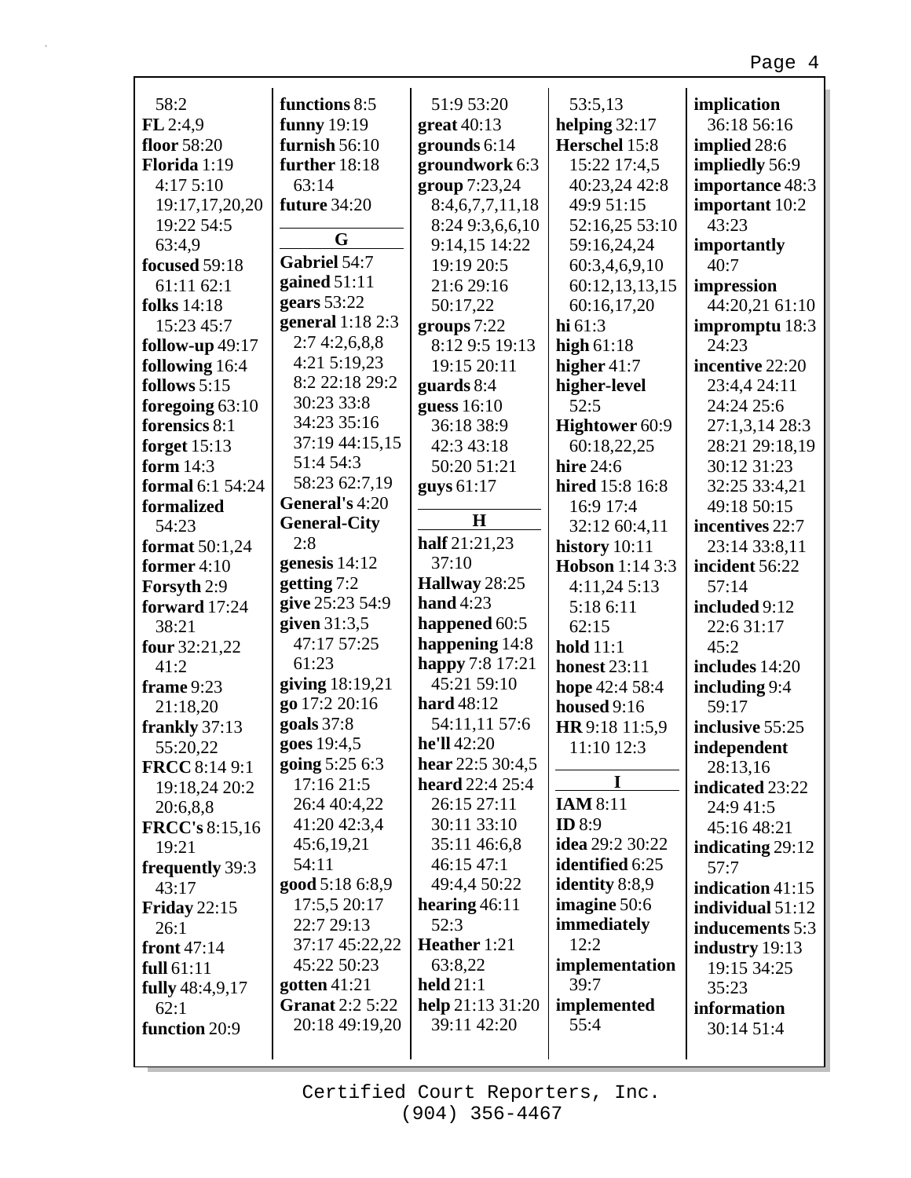| 58:2                    | functions 8:5                   | 51:9 53:20                 | 53:5,13                | implication        |
|-------------------------|---------------------------------|----------------------------|------------------------|--------------------|
| FL2:4,9                 | funny 19:19                     | $great 40:13$              | helping 32:17          | 36:18 56:16        |
| floor 58:20             | furnish $56:10$                 | grounds $6:14$             | Herschel 15:8          | implied 28:6       |
| Florida 1:19            | further 18:18                   | groundwork 6:3             | 15:22 17:4,5           | impliedly 56:9     |
| 4:175:10                | 63:14                           | group 7:23,24              | 40:23,24 42:8          | importance 48:3    |
| 19:17,17,20,20          | future 34:20                    | 8:4,6,7,7,11,18            | 49:9 51:15             | important 10:2     |
| 19:22 54:5              |                                 | 8:24 9:3,6,6,10            | 52:16,25 53:10         | 43:23              |
| 63:4,9                  | G                               | 9:14,15 14:22              | 59:16,24,24            | importantly        |
| focused 59:18           | Gabriel 54:7                    | 19:19 20:5                 | 60:3,4,6,9,10          | 40:7               |
| 61:11 62:1              | gained $51:11$                  | 21:6 29:16                 | 60:12,13,13,15         | impression         |
| <b>folks</b> 14:18      | gears $53:22$                   | 50:17,22                   | 60:16,17,20            | 44:20,21 61:10     |
| 15:23 45:7              | general 1:18 2:3                | groups $7:22$              | hi $61:3$              | impromptu 18:3     |
| follow-up 49:17         | 2:74:2,6,8,8                    | 8:12 9:5 19:13             | high $61:18$           | 24:23              |
| following 16:4          | 4:21 5:19,23                    | 19:15 20:11                | higher $41:7$          | incentive 22:20    |
| follows 5:15            | 8:2 22:18 29:2                  | guards $8:4$               | higher-level           | 23:4,4 24:11       |
| foregoing $63:10$       | 30:23 33:8                      | guess $16:10$              | 52:5                   | 24:24 25:6         |
| forensics 8:1           | 34:23 35:16                     | 36:18 38:9                 | Hightower 60:9         | 27:1,3,14 28:3     |
| forget $15:13$          | 37:19 44:15,15                  | 42:3 43:18                 | 60:18,22,25            | 28:21 29:18,19     |
| form $14:3$             | 51:4 54:3                       | 50:20 51:21                | <b>hire</b> 24:6       | 30:12 31:23        |
| <b>formal</b> 6:1 54:24 | 58:23 62:7,19<br>General's 4:20 | guys 61:17                 | hired 15:8 16:8        | 32:25 33:4,21      |
| formalized              |                                 | H                          | 16:9 17:4              | 49:18 50:15        |
| 54:23                   | <b>General-City</b><br>2:8      | half 21:21,23              | 32:12 60:4,11          | incentives 22:7    |
| format 50:1,24          | genesis $14:12$                 | 37:10                      | history $10:11$        | 23:14 33:8,11      |
| former $4:10$           | getting 7:2                     | Hallway 28:25              | Hobson 1:14 3:3        | incident 56:22     |
| Forsyth 2:9             | give 25:23 54:9                 | hand $4:23$                | 4:11,245:13            | 57:14              |
| forward 17:24           | given $31:3,5$                  | happened 60:5              | 5:18 6:11              | included 9:12      |
| 38:21                   | 47:17 57:25                     | happening 14:8             | 62:15<br>hold $11:1$   | 22:6 31:17<br>45:2 |
| four 32:21,22<br>41:2   | 61:23                           | happy 7:8 17:21            | <b>honest</b> 23:11    | includes 14:20     |
| frame 9:23              | giving 18:19,21                 | 45:21 59:10                | hope 42:4 58:4         | including 9:4      |
| 21:18,20                | go 17:2 20:16                   | <b>hard</b> 48:12          | housed 9:16            | 59:17              |
| frankly 37:13           | goals $37:8$                    | 54:11,11 57:6              | HR 9:18 11:5,9         | inclusive 55:25    |
| 55:20,22                | goes 19:4,5                     | he'll 42:20                | 11:10 12:3             | independent        |
| <b>FRCC</b> 8:14 9:1    | going 5:25 6:3                  | hear 22:5 30:4,5           |                        | 28:13,16           |
| 19:18,24 20:2           | 17:16 21:5                      | <b>heard</b> $22:4$ $25:4$ | I                      | indicated 23:22    |
| 20:6,8,8                | 26:4 40:4,22                    | 26:15 27:11                | <b>IAM 8:11</b>        | 24:9 41:5          |
| <b>FRCC's 8:15,16</b>   | 41:20 42:3,4                    | 30:11 33:10                | <b>ID</b> 8:9          | 45:16 48:21        |
| 19:21                   | 45:6,19,21                      | 35:11 46:6,8               | <b>idea</b> 29:2 30:22 | indicating 29:12   |
| frequently 39:3         | 54:11                           | 46:15 47:1                 | <b>identified</b> 6:25 | 57:7               |
| 43:17                   | good 5:18 6:8,9                 | 49:4,4 50:22               | identity 8:8,9         | indication 41:15   |
| <b>Friday 22:15</b>     | 17:5,5 20:17                    | hearing $46:11$            | <b>imagine</b> 50:6    | individual 51:12   |
| 26:1                    | 22:7 29:13                      | 52:3                       | immediately            | inducements 5:3    |
| front 47:14             | 37:17 45:22,22                  | Heather 1:21               | 12:2                   | industry 19:13     |
| full $61:11$            | 45:22 50:23                     | 63:8,22                    | implementation         | 19:15 34:25        |
| fully 48:4,9,17         | gotten $41:21$                  | held $21:1$                | 39:7                   | 35:23              |
| 62:1                    | <b>Granat 2:2 5:22</b>          | help 21:13 31:20           | implemented            | information        |
| function 20:9           | 20:18 49:19,20                  | 39:11 42:20                | 55:4                   | 30:14 51:4         |
|                         |                                 |                            |                        |                    |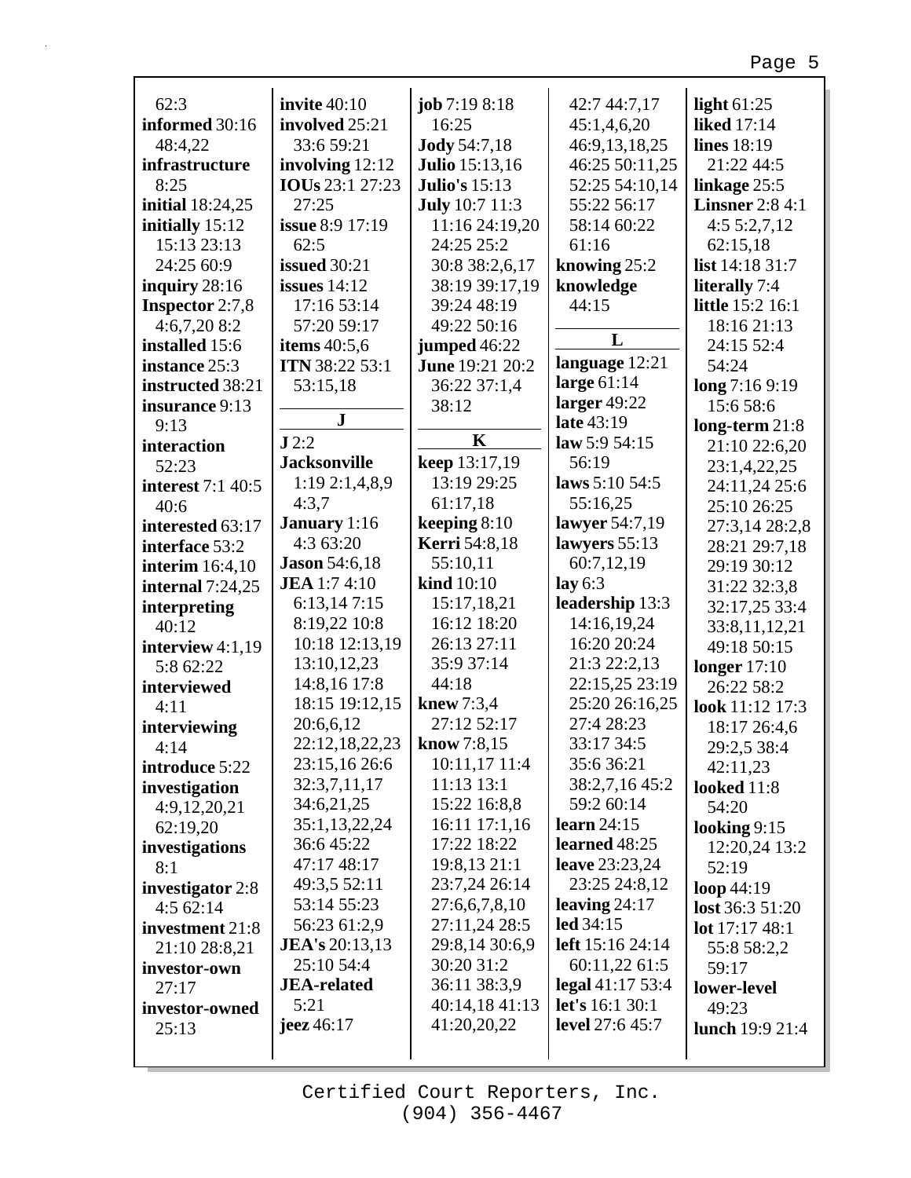| 62:3                             | invite $40:10$                        | job 7:19 8:18         | 42:7 44:7,17          | light $61:25$                            |
|----------------------------------|---------------------------------------|-----------------------|-----------------------|------------------------------------------|
| informed 30:16                   | involved 25:21                        | 16:25                 | 45:1,4,6,20           | <b>liked</b> 17:14                       |
| 48:4,22                          | 33:6 59:21                            | <b>Jody 54:7,18</b>   | 46:9,13,18,25         | lines 18:19                              |
| infrastructure                   | involving 12:12                       | <b>Julio</b> 15:13,16 | 46:25 50:11,25        | 21:22 44:5                               |
| 8:25                             | IOUs 23:1 27:23                       | <b>Julio's 15:13</b>  | 52:25 54:10,14        | linkage 25:5                             |
| initial 18:24,25                 | 27:25                                 | <b>July</b> 10:7 11:3 | 55:22 56:17           | <b>Linsner</b> 2:8 4:1                   |
|                                  | <b>issue 8:9 17:19</b>                | 11:16 24:19,20        | 58:14 60:22           | 4:55:2,7,12                              |
| initially 15:12<br>15:13 23:13   | 62:5                                  | 24:25 25:2            | 61:16                 | 62:15,18                                 |
| 24:25 60:9                       | <b>issued</b> 30:21                   | 30:8 38:2,6,17        | knowing 25:2          | list 14:18 31:7                          |
|                                  | issues $14:12$                        | 38:19 39:17,19        |                       |                                          |
| inquiry $28:16$                  | 17:16 53:14                           | 39:24 48:19           | knowledge<br>44:15    | literally 7:4<br><b>little</b> 15:2 16:1 |
| <b>Inspector</b> 2:7,8           | 57:20 59:17                           | 49:22 50:16           |                       | 18:16 21:13                              |
| $4:6,7,20$ 8:2<br>installed 15:6 |                                       | jumped 46:22          | L                     | 24:15 52:4                               |
| instance 25:3                    | items 40:5,6<br><b>ITN</b> 38:22 53:1 | June 19:21 20:2       | language 12:21        | 54:24                                    |
| instructed 38:21                 |                                       | 36:22 37:1,4          | large 61:14           | long 7:16 9:19                           |
| insurance 9:13                   | 53:15,18                              | 38:12                 | larger $49:22$        | 15:6 58:6                                |
| 9:13                             | $\bf J$                               |                       | late 43:19            | $long-term 21:8$                         |
| interaction                      | J2:2                                  | $\mathbf K$           | law 5:9 $54:15$       | 21:10 22:6,20                            |
| 52:23                            | <b>Jacksonville</b>                   | keep 13:17,19         | 56:19                 | 23:1,4,22,25                             |
| <b>interest</b> 7:1 40:5         | 1:192:1,4,8,9                         | 13:19 29:25           | laws $5:10,54:5$      | 24:11,24 25:6                            |
| 40:6                             | 4:3,7                                 | 61:17,18              | 55:16,25              | 25:10 26:25                              |
| interested 63:17                 | January 1:16                          | keeping $8:10$        | lawyer 54:7,19        | 27:3,14 28:2,8                           |
| interface 53:2                   | 4:3 63:20                             | <b>Kerri</b> 54:8,18  | lawyers 55:13         | 28:21 29:7,18                            |
| interim $16:4,10$                | <b>Jason</b> 54:6,18                  | 55:10,11              | 60:7,12,19            | 29:19 30:12                              |
| internal $7:24,25$               | <b>JEA</b> 1:7 4:10                   | kind 10:10            | lay $6:3$             | 31:22 32:3,8                             |
| interpreting                     | 6:13,147:15                           | 15:17,18,21           | leadership 13:3       | 32:17,25 33:4                            |
| 40:12                            | 8:19,22 10:8                          | 16:12 18:20           | 14:16,19,24           | 33:8,11,12,21                            |
| interview $4:1,19$               | 10:18 12:13,19                        | 26:13 27:11           | 16:20 20:24           | 49:18 50:15                              |
| 5:8 62:22                        | 13:10,12,23                           | 35:9 37:14            | 21:3 22:2,13          | longer $17:10$                           |
| interviewed                      | 14:8,16 17:8                          | 44:18                 | 22:15,25 23:19        | 26:22 58:2                               |
| 4:11                             | 18:15 19:12,15                        | knew 7:3,4            | 25:20 26:16,25        | look 11:12 17:3                          |
| interviewing                     | 20:6,6,12                             | 27:12 52:17           | 27:4 28:23            | 18:17 26:4,6                             |
| 4:14                             | 22:12,18,22,23                        | know $7:8,15$         | 33:17 34:5            | 29:2,5 38:4                              |
| introduce 5:22                   | 23:15,16 26:6                         | 10:11,17 11:4         | 35:636:21             | 42:11,23                                 |
| investigation                    | 32:3,7,11,17                          | 11:13 13:1            | 38:2,7,16 45:2        | looked 11:8                              |
| 4:9,12,20,21                     | 34:6,21,25                            | 15:22 16:8,8          | 59:2 60:14            | 54:20                                    |
| 62:19,20                         | 35:1,13,22,24                         | 16:11 17:1,16         | learn $24:15$         | looking $9:15$                           |
| investigations                   | 36:6 45:22                            | 17:22 18:22           | learned 48:25         | 12:20,24 13:2                            |
| 8:1                              | 47:17 48:17                           | 19:8,13 21:1          | <b>leave</b> 23:23,24 | 52:19                                    |
| investigator 2:8                 | 49:3,5 52:11                          | 23:7,24 26:14         | 23:25 24:8,12         | loop $44:19$                             |
| 4:562:14                         | 53:14 55:23                           | 27:6,6,7,8,10         | leaving $24:17$       | lost 36:3 51:20                          |
| investment 21:8                  | 56:23 61:2,9                          | 27:11,24 28:5         | led 34:15             | lot $17:1748:1$                          |
| 21:10 28:8,21                    | <b>JEA's</b> 20:13,13                 | 29:8,14 30:6,9        | left 15:16 24:14      | 55:8 58:2,2                              |
| investor-own                     | 25:10 54:4                            | 30:20 31:2            | 60:11,22 61:5         | 59:17                                    |
| 27:17                            | <b>JEA-related</b>                    | 36:11 38:3,9          | legal $41:1753:4$     | lower-level                              |
| investor-owned                   | 5:21                                  | 40:14,18 41:13        | let's 16:1 30:1       | 49:23                                    |
| 25:13                            | jeez $46:17$                          | 41:20,20,22           | level 27:6 45:7       | lunch 19:9 21:4                          |
|                                  |                                       |                       |                       |                                          |

г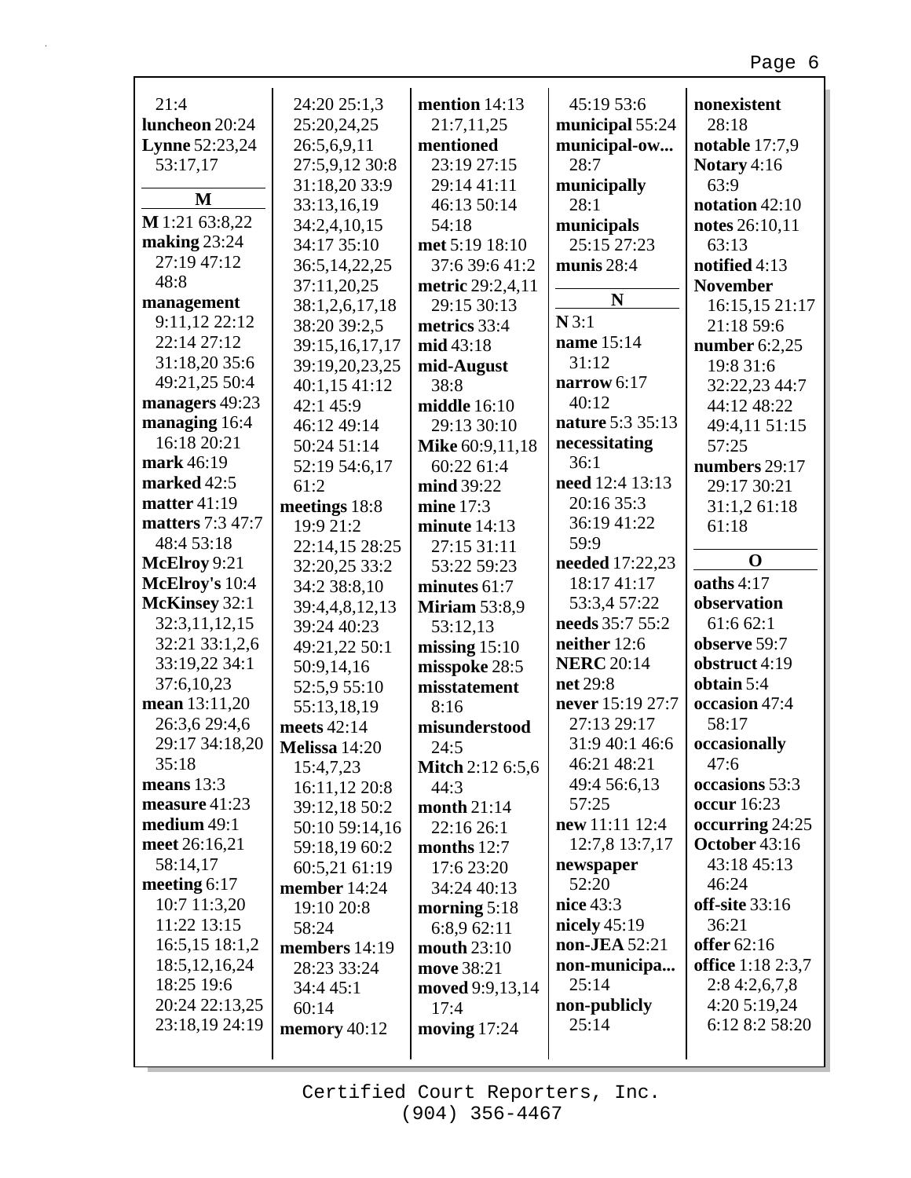| 21:4                  | 24:20 25:1,3   | mention 14:13           | 45:19 53:6        | nonexistent        |
|-----------------------|----------------|-------------------------|-------------------|--------------------|
| luncheon 20:24        | 25:20,24,25    | 21:7,11,25              | municipal 55:24   | 28:18              |
| <b>Lynne</b> 52:23,24 | 26:5,6,9,11    | mentioned               | municipal-ow      | notable 17:7,9     |
| 53:17,17              | 27:5,9,12 30:8 | 23:19 27:15             | 28:7              | Notary 4:16        |
|                       | 31:18,20 33:9  | 29:14 41:11             | municipally       | 63:9               |
| M                     | 33:13,16,19    | 46:13 50:14             | 28:1              | notation 42:10     |
| M 1:21 63:8,22        | 34:2,4,10,15   | 54:18                   | municipals        | notes 26:10,11     |
| making 23:24          | 34:17 35:10    | met 5:19 18:10          | 25:15 27:23       | 63:13              |
| 27:19 47:12           | 36:5,14,22,25  | 37:6 39:6 41:2          | munis 28:4        | notified 4:13      |
| 48:8                  | 37:11,20,25    | metric 29:2,4,11        |                   | <b>November</b>    |
| management            | 38:1,2,6,17,18 | 29:15 30:13             | N                 | 16:15,15 21:17     |
| 9:11,12 22:12         | 38:20 39:2,5   | metrics 33:4            | N3:1              | 21:18 59:6         |
| 22:14 27:12           | 39:15,16,17,17 | mid 43:18               | name 15:14        | number $6:2,25$    |
| 31:18,20 35:6         | 39:19,20,23,25 | mid-August              | 31:12             | 19:8 31:6          |
| 49:21,25 50:4         | 40:1,15 41:12  | 38:8                    | narrow $6:17$     | 32:22,23 44:7      |
| managers 49:23        | 42:1 45:9      | middle 16:10            | 40:12             | 44:12 48:22        |
| managing 16:4         | 46:12 49:14    | 29:13 30:10             | nature 5:3 35:13  | 49:4,11 51:15      |
| 16:18 20:21           | 50:24 51:14    | Mike 60:9,11,18         | necessitating     | 57:25              |
| mark 46:19            | 52:19 54:6,17  | 60:22 61:4              | 36:1              | numbers 29:17      |
| marked 42:5           | 61:2           | mind 39:22              | need 12:4 13:13   | 29:17 30:21        |
| matter $41:19$        | meetings 18:8  | mine $17:3$             | 20:16 35:3        | 31:1,2 61:18       |
| matters 7:3 47:7      | 19:9 21:2      | minute $14:13$          | 36:19 41:22       | 61:18              |
| 48:4 53:18            | 22:14,15 28:25 | 27:15 31:11             | 59:9              |                    |
| McElroy 9:21          | 32:20,25 33:2  | 53:22 59:23             | needed 17:22,23   | $\mathbf 0$        |
| McElroy's 10:4        | 34:2 38:8,10   | minutes 61:7            | 18:17 41:17       | oaths 4:17         |
| McKinsey 32:1         | 39:4,4,8,12,13 | <b>Miriam 53:8,9</b>    | 53:3,4 57:22      | observation        |
| 32:3,11,12,15         | 39:24 40:23    | 53:12,13                | needs 35:7 55:2   | 61:6 62:1          |
| 32:21 33:1,2,6        | 49:21,22 50:1  | missing $15:10$         | neither 12:6      | observe 59:7       |
| 33:19,22 34:1         | 50:9,14,16     | misspoke 28:5           | <b>NERC</b> 20:14 | obstruct 4:19      |
| 37:6,10,23            | 52:5,9 55:10   | misstatement            | net 29:8          | obtain 5:4         |
| mean 13:11,20         | 55:13,18,19    | 8:16                    | never 15:19 27:7  | occasion 47:4      |
| 26:3,6 29:4,6         | meets 42:14    | misunderstood           | 27:13 29:17       | 58:17              |
| 29:17 34:18,20        | Melissa 14:20  | 24:5                    | 31:9 40:1 46:6    | occasionally       |
| 35:18                 | 15:4,7,23      | <b>Mitch 2:12 6:5,6</b> | 46:21 48:21       | 47:6               |
| means $13:3$          | 16:11,12 20:8  | 44:3                    | 49:4 56:6,13      | occasions 53:3     |
| measure 41:23         | 39:12,18 50:2  | month $21:14$           | 57:25             | <b>occur</b> 16:23 |
| medium 49:1           | 50:10 59:14,16 | 22:16 26:1              | new 11:11 12:4    | occurring 24:25    |
| meet 26:16,21         | 59:18,19 60:2  | months $12:7$           | 12:7,8 13:7,17    | October 43:16      |
| 58:14,17              | 60:5,21 61:19  | 17:6 23:20              | newspaper         | 43:18 45:13        |
| meeting $6:17$        | member 14:24   | 34:24 40:13             | 52:20             | 46:24              |
| 10:7 11:3,20          | 19:10 20:8     | morning $5:18$          | nice 43:3         | off-site 33:16     |
| 11:22 13:15           | 58:24          | 6:8,9 62:11             | nicely $45:19$    | 36:21              |
| 16:5,15 18:1,2        | members 14:19  | mouth 23:10             | non-JEA 52:21     | offer 62:16        |
| 18:5, 12, 16, 24      | 28:23 33:24    | move 38:21              | non-municipa      | office 1:18 2:3,7  |
| 18:25 19:6            | 34:4 45:1      | moved 9:9,13,14         | 25:14             | 2:84:2,6,7,8       |
| 20:24 22:13,25        | 60:14          | 17:4                    | non-publicly      | 4:20 5:19,24       |
| 23:18,19 24:19        | memory $40:12$ | moving $17:24$          | 25:14             | 6:12 8:2 58:20     |
|                       |                |                         |                   |                    |

Г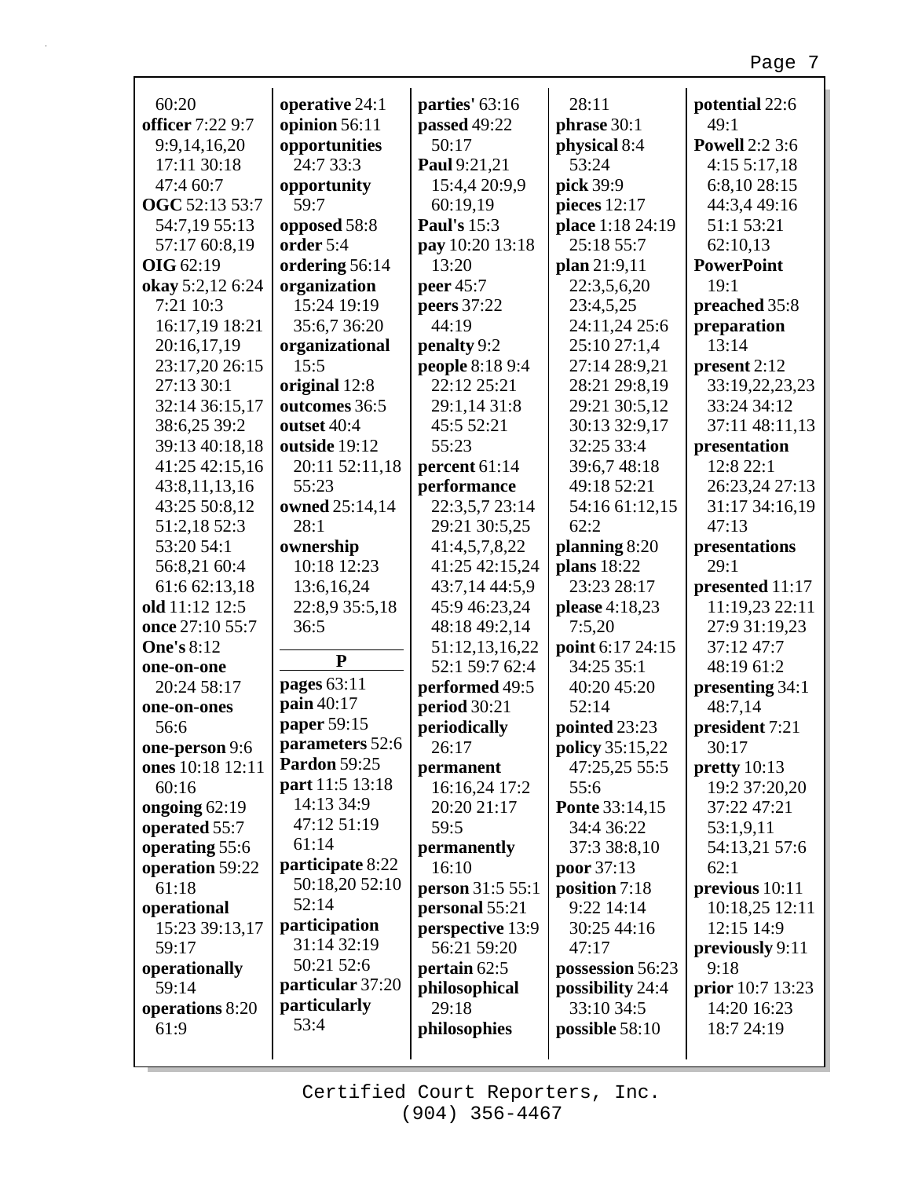| 60:20                   | operative 24:1      | parties' 63:16     | 28:11                 | potential 22:6          |
|-------------------------|---------------------|--------------------|-----------------------|-------------------------|
| <b>officer</b> 7:22 9:7 | opinion 56:11       | passed 49:22       | phrase 30:1           | 49:1                    |
| 9:9,14,16,20            | opportunities       | 50:17              | physical 8:4          | <b>Powell 2:2 3:6</b>   |
| 17:11 30:18             | 24:7 33:3           | Paul 9:21,21       | 53:24                 | 4:155:17,18             |
| 47:4 60:7               | opportunity         | 15:4,4 20:9,9      | pick 39:9             | 6:8,10 28:15            |
| OGC 52:13 53:7          | 59:7                | 60:19,19           | pieces 12:17          | 44:3,4 49:16            |
| 54:7,19 55:13           | opposed 58:8        | <b>Paul's 15:3</b> | place 1:18 24:19      | 51:1 53:21              |
| 57:17 60:8,19           | order 5:4           | pay 10:20 13:18    | 25:18 55:7            | 62:10,13                |
| <b>OIG</b> 62:19        | ordering 56:14      | 13:20              | plan 21:9,11          | <b>PowerPoint</b>       |
| okay 5:2,12 6:24        | organization        | peer 45:7          | 22:3,5,6,20           | 19:1                    |
| 7:21 10:3               | 15:24 19:19         | peers 37:22        | 23:4,5,25             | preached 35:8           |
| 16:17,19 18:21          | 35:6,7 36:20        | 44:19              | 24:11,24 25:6         | preparation             |
| 20:16,17,19             | organizational      | penalty 9:2        | 25:10 27:1,4          | 13:14                   |
| 23:17,20 26:15          | 15:5                | people 8:18 9:4    | 27:14 28:9,21         | present 2:12            |
| 27:13 30:1              | original 12:8       | 22:12 25:21        | 28:21 29:8,19         | 33:19,22,23,23          |
| 32:14 36:15,17          | outcomes 36:5       | 29:1,14 31:8       | 29:21 30:5,12         | 33:24 34:12             |
| 38:6,25 39:2            | outset 40:4         | 45:5 52:21         | 30:13 32:9,17         | 37:11 48:11,13          |
| 39:13 40:18,18          | outside 19:12       | 55:23              | 32:25 33:4            | presentation            |
| 41:25 42:15,16          | 20:11 52:11,18      | percent 61:14      | 39:6,7 48:18          | 12:8 22:1               |
| 43:8,11,13,16           | 55:23               | performance        | 49:18 52:21           | 26:23,24 27:13          |
| 43:25 50:8,12           | owned 25:14,14      | 22:3,5,7 23:14     | 54:16 61:12,15        | 31:17 34:16,19          |
| 51:2,18 52:3            | 28:1                | 29:21 30:5,25      | 62:2                  | 47:13                   |
| 53:20 54:1              | ownership           | 41:4,5,7,8,22      | planning 8:20         | presentations           |
| 56:8,21 60:4            | 10:18 12:23         | 41:25 42:15,24     | plans 18:22           | 29:1                    |
| 61:6 62:13,18           | 13:6,16,24          | 43:7,14 44:5,9     | 23:23 28:17           | presented 11:17         |
| old 11:12 12:5          | 22:8,9 35:5,18      | 45:9 46:23,24      | please 4:18,23        | 11:19,23 22:11          |
| once 27:10 55:7         | 36:5                | 48:18 49:2,14      | 7:5,20                | 27:9 31:19,23           |
| <b>One's 8:12</b>       |                     | 51:12,13,16,22     | point 6:17 24:15      | 37:12 47:7              |
| one-on-one              | ${\bf P}$           | 52:1 59:7 62:4     | 34:25 35:1            | 48:19 61:2              |
| 20:24 58:17             | pages 63:11         | performed 49:5     | 40:20 45:20           | presenting 34:1         |
| one-on-ones             | pain 40:17          | period 30:21       | 52:14                 | 48:7,14                 |
| 56:6                    | paper 59:15         | periodically       | pointed 23:23         | president 7:21          |
| one-person 9:6          | parameters 52:6     | 26:17              | policy 35:15,22       | 30:17                   |
| ones 10:18 12:11        | <b>Pardon</b> 59:25 | permanent          | 47:25,25 55:5         | pretty $10:13$          |
| 60:16                   | part 11:5 13:18     | 16:16,24 17:2      | 55:6                  | 19:2 37:20,20           |
| ongoing 62:19           | 14:13 34:9          | 20:20 21:17        | <b>Ponte 33:14,15</b> | 37:22 47:21             |
| operated 55:7           | 47:12 51:19         | 59:5               | 34:4 36:22            | 53:1,9,11               |
| operating 55:6          | 61:14               | permanently        | 37:3 38:8,10          | 54:13,21 57:6           |
| operation 59:22         | participate 8:22    | 16:10              | poor 37:13            | 62:1                    |
| 61:18                   | 50:18,20 52:10      | person 31:5 55:1   | position 7:18         | previous $10:11$        |
| operational             | 52:14               | personal 55:21     | 9:22 14:14            | 10:18,25 12:11          |
| 15:23 39:13,17          | participation       | perspective 13:9   | 30:25 44:16           | 12:15 14:9              |
| 59:17                   | 31:14 32:19         | 56:21 59:20        | 47:17                 | previously 9:11         |
| operationally           | 50:21 52:6          | pertain 62:5       | possession 56:23      | 9:18                    |
| 59:14                   | particular 37:20    | philosophical      | possibility 24:4      | <b>prior</b> 10:7 13:23 |
| operations 8:20         | particularly        | 29:18              | 33:10 34:5            | 14:20 16:23             |
| 61:9                    | 53:4                | philosophies       | possible 58:10        | 18:7 24:19              |
|                         |                     |                    |                       |                         |
|                         |                     |                    |                       |                         |

Г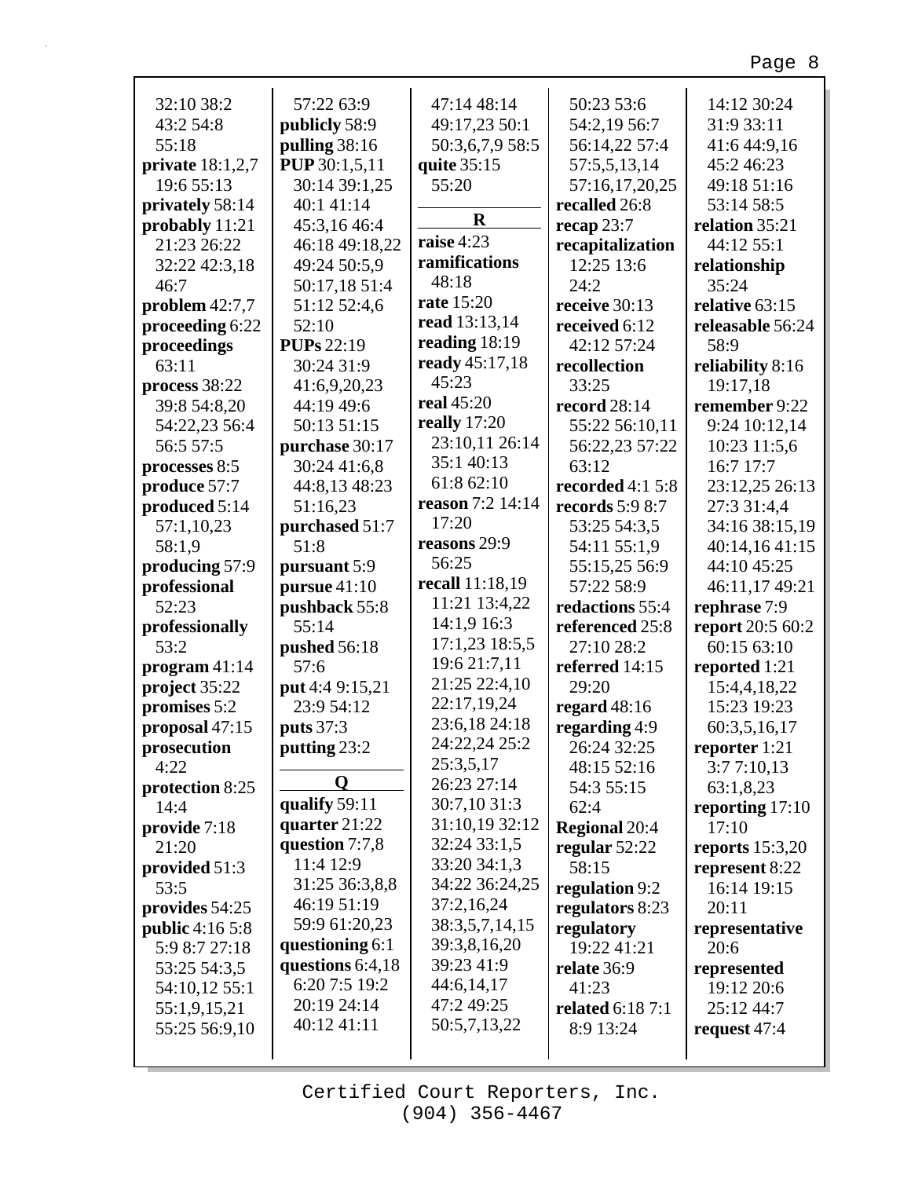| 32:10 38:2             | 57:22 63:9           | 47:14 48:14                | 50:23 53:6              | 14:12 30:24       |
|------------------------|----------------------|----------------------------|-------------------------|-------------------|
| 43:2 54:8              | publicly 58:9        | 49:17,23 50:1              | 54:2,19 56:7            | 31:9 33:11        |
| 55:18                  | pulling 38:16        | 50:3,6,7,9 58:5            | 56:14,22 57:4           | 41:6 44:9,16      |
| private $18:1,2,7$     | <b>PUP</b> 30:1,5,11 | quite 35:15                | 57:5,5,13,14            | 45:246:23         |
| 19:6 55:13             | 30:14 39:1,25        | 55:20                      | 57:16,17,20,25          | 49:18 51:16       |
| privately 58:14        | 40:1 41:14           |                            | recalled 26:8           | 53:14 58:5        |
| probably 11:21         | 45:3,16 46:4         | $\mathbf R$                | recap $23:7$            | relation 35:21    |
| 21:23 26:22            | 46:18 49:18,22       | raise 4:23                 | recapitalization        | 44:12 55:1        |
| 32:22 42:3,18          | 49:24 50:5,9         | ramifications              | 12:25 13:6              | relationship      |
| 46:7                   | 50:17,18 51:4        | 48:18                      | 24:2                    | 35:24             |
| problem $42:7,7$       | 51:12 52:4,6         | rate 15:20                 | receive 30:13           | relative 63:15    |
| proceeding 6:22        | 52:10                | read 13:13,14              | received 6:12           | releasable 56:24  |
| proceedings            | <b>PUPs</b> 22:19    | reading 18:19              | 42:12 57:24             | 58:9              |
| 63:11                  | 30:24 31:9           | ready 45:17,18             | recollection            | reliability 8:16  |
| process 38:22          | 41:6,9,20,23         | 45:23                      | 33:25                   | 19:17,18          |
| 39:8 54:8,20           | 44:19 49:6           | real 45:20                 | record 28:14            | remember 9:22     |
| 54:22,23 56:4          | 50:13 51:15          | really $17:20$             | 55:22 56:10,11          | 9:24 10:12,14     |
| 56:5 57:5              | purchase 30:17       | 23:10,11 26:14             | 56:22,23 57:22          | 10:23 11:5,6      |
| processes 8:5          | 30:24 41:6,8         | 35:1 40:13                 | 63:12                   | 16:7 17:7         |
| produce 57:7           | 44:8,13 48:23        | 61:8 62:10                 | recorded 4:1 5:8        | 23:12,25 26:13    |
| produced 5:14          | 51:16,23             | reason 7:2 14:14           | records 5:9 8:7         | 27:3 31:4,4       |
| 57:1,10,23             | purchased 51:7       | 17:20                      | 53:25 54:3,5            | 34:16 38:15,19    |
| 58:1,9                 | 51:8                 | reasons 29:9               | 54:11 55:1,9            | 40:14,1641:15     |
| producing 57:9         | pursuant 5:9         | 56:25                      | 55:15,25 56:9           | 44:10 45:25       |
| professional           | pursue $41:10$       | recall 11:18,19            | 57:22 58:9              | 46:11,17 49:21    |
| 52:23                  | pushback 55:8        | 11:21 13:4,22              | redactions 55:4         | rephrase 7:9      |
| professionally         | 55:14                | 14:1,9 16:3                | referenced 25:8         | report 20:5 60:2  |
| 53:2                   |                      | 17:1,23 18:5,5             | 27:10 28:2              | 60:15 63:10       |
| program $41:14$        | pushed 56:18<br>57:6 | 19:6 21:7,11               |                         |                   |
|                        |                      | 21:25 22:4,10              | referred 14:15<br>29:20 | reported 1:21     |
| project 35:22          | put 4:4 9:15,21      | 22:17,19,24                |                         | 15:4,4,18,22      |
| promises 5:2           | 23:9 54:12           | 23:6,18 24:18              | regard $48:16$          | 15:23 19:23       |
| proposal 47:15         | puts 37:3            | 24:22,24 25:2              | regarding 4:9           | 60:3,5,16,17      |
| prosecution<br>4:22    | putting 23:2         | 25:3,5,17                  | 26:24 32:25             | reporter 1:21     |
|                        | Q                    | 26:23 27:14                | 48:15 52:16             | 3:77:10,13        |
| protection 8:25        | qualify 59:11        | 30:7,10 31:3               | 54:3 55:15              | 63:1,8,23         |
| 14:4                   | quarter 21:22        | 31:10,19 32:12             | 62:4                    | reporting $17:10$ |
| provide 7:18           | question 7:7,8       | 32:24 33:1,5               | <b>Regional 20:4</b>    | 17:10             |
| 21:20                  | 11:4 12:9            | 33:20 34:1,3               | regular $52:22$         | reports $15:3,20$ |
| provided 51:3          | 31:25 36:3,8,8       | 34:22 36:24,25             | 58:15                   | represent 8:22    |
| 53:5                   | 46:19 51:19          | 37:2,16,24                 | regulation 9:2          | 16:14 19:15       |
| provides 54:25         |                      |                            | regulators 8:23         | 20:11             |
| <b>public</b> 4:16 5:8 | 59:9 61:20,23        | 38:3,5,7,14,15             | regulatory              | representative    |
| 5:9 8:7 27:18          | questioning 6:1      | 39:3,8,16,20<br>39:23 41:9 | 19:22 41:21             | 20:6              |
| 53:25 54:3,5           | questions 6:4,18     |                            | relate 36:9             | represented       |
| 54:10,12 55:1          | 6:20 7:5 19:2        | 44:6,14,17                 | 41:23                   | 19:12 20:6        |
| 55:1,9,15,21           | 20:19 24:14          | 47:2 49:25                 | <b>related</b> 6:18 7:1 | 25:12 44:7        |
| 55:25 56:9,10          | 40:12 41:11          | 50:5,7,13,22               | 8:9 13:24               | request 47:4      |
|                        |                      |                            |                         |                   |

r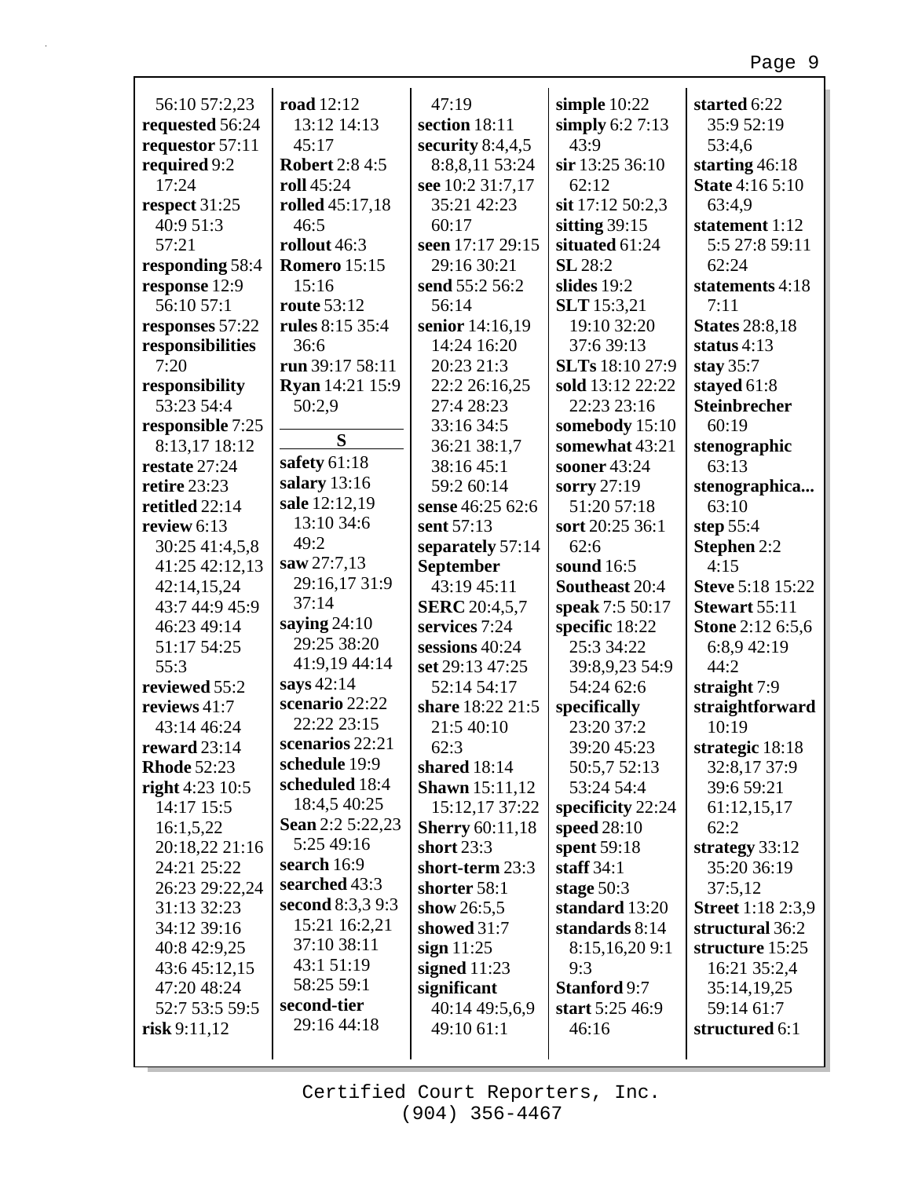| 56:10 57:2,23      | road 12:12             | 47:19                  | simple $10:22$      | started 6:22             |
|--------------------|------------------------|------------------------|---------------------|--------------------------|
| requested 56:24    | 13:12 14:13            | section 18:11          | simply $6:27:13$    | 35:9 52:19               |
| requestor 57:11    | 45:17                  | security $8:4,4,5$     | 43:9                | 53:4,6                   |
| required 9:2       | <b>Robert 2:8 4:5</b>  | 8:8,8,11 53:24         | sir 13:25 36:10     | starting $46:18$         |
| 17:24              | roll 45:24             | see 10:2 31:7,17       | 62:12               | <b>State 4:16 5:10</b>   |
| respect 31:25      | <b>rolled</b> 45:17,18 | 35:21 42:23            | sit 17:12 50:2,3    | 63:4,9                   |
| 40:9 51:3          | 46:5                   | 60:17                  | sitting $39:15$     | statement 1:12           |
| 57:21              | rollout 46:3           | seen 17:17 29:15       | situated 61:24      | 5:5 27:8 59:11           |
| responding 58:4    | <b>Romero</b> 15:15    | 29:16 30:21            | <b>SL</b> 28:2      | 62:24                    |
| response 12:9      | 15:16                  | send 55:2 56:2         | slides 19:2         | statements 4:18          |
| 56:10 57:1         | <b>route</b> 53:12     | 56:14                  | <b>SLT</b> 15:3,21  | 7:11                     |
| responses 57:22    | rules 8:15 35:4        | senior 14:16,19        | 19:10 32:20         | <b>States</b> 28:8,18    |
| responsibilities   | 36:6                   | 14:24 16:20            | 37:6 39:13          | status $4:13$            |
| 7:20               | run 39:17 58:11        | 20:23 21:3             | SLTs 18:10 27:9     | stay $35:7$              |
| responsibility     | Ryan 14:21 15:9        | 22:2 26:16,25          | sold 13:12 22:22    | stayed 61:8              |
| 53:23 54:4         | 50:2,9                 | 27:4 28:23             | 22:23 23:16         | <b>Steinbrecher</b>      |
| responsible 7:25   |                        | 33:16 34:5             | somebody 15:10      | 60:19                    |
| 8:13,17 18:12      | S                      | 36:21 38:1,7           | somewhat 43:21      | stenographic             |
| restate 27:24      | safety 61:18           | 38:16 45:1             | sooner 43:24        | 63:13                    |
| retire 23:23       | salary 13:16           | 59:2 60:14             | sorry 27:19         | stenographica            |
| retitled 22:14     | sale 12:12,19          | sense 46:25 62:6       | 51:20 57:18         | 63:10                    |
| review 6:13        | 13:10 34:6             | sent 57:13             | sort 20:25 36:1     | step 55:4                |
| 30:25 41:4,5,8     | 49:2                   | separately 57:14       | 62:6                | <b>Stephen 2:2</b>       |
| 41:25 42:12,13     | saw 27:7,13            | September              | sound 16:5          | 4:15                     |
| 42:14,15,24        | 29:16,17 31:9          | 43:19 45:11            | Southeast 20:4      | <b>Steve 5:18 15:22</b>  |
| 43:7 44:9 45:9     | 37:14                  | <b>SERC</b> 20:4,5,7   | speak 7:5 50:17     | Stewart 55:11            |
| 46:23 49:14        | saying $24:10$         | services 7:24          | specific 18:22      | <b>Stone 2:12 6:5,6</b>  |
| 51:17 54:25        | 29:25 38:20            | sessions 40:24         | 25:3 34:22          | 6:8,9 42:19              |
| 55:3               | 41:9,19 44:14          | set 29:13 47:25        | 39:8,9,23 54:9      | 44:2                     |
| reviewed 55:2      | says 42:14             | 52:14 54:17            | 54:24 62:6          | straight 7:9             |
| reviews 41:7       | scenario 22:22         | share 18:22 21:5       | specifically        | straightforward          |
| 43:14 46:24        | 22:22 23:15            | 21:5 40:10             | 23:20 37:2          | 10:19                    |
| reward 23:14       | scenarios 22:21        | 62:3                   | 39:20 45:23         | strategic 18:18          |
| <b>Rhode 52:23</b> | schedule 19:9          | shared 18:14           | 50:5,7 52:13        | 32:8,17 37:9             |
| right $4:23$ 10:5  | scheduled 18:4         | <b>Shawn</b> 15:11,12  | 53:24 54:4          | 39:6 59:21               |
| 14:17 15:5         | 18:4,5 40:25           | 15:12,17 37:22         | specificity 22:24   | 61:12,15,17              |
| 16:1,5,22          | Sean 2:2 5:22,23       | <b>Sherry</b> 60:11,18 | speed 28:10         | 62:2                     |
| 20:18,22 21:16     | 5:25 49:16             | short $23:3$           | spent 59:18         | strategy $33:12$         |
| 24:21 25:22        | search 16:9            | short-term 23:3        | staff $34:1$        | 35:20 36:19              |
| 26:23 29:22,24     | searched 43:3          | shorter 58:1           | stage $50:3$        | 37:5,12                  |
| 31:13 32:23        | second 8:3,3 9:3       | show $26:5,5$          | standard 13:20      | <b>Street</b> 1:18 2:3,9 |
| 34:12 39:16        | 15:21 16:2,21          | showed 31:7            | standards 8:14      | structural 36:2          |
| 40:8 42:9,25       | 37:10 38:11            | sign $11:25$           | 8:15,16,209:1       | structure 15:25          |
| 43:6 45:12,15      | 43:1 51:19             | signed $11:23$         | 9:3                 | 16:21 35:2,4             |
| 47:20 48:24        | 58:25 59:1             | significant            | <b>Stanford 9:7</b> | 35:14,19,25              |
| 52:7 53:5 59:5     | second-tier            | 40:14 49:5,6,9         | start 5:25 46:9     | 59:14 61:7               |
| risk 9:11,12       | 29:16 44:18            | 49:10 61:1             | 46:16               | structured 6:1           |
|                    |                        |                        |                     |                          |

Г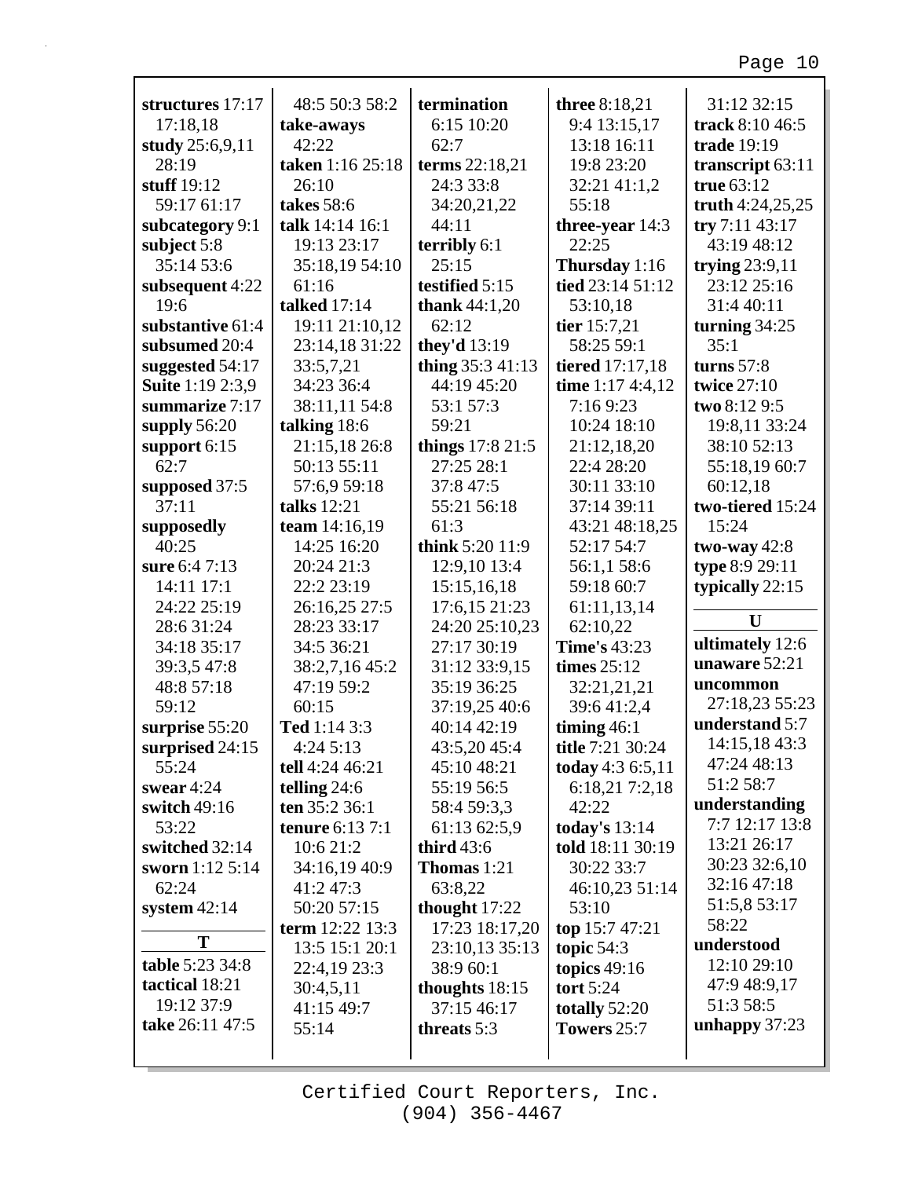| structures 17:17        | 48:5 50:3 58:2         | termination            | three 8:18,21          | 31:12 32:15        |
|-------------------------|------------------------|------------------------|------------------------|--------------------|
| 17:18,18                | take-aways             | 6:15 10:20             | 9:4 13:15,17           | track 8:10 46:5    |
| study 25:6,9,11         | 42:22                  | 62:7                   | 13:18 16:11            | trade 19:19        |
| 28:19                   | taken 1:16 25:18       | terms 22:18,21         | 19:8 23:20             | transcript 63:11   |
| stuff $19:12$           | 26:10                  | 24:3 33:8              | 32:21 41:1,2           | true 63:12         |
| 59:17 61:17             | takes 58:6             | 34:20,21,22            | 55:18                  | truth $4:24,25,25$ |
| subcategory 9:1         | talk 14:14 16:1        | 44:11                  | three-year $14:3$      | try 7:11 43:17     |
| subject 5:8             | 19:13 23:17            | terribly 6:1           | 22:25                  | 43:19 48:12        |
| 35:14 53:6              | 35:18,19 54:10         | 25:15                  | Thursday 1:16          | trying $23:9,11$   |
| subsequent 4:22         | 61:16                  | testified 5:15         | tied 23:14 51:12       | 23:12 25:16        |
| 19:6                    | <b>talked</b> 17:14    | <b>thank</b> $44:1,20$ | 53:10,18               | 31:4 40:11         |
| substantive 61:4        | 19:11 21:10,12         | 62:12                  | tier 15:7,21           | turning $34:25$    |
| subsumed 20:4           | 23:14,18 31:22         | they'd $13:19$         | 58:25 59:1             | 35:1               |
| suggested 54:17         | 33:5,7,21              | thing 35:3 41:13       | <b>tiered</b> 17:17,18 | turns $57:8$       |
| <b>Suite 1:19 2:3,9</b> | 34:23 36:4             | 44:19 45:20            | time 1:17 4:4,12       | twice 27:10        |
| summarize 7:17          | 38:11,11 54:8          | 53:1 57:3              | 7:169:23               | two 8:12 9:5       |
| supply $56:20$          | talking 18:6           | 59:21                  | 10:24 18:10            | 19:8,11 33:24      |
| support 6:15            | 21:15,18 26:8          | things 17:8 21:5       | 21:12,18,20            | 38:10 52:13        |
| 62:7                    | 50:13 55:11            | 27:25 28:1             | 22:4 28:20             | 55:18,19 60:7      |
| supposed 37:5           | 57:6,9 59:18           | 37:8 47:5              | 30:11 33:10            | 60:12,18           |
| 37:11                   | talks 12:21            | 55:21 56:18            | 37:14 39:11            | two-tiered 15:24   |
| supposedly              | team 14:16,19          | 61:3                   | 43:21 48:18,25         | 15:24              |
| 40:25                   | 14:25 16:20            | think 5:20 11:9        | 52:17 54:7             | two-way $42:8$     |
| sure 6:4 7:13           | 20:24 21:3             | 12:9,10 13:4           | 56:1,1 58:6            | type 8:9 29:11     |
| 14:11 17:1              | 22:2 23:19             | 15:15,16,18            | 59:18 60:7             | typically 22:15    |
| 24:22 25:19             | 26:16,25 27:5          | 17:6,15 21:23          | 61:11,13,14            |                    |
| 28:6 31:24              | 28:23 33:17            | 24:20 25:10,23         | 62:10,22               | U                  |
| 34:18 35:17             | 34:5 36:21             | 27:17 30:19            | <b>Time's 43:23</b>    | ultimately 12:6    |
| 39:3,5 47:8             | 38:2,7,16 45:2         | 31:12 33:9,15          | times $25:12$          | unaware 52:21      |
| 48:8 57:18              | 47:19 59:2             | 35:19 36:25            | 32:21,21,21            | uncommon           |
| 59:12                   | 60:15                  | 37:19,25 40:6          | 39:641:2,4             | 27:18,23 55:23     |
| surprise 55:20          | Ted 1:14 3:3           | 40:14 42:19            | timing $46:1$          | understand 5:7     |
| surprised 24:15         | 4:24 5:13              | 43:5,20 45:4           | title 7:21 30:24       | 14:15,18 43:3      |
| 55:24                   | tell 4:24 46:21        | 45:10 48:21            | today 4:3 6:5,11       | 47:24 48:13        |
| swear $4:24$            | telling $24:6$         | 55:19 56:5             | 6:18,21 7:2,18         | 51:2 58:7          |
| switch 49:16            | ten 35:2 36:1          | 58:4 59:3,3            | 42:22                  | understanding      |
| 53:22                   | <b>tenure</b> 6:13 7:1 | 61:13 62:5,9           | today's 13:14          | 7:7 12:17 13:8     |
| switched 32:14          | 10:6 21:2              | third $43:6$           | told 18:11 30:19       | 13:21 26:17        |
| sworn 1:12 5:14         | 34:16,19 40:9          | <b>Thomas</b> 1:21     | 30:22 33:7             | 30:23 32:6,10      |
| 62:24                   | 41:2 47:3              | 63:8,22                | 46:10,23 51:14         | 32:16 47:18        |
| system $42:14$          | 50:20 57:15            | thought $17:22$        | 53:10                  | 51:5,8 53:17       |
|                         | term $12:22$ $13:3$    | 17:23 18:17,20         | top 15:7 47:21         | 58:22              |
| T                       | 13:5 15:1 20:1         | 23:10,13 35:13         | topic $54:3$           | understood         |
| table 5:23 34:8         | 22:4,19 23:3           | 38:9 60:1              | topics $49:16$         | 12:10 29:10        |
| tactical 18:21          | 30:4,5,11              | thoughts $18:15$       | tort $5:24$            | 47:9 48:9,17       |
| 19:12 37:9              | 41:15 49:7             | 37:15 46:17            | totally 52:20          | 51:3 58:5          |
| take 26:11 47:5         | 55:14                  | threats 5:3            | Towers 25:7            | unhappy $37:23$    |
|                         |                        |                        |                        |                    |
|                         |                        |                        |                        |                    |

Г